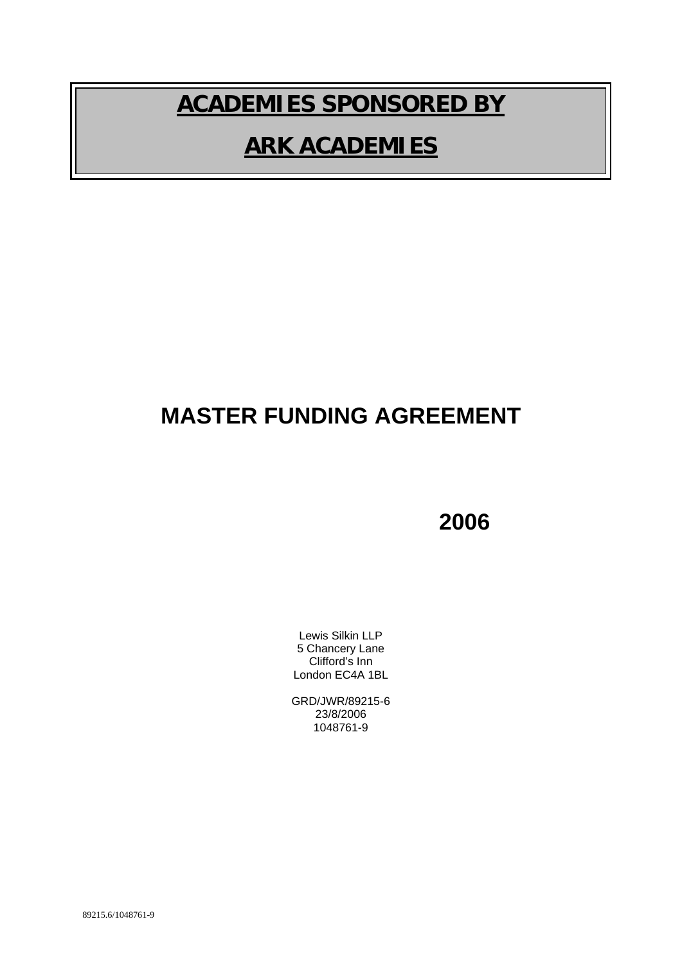# **ACADEMIES SPONSORED BY**

## **ARK ACADEMIES**

# **MASTER FUNDING AGREEMENT**

## **2006**

Lewis Silkin LLP 5 Chancery Lane Clifford's Inn London EC4A 1BL

GRD/JWR/89215-6 23/8/2006 1048761-9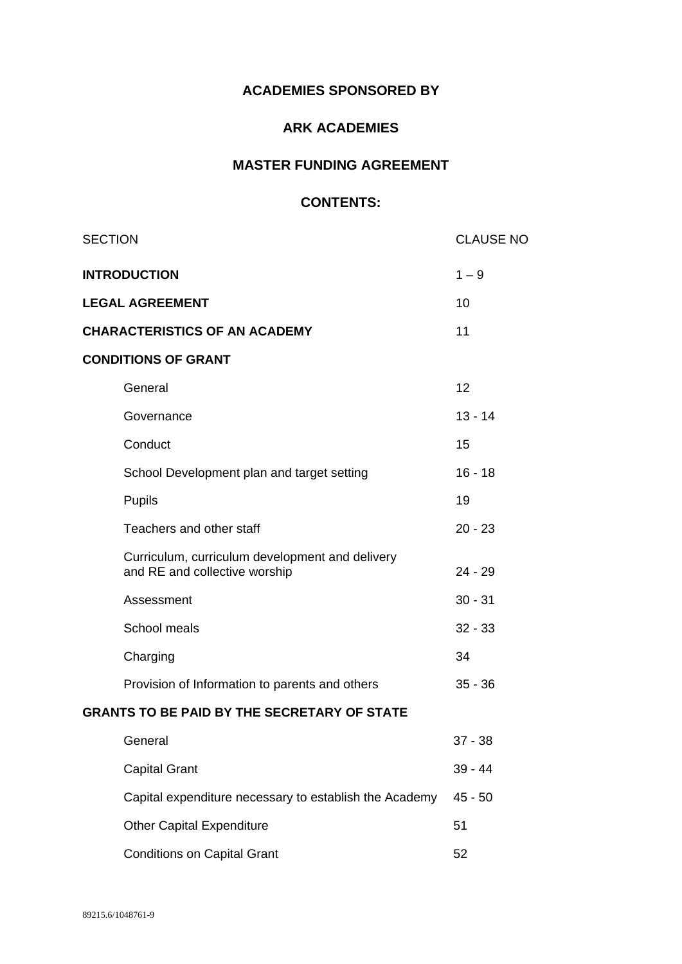## **ACADEMIES SPONSORED BY**

## **ARK ACADEMIES**

## **MASTER FUNDING AGREEMENT**

## **CONTENTS:**

| <b>SECTION</b>                                     |                                                                                  | <b>CLAUSE NO</b> |  |  |
|----------------------------------------------------|----------------------------------------------------------------------------------|------------------|--|--|
| <b>INTRODUCTION</b>                                | $1 - 9$                                                                          |                  |  |  |
| <b>LEGAL AGREEMENT</b>                             |                                                                                  | 10               |  |  |
| <b>CHARACTERISTICS OF AN ACADEMY</b>               | 11                                                                               |                  |  |  |
| <b>CONDITIONS OF GRANT</b>                         |                                                                                  |                  |  |  |
|                                                    | General                                                                          | 12               |  |  |
|                                                    | Governance                                                                       | $13 - 14$        |  |  |
|                                                    | Conduct                                                                          | 15               |  |  |
|                                                    | School Development plan and target setting                                       | $16 - 18$        |  |  |
|                                                    | Pupils                                                                           | 19               |  |  |
|                                                    | Teachers and other staff                                                         | $20 - 23$        |  |  |
|                                                    | Curriculum, curriculum development and delivery<br>and RE and collective worship | $24 - 29$        |  |  |
|                                                    | Assessment                                                                       | $30 - 31$        |  |  |
|                                                    | School meals                                                                     | $32 - 33$        |  |  |
|                                                    | Charging                                                                         | 34               |  |  |
|                                                    | Provision of Information to parents and others                                   | $35 - 36$        |  |  |
| <b>GRANTS TO BE PAID BY THE SECRETARY OF STATE</b> |                                                                                  |                  |  |  |
|                                                    | General                                                                          | $37 - 38$        |  |  |
|                                                    | <b>Capital Grant</b>                                                             | $39 - 44$        |  |  |
|                                                    | Capital expenditure necessary to establish the Academy                           | $45 - 50$        |  |  |
|                                                    | <b>Other Capital Expenditure</b>                                                 | 51               |  |  |
|                                                    | <b>Conditions on Capital Grant</b>                                               | 52               |  |  |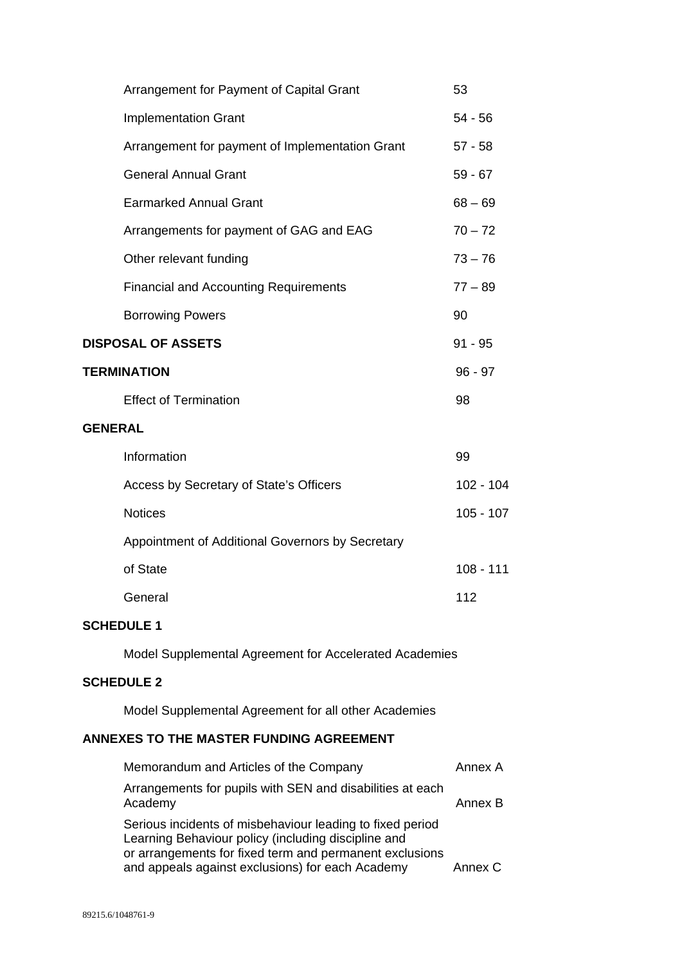|                           | Arrangement for Payment of Capital Grant        | 53          |  |
|---------------------------|-------------------------------------------------|-------------|--|
|                           | <b>Implementation Grant</b>                     | $54 - 56$   |  |
|                           | Arrangement for payment of Implementation Grant | $57 - 58$   |  |
|                           | <b>General Annual Grant</b>                     | $59 - 67$   |  |
|                           | <b>Earmarked Annual Grant</b>                   | $68 - 69$   |  |
|                           | Arrangements for payment of GAG and EAG         | $70 - 72$   |  |
|                           | Other relevant funding                          | $73 - 76$   |  |
|                           | <b>Financial and Accounting Requirements</b>    | $77 - 89$   |  |
|                           | <b>Borrowing Powers</b>                         | 90          |  |
| <b>DISPOSAL OF ASSETS</b> |                                                 | $91 - 95$   |  |
| <b>TERMINATION</b>        |                                                 | $96 - 97$   |  |
|                           | <b>Effect of Termination</b>                    | 98          |  |
| <b>GENERAL</b>            |                                                 |             |  |
|                           | Information                                     | 99          |  |
|                           | Access by Secretary of State's Officers         | $102 - 104$ |  |
|                           | <b>Notices</b>                                  | $105 - 107$ |  |
|                           |                                                 |             |  |

Appointment of Additional Governors by Secretary

| of State | 108 - 111 |
|----------|-----------|
| General  | 112       |

## **SCHEDULE 1**

Model Supplemental Agreement for Accelerated Academies

## **SCHEDULE 2**

Model Supplemental Agreement for all other Academies

## **ANNEXES TO THE MASTER FUNDING AGREEMENT**

| Memorandum and Articles of the Company                                                                                                                                      | Annex A |
|-----------------------------------------------------------------------------------------------------------------------------------------------------------------------------|---------|
| Arrangements for pupils with SEN and disabilities at each<br>Academy                                                                                                        | Annex B |
| Serious incidents of misbehaviour leading to fixed period<br>Learning Behaviour policy (including discipline and<br>or arrangements for fixed term and permanent exclusions |         |
| and appeals against exclusions) for each Academy                                                                                                                            | Annex C |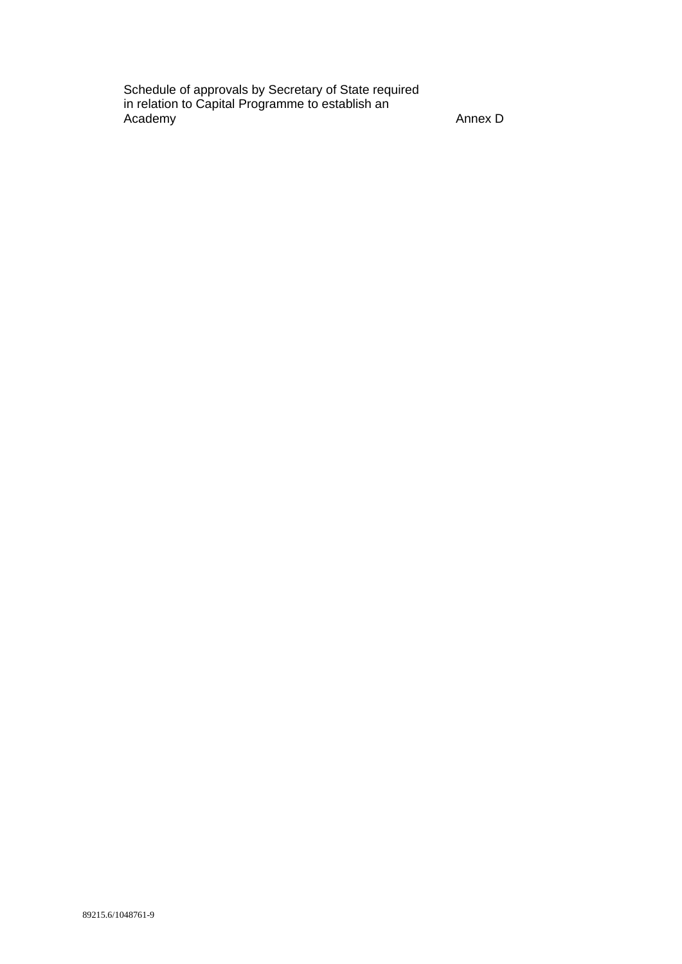Schedule of approvals by Secretary of State required in relation to Capital Programme to establish an Academy **Annex D** Annex D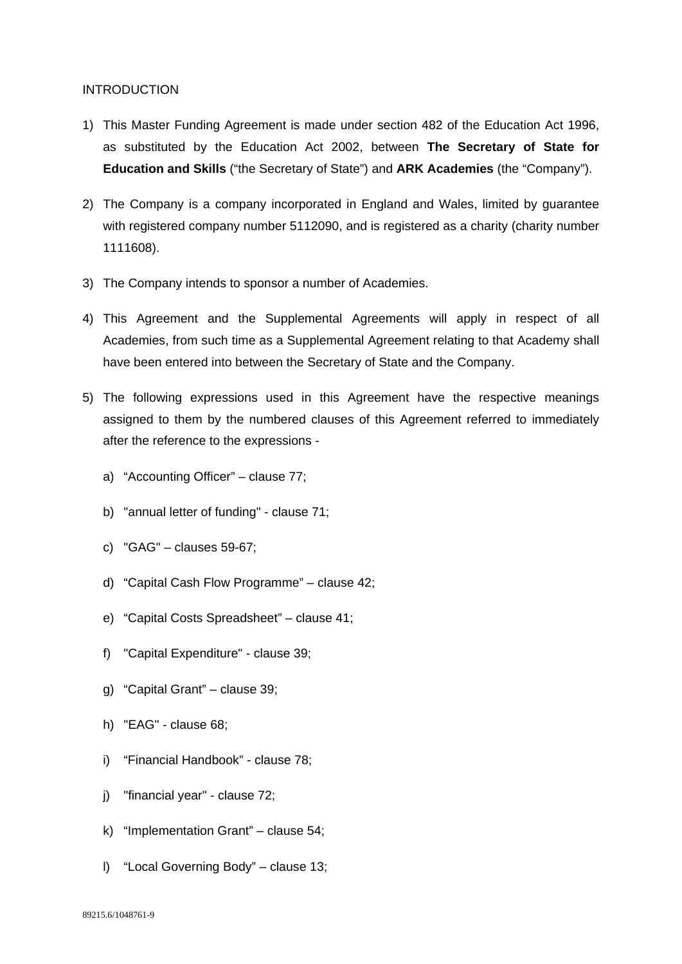### INTRODUCTION

- 1) This Master Funding Agreement is made under section 482 of the Education Act 1996, as substituted by the Education Act 2002, between **The Secretary of State for Education and Skills** ("the Secretary of State") and **ARK Academies** (the "Company").
- 2) The Company is a company incorporated in England and Wales, limited by guarantee with registered company number 5112090, and is registered as a charity (charity number 1111608).
- 3) The Company intends to sponsor a number of Academies.
- 4) This Agreement and the Supplemental Agreements will apply in respect of all Academies, from such time as a Supplemental Agreement relating to that Academy shall have been entered into between the Secretary of State and the Company.
- 5) The following expressions used in this Agreement have the respective meanings assigned to them by the numbered clauses of this Agreement referred to immediately after the reference to the expressions
	- a) "Accounting Officer" clause 77;
	- b) "annual letter of funding" clause 71;
	- c) "GAG" clauses 59-67;
	- d) "Capital Cash Flow Programme" clause 42;
	- e) "Capital Costs Spreadsheet" clause 41;
	- f) "Capital Expenditure" clause 39;
	- g) "Capital Grant" clause 39;
	- h) "EAG" clause 68;
	- i) "Financial Handbook" clause 78;
	- j) "financial year" clause 72;
	- k) "Implementation Grant" clause 54;
	- l) "Local Governing Body" clause 13;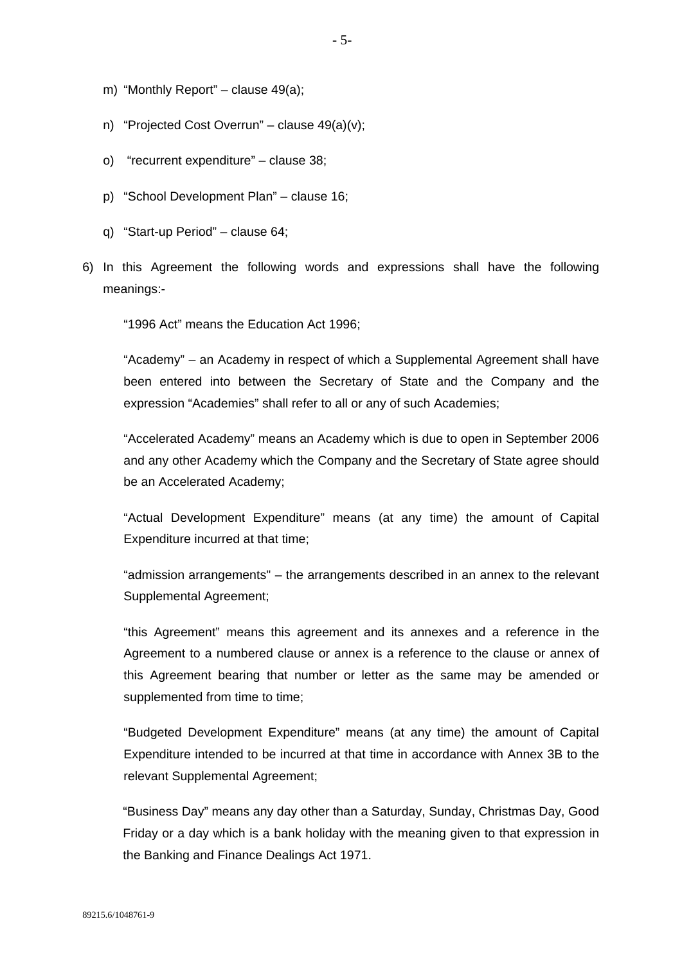- m) "Monthly Report" clause 49(a);
- n) "Projected Cost Overrun" clause 49(a)(v);
- o) "recurrent expenditure" clause 38;
- p) "School Development Plan" clause 16;
- q) "Start-up Period" clause 64;
- 6) In this Agreement the following words and expressions shall have the following meanings:-

"1996 Act" means the Education Act 1996;

"Academy" – an Academy in respect of which a Supplemental Agreement shall have been entered into between the Secretary of State and the Company and the expression "Academies" shall refer to all or any of such Academies;

"Accelerated Academy" means an Academy which is due to open in September 2006 and any other Academy which the Company and the Secretary of State agree should be an Accelerated Academy;

"Actual Development Expenditure" means (at any time) the amount of Capital Expenditure incurred at that time;

"admission arrangements" – the arrangements described in an annex to the relevant Supplemental Agreement;

"this Agreement" means this agreement and its annexes and a reference in the Agreement to a numbered clause or annex is a reference to the clause or annex of this Agreement bearing that number or letter as the same may be amended or supplemented from time to time;

"Budgeted Development Expenditure" means (at any time) the amount of Capital Expenditure intended to be incurred at that time in accordance with Annex 3B to the relevant Supplemental Agreement;

"Business Day" means any day other than a Saturday, Sunday, Christmas Day, Good Friday or a day which is a bank holiday with the meaning given to that expression in the Banking and Finance Dealings Act 1971.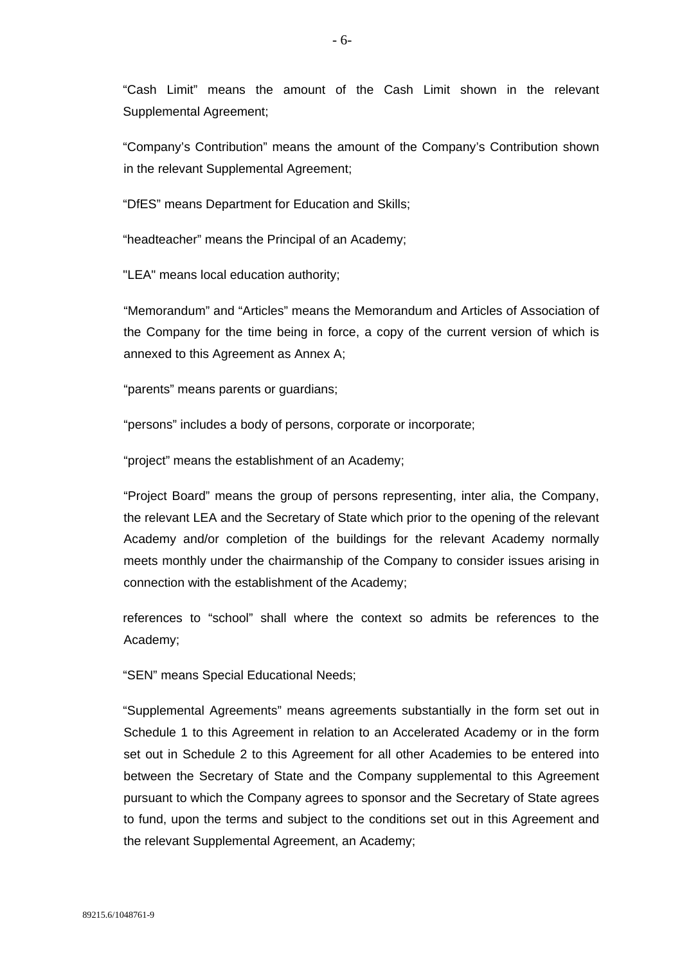"Cash Limit" means the amount of the Cash Limit shown in the relevant Supplemental Agreement;

"Company's Contribution" means the amount of the Company's Contribution shown in the relevant Supplemental Agreement;

"DfES" means Department for Education and Skills;

"headteacher" means the Principal of an Academy;

"LEA" means local education authority;

"Memorandum" and "Articles" means the Memorandum and Articles of Association of the Company for the time being in force, a copy of the current version of which is annexed to this Agreement as Annex A;

"parents" means parents or guardians;

"persons" includes a body of persons, corporate or incorporate;

"project" means the establishment of an Academy;

"Project Board" means the group of persons representing, inter alia, the Company, the relevant LEA and the Secretary of State which prior to the opening of the relevant Academy and/or completion of the buildings for the relevant Academy normally meets monthly under the chairmanship of the Company to consider issues arising in connection with the establishment of the Academy;

references to "school" shall where the context so admits be references to the Academy;

"SEN" means Special Educational Needs;

"Supplemental Agreements" means agreements substantially in the form set out in Schedule 1 to this Agreement in relation to an Accelerated Academy or in the form set out in Schedule 2 to this Agreement for all other Academies to be entered into between the Secretary of State and the Company supplemental to this Agreement pursuant to which the Company agrees to sponsor and the Secretary of State agrees to fund, upon the terms and subject to the conditions set out in this Agreement and the relevant Supplemental Agreement, an Academy;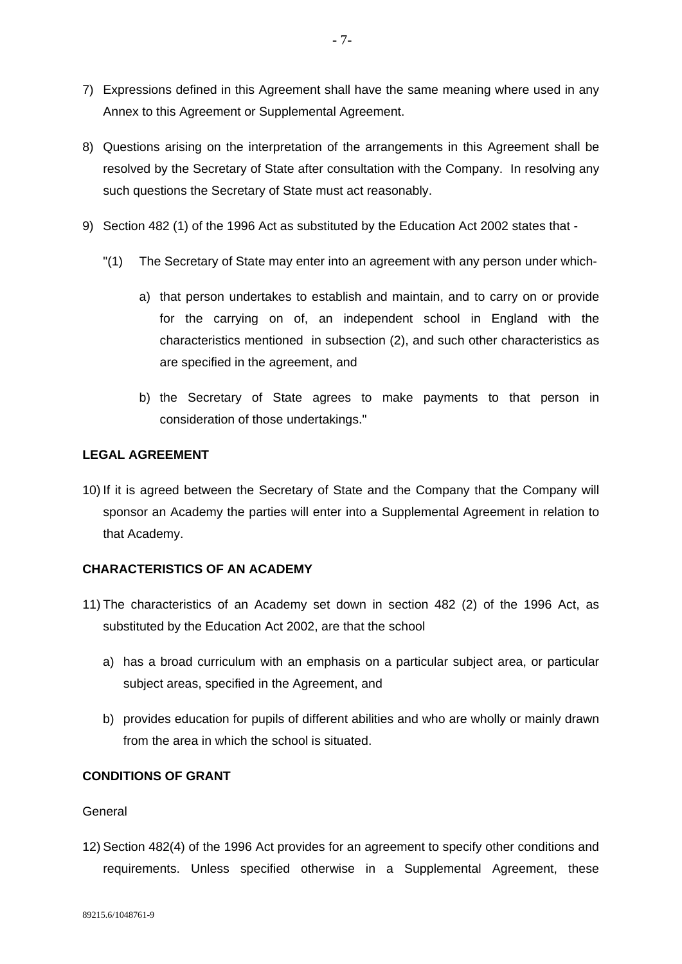- 7) Expressions defined in this Agreement shall have the same meaning where used in any Annex to this Agreement or Supplemental Agreement.
- 8) Questions arising on the interpretation of the arrangements in this Agreement shall be resolved by the Secretary of State after consultation with the Company. In resolving any such questions the Secretary of State must act reasonably.
- 9) Section 482 (1) of the 1996 Act as substituted by the Education Act 2002 states that
	- "(1) The Secretary of State may enter into an agreement with any person under which
		- a) that person undertakes to establish and maintain, and to carry on or provide for the carrying on of, an independent school in England with the characteristics mentioned in subsection (2), and such other characteristics as are specified in the agreement, and
		- b) the Secretary of State agrees to make payments to that person in consideration of those undertakings."

## **LEGAL AGREEMENT**

10) If it is agreed between the Secretary of State and the Company that the Company will sponsor an Academy the parties will enter into a Supplemental Agreement in relation to that Academy.

## **CHARACTERISTICS OF AN ACADEMY**

- 11) The characteristics of an Academy set down in section 482 (2) of the 1996 Act, as substituted by the Education Act 2002, are that the school
	- a) has a broad curriculum with an emphasis on a particular subject area, or particular subject areas, specified in the Agreement, and
	- b) provides education for pupils of different abilities and who are wholly or mainly drawn from the area in which the school is situated.

## **CONDITIONS OF GRANT**

## General

12) Section 482(4) of the 1996 Act provides for an agreement to specify other conditions and requirements. Unless specified otherwise in a Supplemental Agreement, these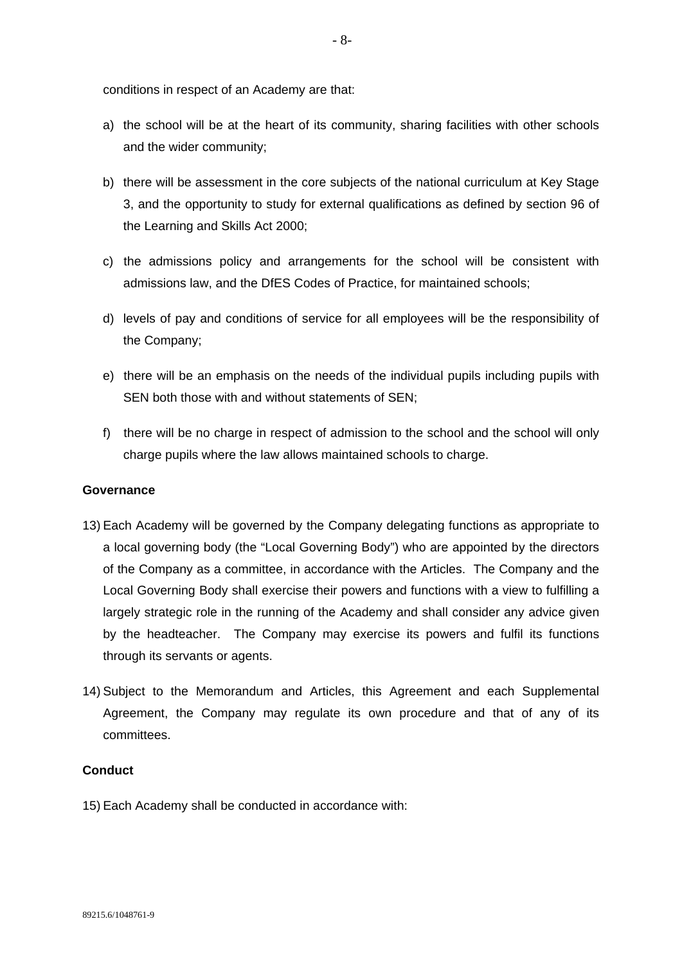conditions in respect of an Academy are that:

- a) the school will be at the heart of its community, sharing facilities with other schools and the wider community;
- b) there will be assessment in the core subjects of the national curriculum at Key Stage 3, and the opportunity to study for external qualifications as defined by section 96 of the Learning and Skills Act 2000;
- c) the admissions policy and arrangements for the school will be consistent with admissions law, and the DfES Codes of Practice, for maintained schools;
- d) levels of pay and conditions of service for all employees will be the responsibility of the Company;
- e) there will be an emphasis on the needs of the individual pupils including pupils with SEN both those with and without statements of SEN;
- f) there will be no charge in respect of admission to the school and the school will only charge pupils where the law allows maintained schools to charge.

## **Governance**

- 13) Each Academy will be governed by the Company delegating functions as appropriate to a local governing body (the "Local Governing Body") who are appointed by the directors of the Company as a committee, in accordance with the Articles. The Company and the Local Governing Body shall exercise their powers and functions with a view to fulfilling a largely strategic role in the running of the Academy and shall consider any advice given by the headteacher. The Company may exercise its powers and fulfil its functions through its servants or agents.
- 14) Subject to the Memorandum and Articles, this Agreement and each Supplemental Agreement, the Company may regulate its own procedure and that of any of its committees.

## **Conduct**

15) Each Academy shall be conducted in accordance with: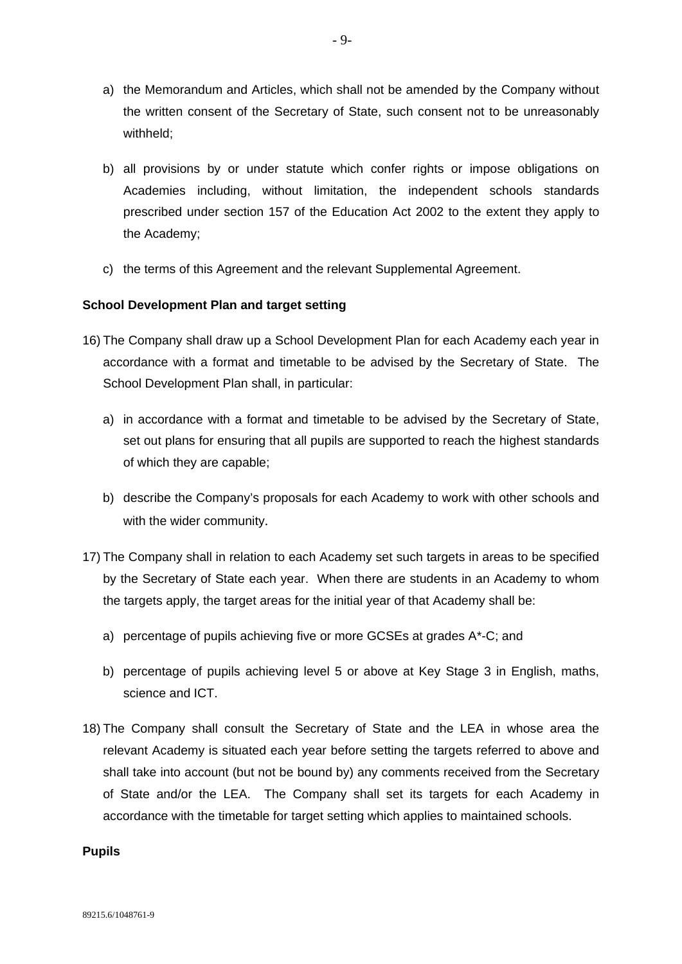- a) the Memorandum and Articles, which shall not be amended by the Company without the written consent of the Secretary of State, such consent not to be unreasonably withheld;
- b) all provisions by or under statute which confer rights or impose obligations on Academies including, without limitation, the independent schools standards prescribed under section 157 of the Education Act 2002 to the extent they apply to the Academy;
- c) the terms of this Agreement and the relevant Supplemental Agreement.

## **School Development Plan and target setting**

- 16) The Company shall draw up a School Development Plan for each Academy each year in accordance with a format and timetable to be advised by the Secretary of State. The School Development Plan shall, in particular:
	- a) in accordance with a format and timetable to be advised by the Secretary of State, set out plans for ensuring that all pupils are supported to reach the highest standards of which they are capable;
	- b) describe the Company's proposals for each Academy to work with other schools and with the wider community.
- 17) The Company shall in relation to each Academy set such targets in areas to be specified by the Secretary of State each year. When there are students in an Academy to whom the targets apply, the target areas for the initial year of that Academy shall be:
	- a) percentage of pupils achieving five or more GCSEs at grades A\*-C; and
	- b) percentage of pupils achieving level 5 or above at Key Stage 3 in English, maths, science and ICT.
- 18) The Company shall consult the Secretary of State and the LEA in whose area the relevant Academy is situated each year before setting the targets referred to above and shall take into account (but not be bound by) any comments received from the Secretary of State and/or the LEA. The Company shall set its targets for each Academy in accordance with the timetable for target setting which applies to maintained schools.

## **Pupils**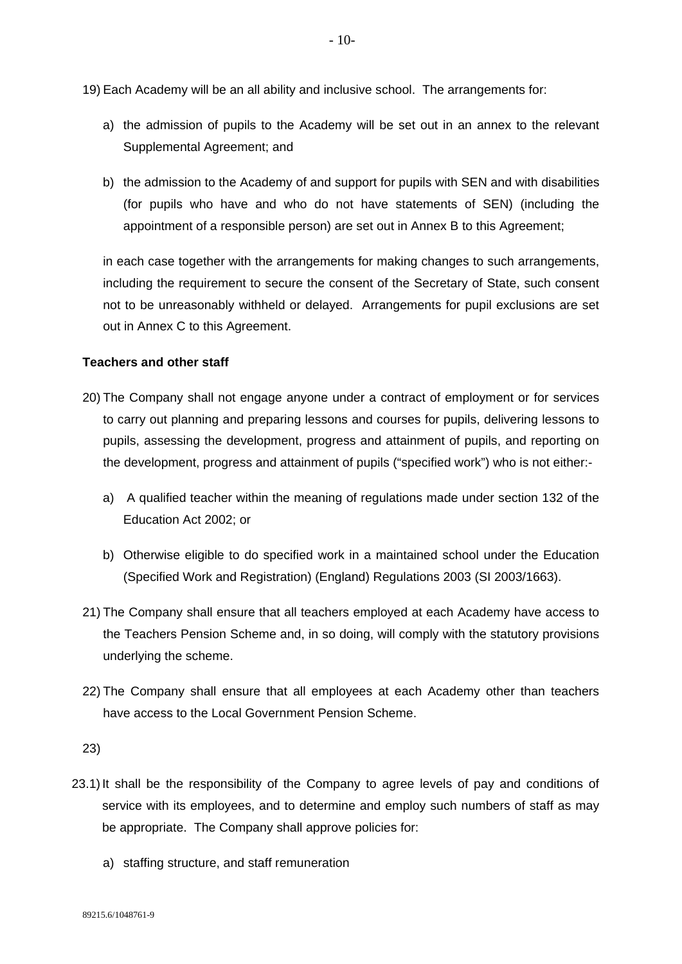- 19) Each Academy will be an all ability and inclusive school. The arrangements for:
	- a) the admission of pupils to the Academy will be set out in an annex to the relevant Supplemental Agreement; and
	- b) the admission to the Academy of and support for pupils with SEN and with disabilities (for pupils who have and who do not have statements of SEN) (including the appointment of a responsible person) are set out in Annex B to this Agreement;

in each case together with the arrangements for making changes to such arrangements, including the requirement to secure the consent of the Secretary of State, such consent not to be unreasonably withheld or delayed. Arrangements for pupil exclusions are set out in Annex C to this Agreement.

## **Teachers and other staff**

- 20) The Company shall not engage anyone under a contract of employment or for services to carry out planning and preparing lessons and courses for pupils, delivering lessons to pupils, assessing the development, progress and attainment of pupils, and reporting on the development, progress and attainment of pupils ("specified work") who is not either:
	- a) A qualified teacher within the meaning of regulations made under section 132 of the Education Act 2002; or
	- b) Otherwise eligible to do specified work in a maintained school under the Education (Specified Work and Registration) (England) Regulations 2003 (SI 2003/1663).
- 21) The Company shall ensure that all teachers employed at each Academy have access to the Teachers Pension Scheme and, in so doing, will comply with the statutory provisions underlying the scheme.
- 22) The Company shall ensure that all employees at each Academy other than teachers have access to the Local Government Pension Scheme.

23)

- 23.1) It shall be the responsibility of the Company to agree levels of pay and conditions of service with its employees, and to determine and employ such numbers of staff as may be appropriate. The Company shall approve policies for:
	- a) staffing structure, and staff remuneration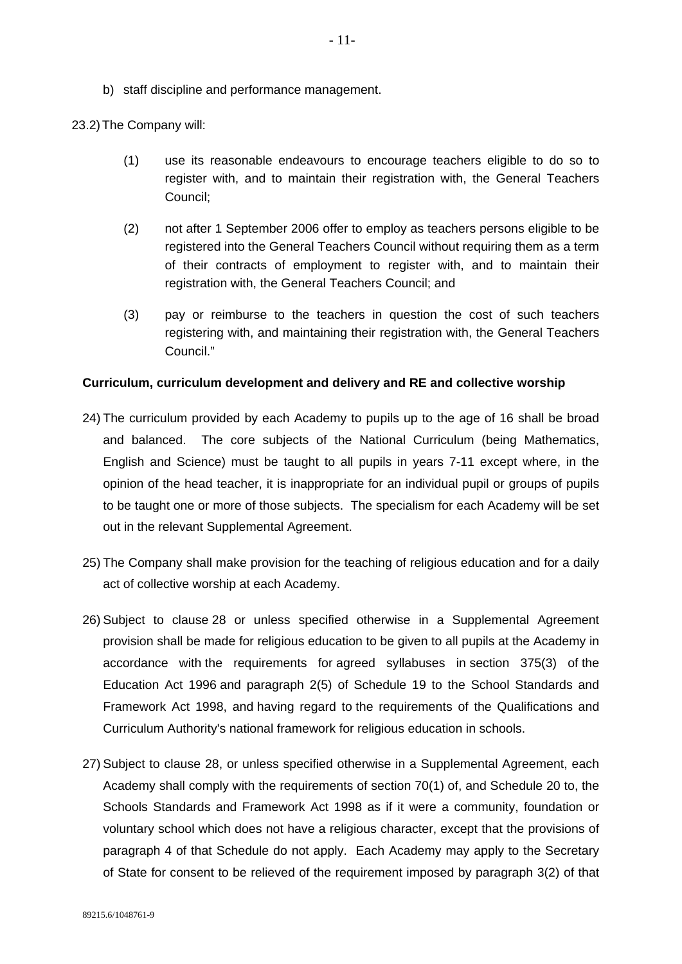b) staff discipline and performance management.

23.2) The Company will:

- (1) use its reasonable endeavours to encourage teachers eligible to do so to register with, and to maintain their registration with, the General Teachers Council;
- (2) not after 1 September 2006 offer to employ as teachers persons eligible to be registered into the General Teachers Council without requiring them as a term of their contracts of employment to register with, and to maintain their registration with, the General Teachers Council; and
- (3) pay or reimburse to the teachers in question the cost of such teachers registering with, and maintaining their registration with, the General Teachers Council."

## **Curriculum, curriculum development and delivery and RE and collective worship**

- 24) The curriculum provided by each Academy to pupils up to the age of 16 shall be broad and balanced. The core subjects of the National Curriculum (being Mathematics, English and Science) must be taught to all pupils in years 7-11 except where, in the opinion of the head teacher, it is inappropriate for an individual pupil or groups of pupils to be taught one or more of those subjects. The specialism for each Academy will be set out in the relevant Supplemental Agreement.
- 25) The Company shall make provision for the teaching of religious education and for a daily act of collective worship at each Academy.
- 26) Subject to clause 28 or unless specified otherwise in a Supplemental Agreement provision shall be made for religious education to be given to all pupils at the Academy in accordance with the requirements for agreed syllabuses in section 375(3) of the Education Act 1996 and paragraph 2(5) of Schedule 19 to the School Standards and Framework Act 1998, and having regard to the requirements of the Qualifications and Curriculum Authority's national framework for religious education in schools.
- 27) Subject to clause 28, or unless specified otherwise in a Supplemental Agreement, each Academy shall comply with the requirements of section 70(1) of, and Schedule 20 to, the Schools Standards and Framework Act 1998 as if it were a community, foundation or voluntary school which does not have a religious character, except that the provisions of paragraph 4 of that Schedule do not apply. Each Academy may apply to the Secretary of State for consent to be relieved of the requirement imposed by paragraph 3(2) of that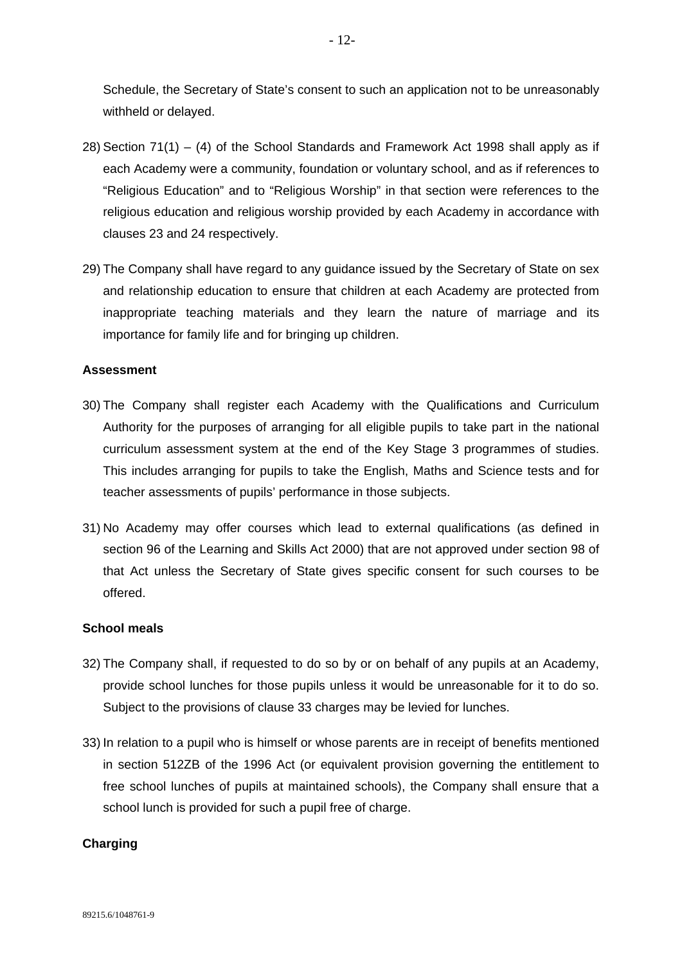Schedule, the Secretary of State's consent to such an application not to be unreasonably withheld or delayed.

- 28) Section  $71(1) (4)$  of the School Standards and Framework Act 1998 shall apply as if each Academy were a community, foundation or voluntary school, and as if references to "Religious Education" and to "Religious Worship" in that section were references to the religious education and religious worship provided by each Academy in accordance with clauses 23 and 24 respectively.
- 29) The Company shall have regard to any guidance issued by the Secretary of State on sex and relationship education to ensure that children at each Academy are protected from inappropriate teaching materials and they learn the nature of marriage and its importance for family life and for bringing up children.

## **Assessment**

- 30) The Company shall register each Academy with the Qualifications and Curriculum Authority for the purposes of arranging for all eligible pupils to take part in the national curriculum assessment system at the end of the Key Stage 3 programmes of studies. This includes arranging for pupils to take the English, Maths and Science tests and for teacher assessments of pupils' performance in those subjects.
- 31) No Academy may offer courses which lead to external qualifications (as defined in section 96 of the Learning and Skills Act 2000) that are not approved under section 98 of that Act unless the Secretary of State gives specific consent for such courses to be offered.

## **School meals**

- 32) The Company shall, if requested to do so by or on behalf of any pupils at an Academy, provide school lunches for those pupils unless it would be unreasonable for it to do so. Subject to the provisions of clause 33 charges may be levied for lunches.
- 33) In relation to a pupil who is himself or whose parents are in receipt of benefits mentioned in section 512ZB of the 1996 Act (or equivalent provision governing the entitlement to free school lunches of pupils at maintained schools), the Company shall ensure that a school lunch is provided for such a pupil free of charge.

## **Charging**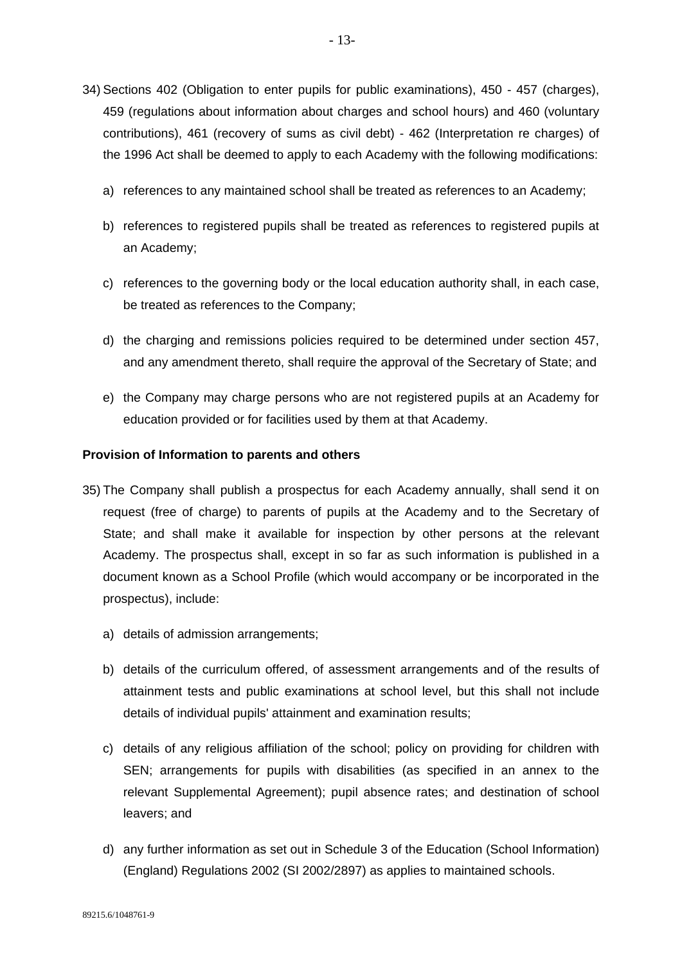- 34) Sections 402 (Obligation to enter pupils for public examinations), 450 457 (charges), 459 (regulations about information about charges and school hours) and 460 (voluntary contributions), 461 (recovery of sums as civil debt) - 462 (Interpretation re charges) of the 1996 Act shall be deemed to apply to each Academy with the following modifications:
	- a) references to any maintained school shall be treated as references to an Academy;
	- b) references to registered pupils shall be treated as references to registered pupils at an Academy;
	- c) references to the governing body or the local education authority shall, in each case, be treated as references to the Company;
	- d) the charging and remissions policies required to be determined under section 457, and any amendment thereto, shall require the approval of the Secretary of State; and
	- e) the Company may charge persons who are not registered pupils at an Academy for education provided or for facilities used by them at that Academy.

## **Provision of Information to parents and others**

- 35) The Company shall publish a prospectus for each Academy annually, shall send it on request (free of charge) to parents of pupils at the Academy and to the Secretary of State; and shall make it available for inspection by other persons at the relevant Academy. The prospectus shall, except in so far as such information is published in a document known as a School Profile (which would accompany or be incorporated in the prospectus), include:
	- a) details of admission arrangements;
	- b) details of the curriculum offered, of assessment arrangements and of the results of attainment tests and public examinations at school level, but this shall not include details of individual pupils' attainment and examination results;
	- c) details of any religious affiliation of the school; policy on providing for children with SEN; arrangements for pupils with disabilities (as specified in an annex to the relevant Supplemental Agreement); pupil absence rates; and destination of school leavers; and
	- d) any further information as set out in Schedule 3 of the Education (School Information) (England) Regulations 2002 (SI 2002/2897) as applies to maintained schools.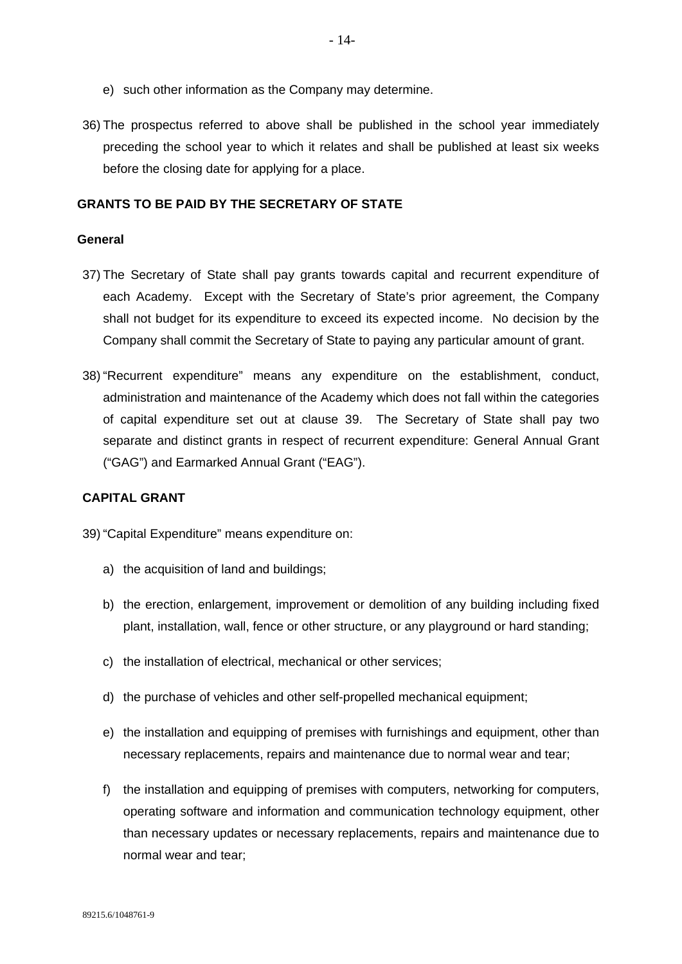- e) such other information as the Company may determine.
- 36) The prospectus referred to above shall be published in the school year immediately preceding the school year to which it relates and shall be published at least six weeks before the closing date for applying for a place.

## **GRANTS TO BE PAID BY THE SECRETARY OF STATE**

## **General**

- 37) The Secretary of State shall pay grants towards capital and recurrent expenditure of each Academy. Except with the Secretary of State's prior agreement, the Company shall not budget for its expenditure to exceed its expected income. No decision by the Company shall commit the Secretary of State to paying any particular amount of grant.
- 38) "Recurrent expenditure" means any expenditure on the establishment, conduct, administration and maintenance of the Academy which does not fall within the categories of capital expenditure set out at clause 39. The Secretary of State shall pay two separate and distinct grants in respect of recurrent expenditure: General Annual Grant ("GAG") and Earmarked Annual Grant ("EAG").

## **CAPITAL GRANT**

39) "Capital Expenditure" means expenditure on:

- a) the acquisition of land and buildings;
- b) the erection, enlargement, improvement or demolition of any building including fixed plant, installation, wall, fence or other structure, or any playground or hard standing;
- c) the installation of electrical, mechanical or other services;
- d) the purchase of vehicles and other self-propelled mechanical equipment;
- e) the installation and equipping of premises with furnishings and equipment, other than necessary replacements, repairs and maintenance due to normal wear and tear;
- f) the installation and equipping of premises with computers, networking for computers, operating software and information and communication technology equipment, other than necessary updates or necessary replacements, repairs and maintenance due to normal wear and tear;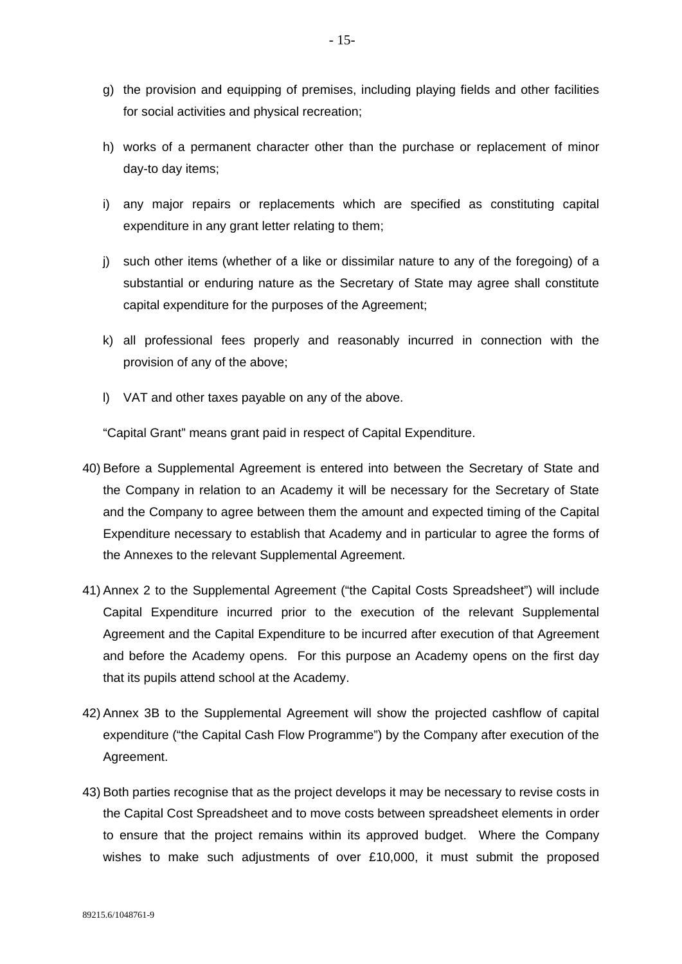- g) the provision and equipping of premises, including playing fields and other facilities for social activities and physical recreation;
- h) works of a permanent character other than the purchase or replacement of minor day-to day items;
- i) any major repairs or replacements which are specified as constituting capital expenditure in any grant letter relating to them;
- j) such other items (whether of a like or dissimilar nature to any of the foregoing) of a substantial or enduring nature as the Secretary of State may agree shall constitute capital expenditure for the purposes of the Agreement;
- k) all professional fees properly and reasonably incurred in connection with the provision of any of the above;
- l) VAT and other taxes payable on any of the above.

"Capital Grant" means grant paid in respect of Capital Expenditure.

- 40) Before a Supplemental Agreement is entered into between the Secretary of State and the Company in relation to an Academy it will be necessary for the Secretary of State and the Company to agree between them the amount and expected timing of the Capital Expenditure necessary to establish that Academy and in particular to agree the forms of the Annexes to the relevant Supplemental Agreement.
- 41) Annex 2 to the Supplemental Agreement ("the Capital Costs Spreadsheet") will include Capital Expenditure incurred prior to the execution of the relevant Supplemental Agreement and the Capital Expenditure to be incurred after execution of that Agreement and before the Academy opens. For this purpose an Academy opens on the first day that its pupils attend school at the Academy.
- 42) Annex 3B to the Supplemental Agreement will show the projected cashflow of capital expenditure ("the Capital Cash Flow Programme") by the Company after execution of the Agreement.
- 43) Both parties recognise that as the project develops it may be necessary to revise costs in the Capital Cost Spreadsheet and to move costs between spreadsheet elements in order to ensure that the project remains within its approved budget. Where the Company wishes to make such adjustments of over £10,000, it must submit the proposed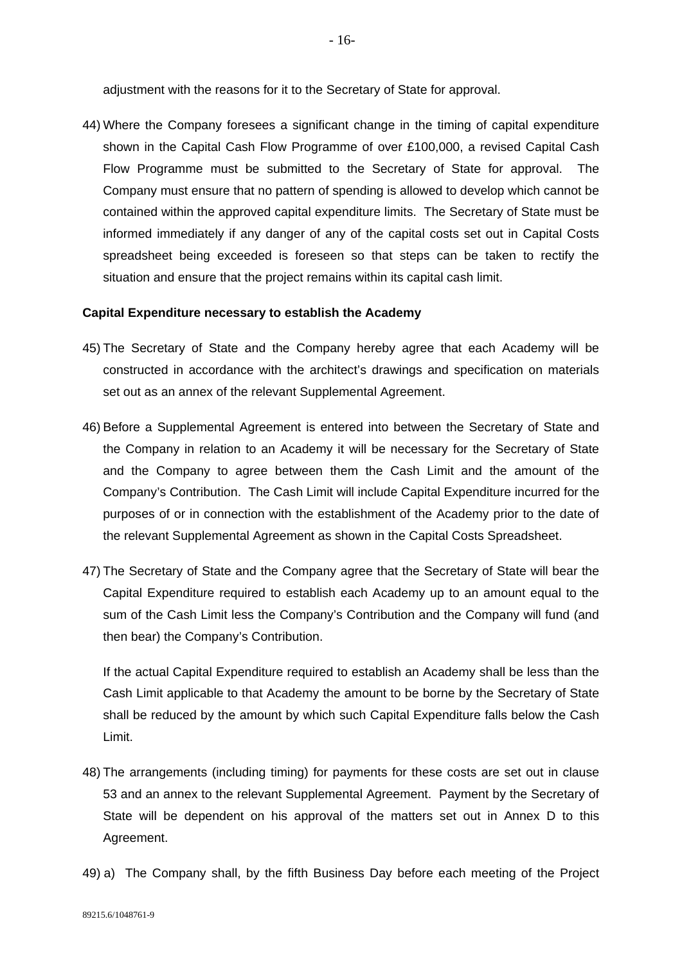adjustment with the reasons for it to the Secretary of State for approval.

44) Where the Company foresees a significant change in the timing of capital expenditure shown in the Capital Cash Flow Programme of over £100,000, a revised Capital Cash Flow Programme must be submitted to the Secretary of State for approval. The Company must ensure that no pattern of spending is allowed to develop which cannot be contained within the approved capital expenditure limits. The Secretary of State must be informed immediately if any danger of any of the capital costs set out in Capital Costs spreadsheet being exceeded is foreseen so that steps can be taken to rectify the situation and ensure that the project remains within its capital cash limit.

#### **Capital Expenditure necessary to establish the Academy**

- 45) The Secretary of State and the Company hereby agree that each Academy will be constructed in accordance with the architect's drawings and specification on materials set out as an annex of the relevant Supplemental Agreement.
- 46) Before a Supplemental Agreement is entered into between the Secretary of State and the Company in relation to an Academy it will be necessary for the Secretary of State and the Company to agree between them the Cash Limit and the amount of the Company's Contribution. The Cash Limit will include Capital Expenditure incurred for the purposes of or in connection with the establishment of the Academy prior to the date of the relevant Supplemental Agreement as shown in the Capital Costs Spreadsheet.
- 47) The Secretary of State and the Company agree that the Secretary of State will bear the Capital Expenditure required to establish each Academy up to an amount equal to the sum of the Cash Limit less the Company's Contribution and the Company will fund (and then bear) the Company's Contribution.

If the actual Capital Expenditure required to establish an Academy shall be less than the Cash Limit applicable to that Academy the amount to be borne by the Secretary of State shall be reduced by the amount by which such Capital Expenditure falls below the Cash Limit.

- 48) The arrangements (including timing) for payments for these costs are set out in clause 53 and an annex to the relevant Supplemental Agreement. Payment by the Secretary of State will be dependent on his approval of the matters set out in Annex D to this Agreement.
- 49) a) The Company shall, by the fifth Business Day before each meeting of the Project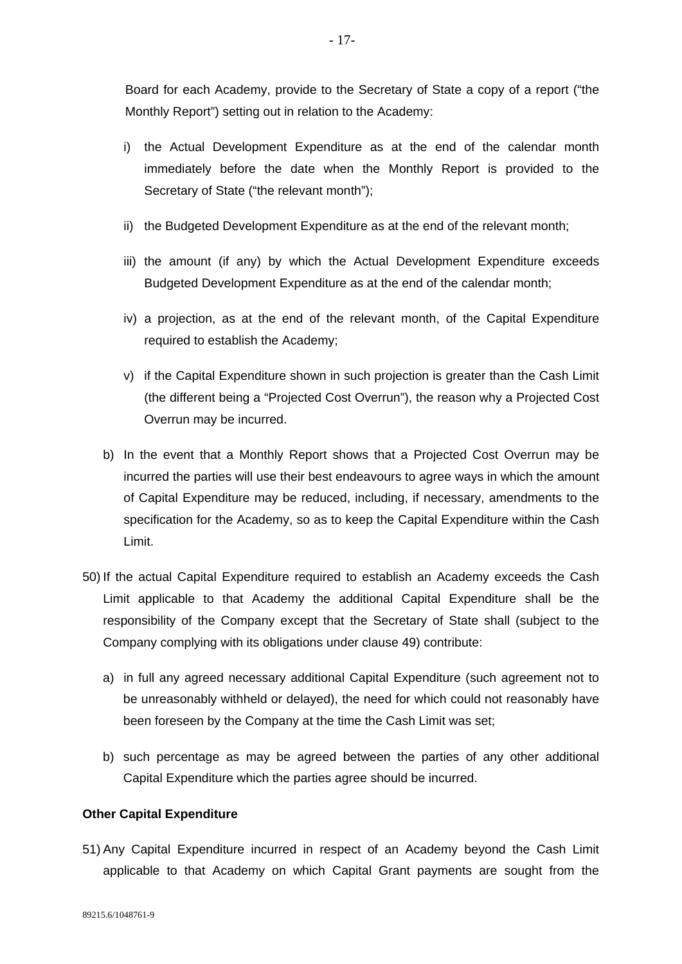Board for each Academy, provide to the Secretary of State a copy of a report ("the Monthly Report") setting out in relation to the Academy:

- i) the Actual Development Expenditure as at the end of the calendar month immediately before the date when the Monthly Report is provided to the Secretary of State ("the relevant month");
- ii) the Budgeted Development Expenditure as at the end of the relevant month;
- iii) the amount (if any) by which the Actual Development Expenditure exceeds Budgeted Development Expenditure as at the end of the calendar month;
- iv) a projection, as at the end of the relevant month, of the Capital Expenditure required to establish the Academy;
- v) if the Capital Expenditure shown in such projection is greater than the Cash Limit (the different being a "Projected Cost Overrun"), the reason why a Projected Cost Overrun may be incurred.
- b) In the event that a Monthly Report shows that a Projected Cost Overrun may be incurred the parties will use their best endeavours to agree ways in which the amount of Capital Expenditure may be reduced, including, if necessary, amendments to the specification for the Academy, so as to keep the Capital Expenditure within the Cash Limit.
- 50) If the actual Capital Expenditure required to establish an Academy exceeds the Cash Limit applicable to that Academy the additional Capital Expenditure shall be the responsibility of the Company except that the Secretary of State shall (subject to the Company complying with its obligations under clause 49) contribute:
	- a) in full any agreed necessary additional Capital Expenditure (such agreement not to be unreasonably withheld or delayed), the need for which could not reasonably have been foreseen by the Company at the time the Cash Limit was set;
	- b) such percentage as may be agreed between the parties of any other additional Capital Expenditure which the parties agree should be incurred.

## **Other Capital Expenditure**

51) Any Capital Expenditure incurred in respect of an Academy beyond the Cash Limit applicable to that Academy on which Capital Grant payments are sought from the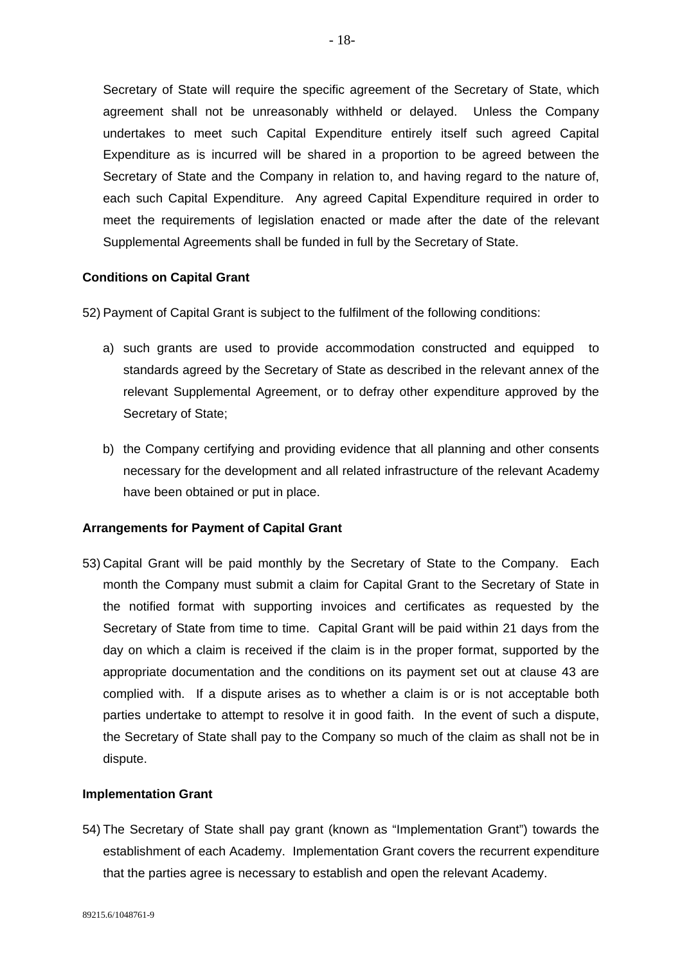Secretary of State will require the specific agreement of the Secretary of State, which agreement shall not be unreasonably withheld or delayed. Unless the Company undertakes to meet such Capital Expenditure entirely itself such agreed Capital Expenditure as is incurred will be shared in a proportion to be agreed between the Secretary of State and the Company in relation to, and having regard to the nature of, each such Capital Expenditure. Any agreed Capital Expenditure required in order to meet the requirements of legislation enacted or made after the date of the relevant Supplemental Agreements shall be funded in full by the Secretary of State.

## **Conditions on Capital Grant**

52) Payment of Capital Grant is subject to the fulfilment of the following conditions:

- a) such grants are used to provide accommodation constructed and equipped to standards agreed by the Secretary of State as described in the relevant annex of the relevant Supplemental Agreement, or to defray other expenditure approved by the Secretary of State;
- b) the Company certifying and providing evidence that all planning and other consents necessary for the development and all related infrastructure of the relevant Academy have been obtained or put in place.

## **Arrangements for Payment of Capital Grant**

53) Capital Grant will be paid monthly by the Secretary of State to the Company. Each month the Company must submit a claim for Capital Grant to the Secretary of State in the notified format with supporting invoices and certificates as requested by the Secretary of State from time to time. Capital Grant will be paid within 21 days from the day on which a claim is received if the claim is in the proper format, supported by the appropriate documentation and the conditions on its payment set out at clause 43 are complied with. If a dispute arises as to whether a claim is or is not acceptable both parties undertake to attempt to resolve it in good faith. In the event of such a dispute, the Secretary of State shall pay to the Company so much of the claim as shall not be in dispute.

## **Implementation Grant**

54) The Secretary of State shall pay grant (known as "Implementation Grant") towards the establishment of each Academy. Implementation Grant covers the recurrent expenditure that the parties agree is necessary to establish and open the relevant Academy.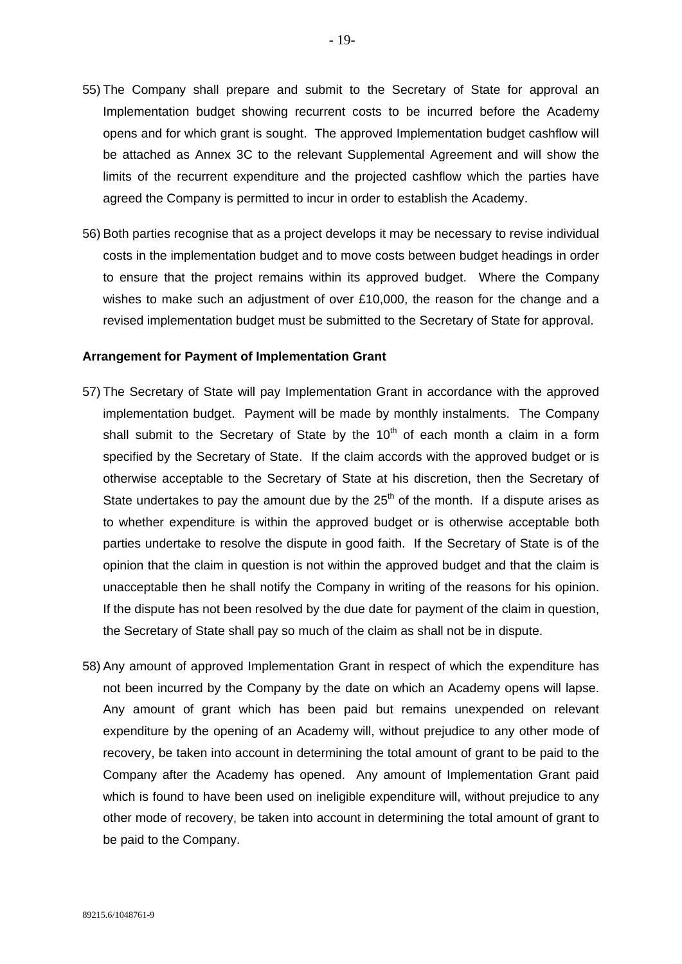- 55) The Company shall prepare and submit to the Secretary of State for approval an Implementation budget showing recurrent costs to be incurred before the Academy opens and for which grant is sought. The approved Implementation budget cashflow will be attached as Annex 3C to the relevant Supplemental Agreement and will show the limits of the recurrent expenditure and the projected cashflow which the parties have agreed the Company is permitted to incur in order to establish the Academy.
- 56) Both parties recognise that as a project develops it may be necessary to revise individual costs in the implementation budget and to move costs between budget headings in order to ensure that the project remains within its approved budget. Where the Company wishes to make such an adjustment of over £10,000, the reason for the change and a revised implementation budget must be submitted to the Secretary of State for approval.

### **Arrangement for Payment of Implementation Grant**

- 57) The Secretary of State will pay Implementation Grant in accordance with the approved implementation budget. Payment will be made by monthly instalments. The Company shall submit to the Secretary of State by the  $10<sup>th</sup>$  of each month a claim in a form specified by the Secretary of State. If the claim accords with the approved budget or is otherwise acceptable to the Secretary of State at his discretion, then the Secretary of State undertakes to pay the amount due by the  $25<sup>th</sup>$  of the month. If a dispute arises as to whether expenditure is within the approved budget or is otherwise acceptable both parties undertake to resolve the dispute in good faith. If the Secretary of State is of the opinion that the claim in question is not within the approved budget and that the claim is unacceptable then he shall notify the Company in writing of the reasons for his opinion. If the dispute has not been resolved by the due date for payment of the claim in question, the Secretary of State shall pay so much of the claim as shall not be in dispute.
- 58) Any amount of approved Implementation Grant in respect of which the expenditure has not been incurred by the Company by the date on which an Academy opens will lapse. Any amount of grant which has been paid but remains unexpended on relevant expenditure by the opening of an Academy will, without prejudice to any other mode of recovery, be taken into account in determining the total amount of grant to be paid to the Company after the Academy has opened. Any amount of Implementation Grant paid which is found to have been used on ineligible expenditure will, without prejudice to any other mode of recovery, be taken into account in determining the total amount of grant to be paid to the Company.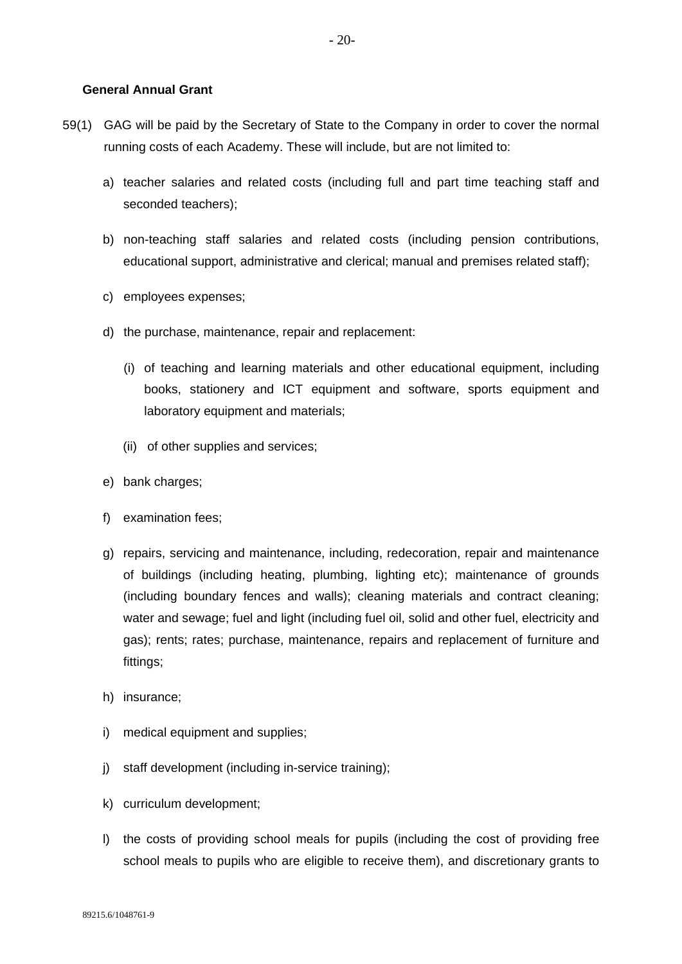## **General Annual Grant**

- 59(1) GAG will be paid by the Secretary of State to the Company in order to cover the normal running costs of each Academy. These will include, but are not limited to:
	- a) teacher salaries and related costs (including full and part time teaching staff and seconded teachers);
	- b) non-teaching staff salaries and related costs (including pension contributions, educational support, administrative and clerical; manual and premises related staff);
	- c) employees expenses;
	- d) the purchase, maintenance, repair and replacement:
		- (i) of teaching and learning materials and other educational equipment, including books, stationery and ICT equipment and software, sports equipment and laboratory equipment and materials;
		- (ii) of other supplies and services;
	- e) bank charges;
	- f) examination fees;
	- g) repairs, servicing and maintenance, including, redecoration, repair and maintenance of buildings (including heating, plumbing, lighting etc); maintenance of grounds (including boundary fences and walls); cleaning materials and contract cleaning; water and sewage; fuel and light (including fuel oil, solid and other fuel, electricity and gas); rents; rates; purchase, maintenance, repairs and replacement of furniture and fittings;
	- h) insurance;
	- i) medical equipment and supplies;
	- j) staff development (including in-service training);
	- k) curriculum development;
	- l) the costs of providing school meals for pupils (including the cost of providing free school meals to pupils who are eligible to receive them), and discretionary grants to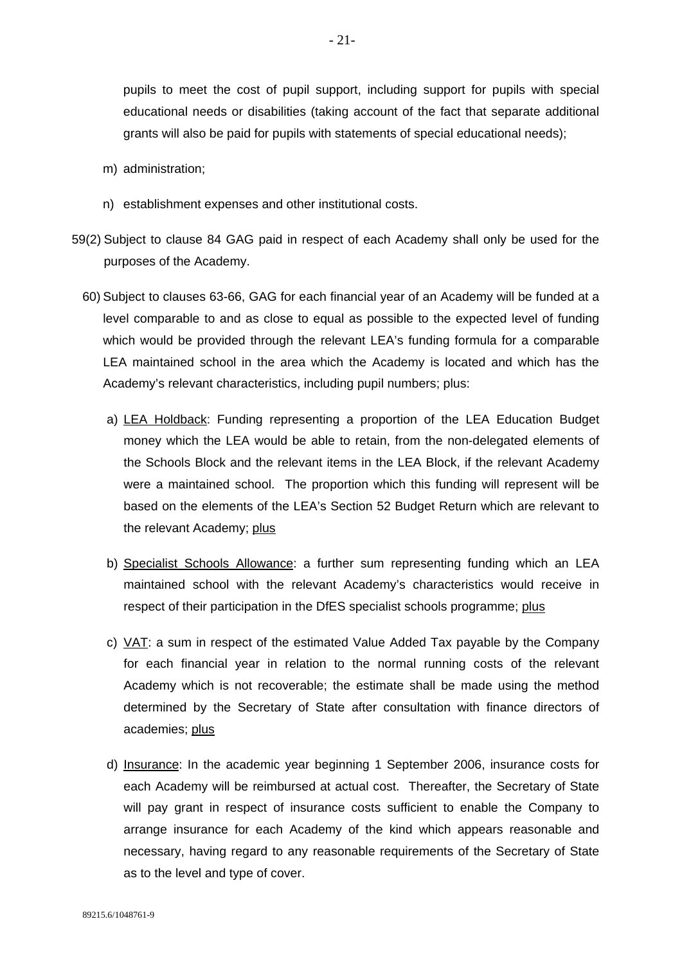pupils to meet the cost of pupil support, including support for pupils with special educational needs or disabilities (taking account of the fact that separate additional grants will also be paid for pupils with statements of special educational needs);

- m) administration;
- n) establishment expenses and other institutional costs.
- 59(2) Subject to clause 84 GAG paid in respect of each Academy shall only be used for the purposes of the Academy.
	- 60) Subject to clauses 63-66, GAG for each financial year of an Academy will be funded at a level comparable to and as close to equal as possible to the expected level of funding which would be provided through the relevant LEA's funding formula for a comparable LEA maintained school in the area which the Academy is located and which has the Academy's relevant characteristics, including pupil numbers; plus:
		- a) LEA Holdback: Funding representing a proportion of the LEA Education Budget money which the LEA would be able to retain, from the non-delegated elements of the Schools Block and the relevant items in the LEA Block, if the relevant Academy were a maintained school. The proportion which this funding will represent will be based on the elements of the LEA's Section 52 Budget Return which are relevant to the relevant Academy; plus
		- b) Specialist Schools Allowance: a further sum representing funding which an LEA maintained school with the relevant Academy's characteristics would receive in respect of their participation in the DfES specialist schools programme; plus
		- c)  $VAT$ : a sum in respect of the estimated Value Added Tax payable by the Company for each financial year in relation to the normal running costs of the relevant Academy which is not recoverable; the estimate shall be made using the method determined by the Secretary of State after consultation with finance directors of academies; plus
		- d) Insurance: In the academic year beginning 1 September 2006, insurance costs for each Academy will be reimbursed at actual cost. Thereafter, the Secretary of State will pay grant in respect of insurance costs sufficient to enable the Company to arrange insurance for each Academy of the kind which appears reasonable and necessary, having regard to any reasonable requirements of the Secretary of State as to the level and type of cover.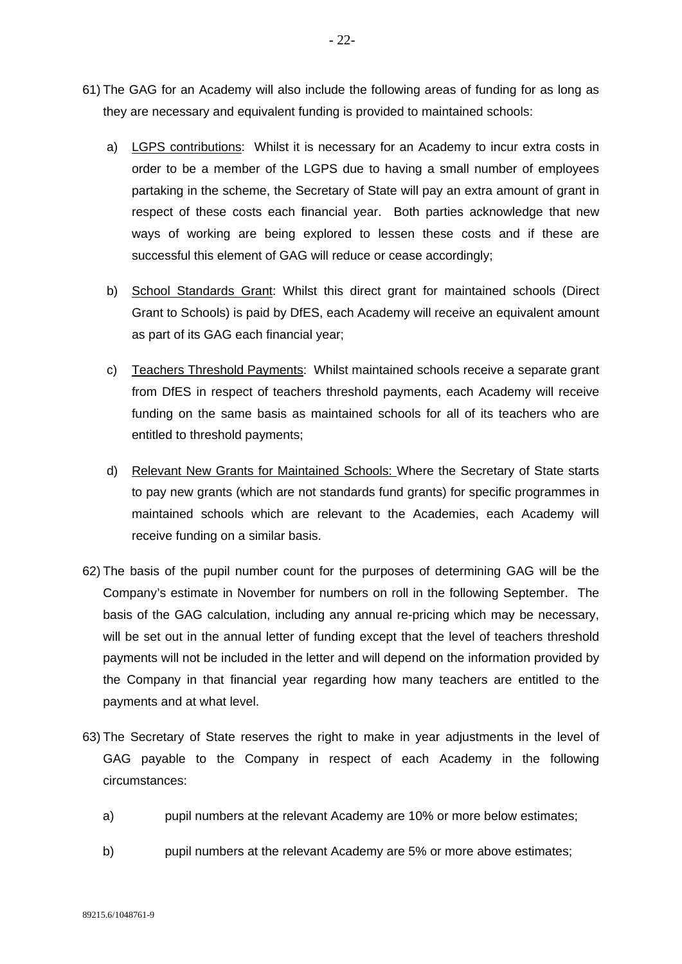- 61) The GAG for an Academy will also include the following areas of funding for as long as they are necessary and equivalent funding is provided to maintained schools:
	- a) LGPS contributions: Whilst it is necessary for an Academy to incur extra costs in order to be a member of the LGPS due to having a small number of employees partaking in the scheme, the Secretary of State will pay an extra amount of grant in respect of these costs each financial year. Both parties acknowledge that new ways of working are being explored to lessen these costs and if these are successful this element of GAG will reduce or cease accordingly;
	- b) School Standards Grant: Whilst this direct grant for maintained schools (Direct Grant to Schools) is paid by DfES, each Academy will receive an equivalent amount as part of its GAG each financial year;
	- c) Teachers Threshold Payments: Whilst maintained schools receive a separate grant from DfES in respect of teachers threshold payments, each Academy will receive funding on the same basis as maintained schools for all of its teachers who are entitled to threshold payments;
	- d) Relevant New Grants for Maintained Schools: Where the Secretary of State starts to pay new grants (which are not standards fund grants) for specific programmes in maintained schools which are relevant to the Academies, each Academy will receive funding on a similar basis.
- 62) The basis of the pupil number count for the purposes of determining GAG will be the Company's estimate in November for numbers on roll in the following September. The basis of the GAG calculation, including any annual re-pricing which may be necessary, will be set out in the annual letter of funding except that the level of teachers threshold payments will not be included in the letter and will depend on the information provided by the Company in that financial year regarding how many teachers are entitled to the payments and at what level.
- 63) The Secretary of State reserves the right to make in year adjustments in the level of GAG payable to the Company in respect of each Academy in the following circumstances:
	- a) pupil numbers at the relevant Academy are 10% or more below estimates;
	- b) pupil numbers at the relevant Academy are 5% or more above estimates;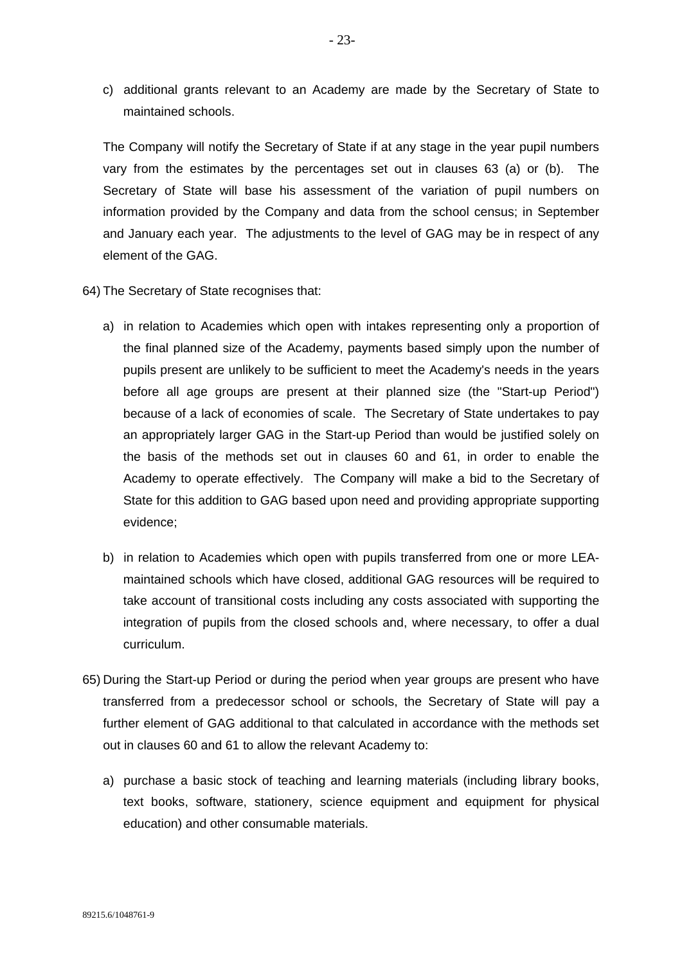c) additional grants relevant to an Academy are made by the Secretary of State to maintained schools.

The Company will notify the Secretary of State if at any stage in the year pupil numbers vary from the estimates by the percentages set out in clauses 63 (a) or (b). The Secretary of State will base his assessment of the variation of pupil numbers on information provided by the Company and data from the school census; in September and January each year. The adjustments to the level of GAG may be in respect of any element of the GAG.

- 64) The Secretary of State recognises that:
	- a) in relation to Academies which open with intakes representing only a proportion of the final planned size of the Academy, payments based simply upon the number of pupils present are unlikely to be sufficient to meet the Academy's needs in the years before all age groups are present at their planned size (the "Start-up Period") because of a lack of economies of scale. The Secretary of State undertakes to pay an appropriately larger GAG in the Start-up Period than would be justified solely on the basis of the methods set out in clauses 60 and 61, in order to enable the Academy to operate effectively. The Company will make a bid to the Secretary of State for this addition to GAG based upon need and providing appropriate supporting evidence;
	- b) in relation to Academies which open with pupils transferred from one or more LEAmaintained schools which have closed, additional GAG resources will be required to take account of transitional costs including any costs associated with supporting the integration of pupils from the closed schools and, where necessary, to offer a dual curriculum.
- 65) During the Start-up Period or during the period when year groups are present who have transferred from a predecessor school or schools, the Secretary of State will pay a further element of GAG additional to that calculated in accordance with the methods set out in clauses 60 and 61 to allow the relevant Academy to:
	- a) purchase a basic stock of teaching and learning materials (including library books, text books, software, stationery, science equipment and equipment for physical education) and other consumable materials.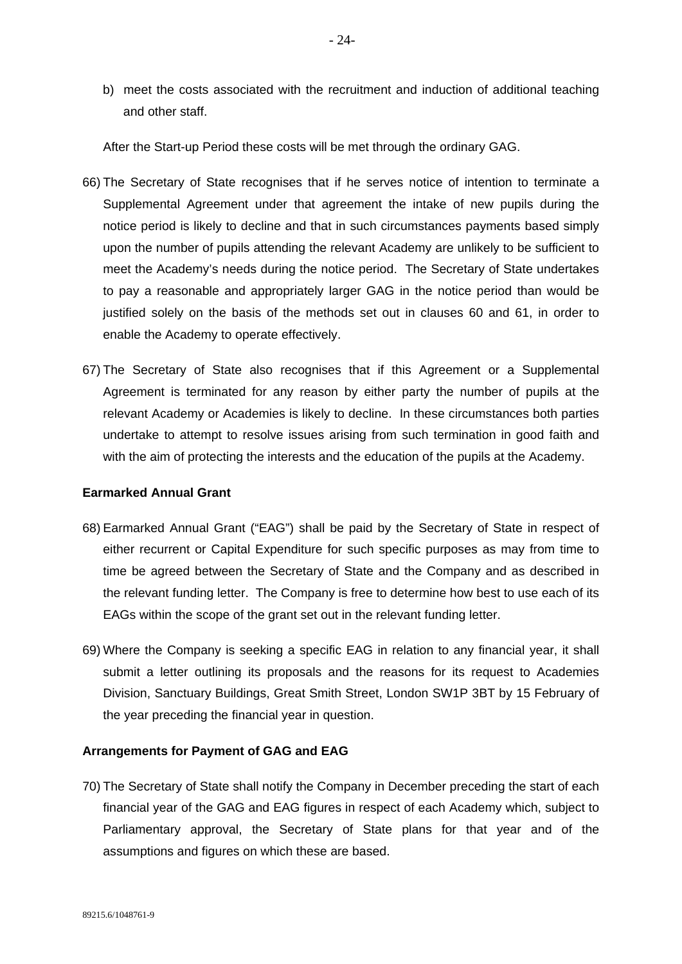b) meet the costs associated with the recruitment and induction of additional teaching and other staff.

After the Start-up Period these costs will be met through the ordinary GAG.

- 66) The Secretary of State recognises that if he serves notice of intention to terminate a Supplemental Agreement under that agreement the intake of new pupils during the notice period is likely to decline and that in such circumstances payments based simply upon the number of pupils attending the relevant Academy are unlikely to be sufficient to meet the Academy's needs during the notice period. The Secretary of State undertakes to pay a reasonable and appropriately larger GAG in the notice period than would be justified solely on the basis of the methods set out in clauses 60 and 61, in order to enable the Academy to operate effectively.
- 67) The Secretary of State also recognises that if this Agreement or a Supplemental Agreement is terminated for any reason by either party the number of pupils at the relevant Academy or Academies is likely to decline. In these circumstances both parties undertake to attempt to resolve issues arising from such termination in good faith and with the aim of protecting the interests and the education of the pupils at the Academy.

#### **Earmarked Annual Grant**

- 68) Earmarked Annual Grant ("EAG") shall be paid by the Secretary of State in respect of either recurrent or Capital Expenditure for such specific purposes as may from time to time be agreed between the Secretary of State and the Company and as described in the relevant funding letter. The Company is free to determine how best to use each of its EAGs within the scope of the grant set out in the relevant funding letter.
- 69) Where the Company is seeking a specific EAG in relation to any financial year, it shall submit a letter outlining its proposals and the reasons for its request to Academies Division, Sanctuary Buildings, Great Smith Street, London SW1P 3BT by 15 February of the year preceding the financial year in question.

#### **Arrangements for Payment of GAG and EAG**

70) The Secretary of State shall notify the Company in December preceding the start of each financial year of the GAG and EAG figures in respect of each Academy which, subject to Parliamentary approval, the Secretary of State plans for that year and of the assumptions and figures on which these are based.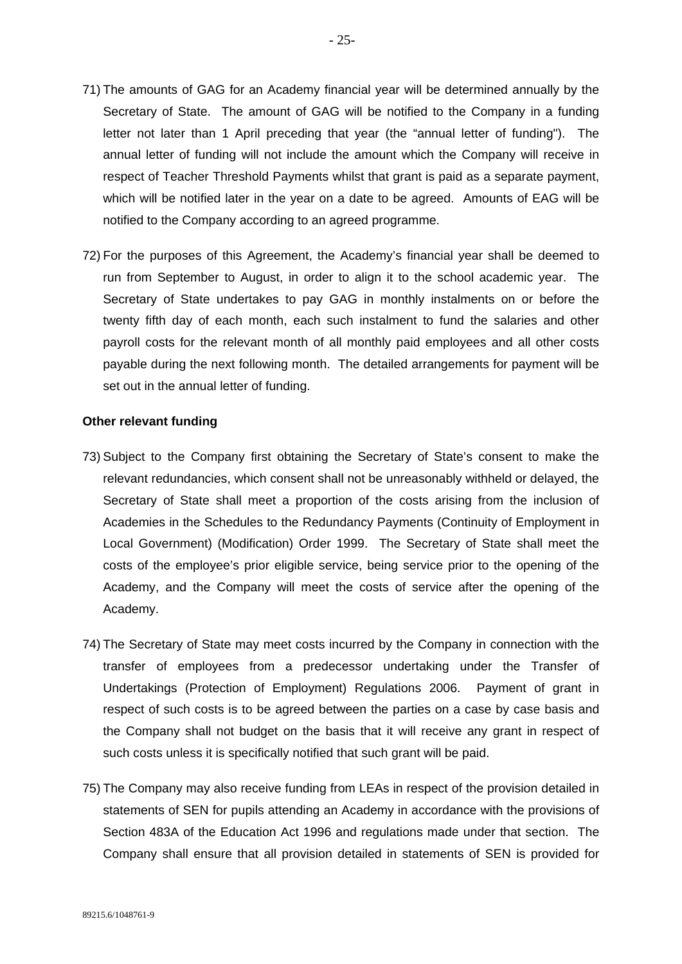- 71) The amounts of GAG for an Academy financial year will be determined annually by the Secretary of State. The amount of GAG will be notified to the Company in a funding letter not later than 1 April preceding that year (the "annual letter of funding"). The annual letter of funding will not include the amount which the Company will receive in respect of Teacher Threshold Payments whilst that grant is paid as a separate payment, which will be notified later in the year on a date to be agreed. Amounts of EAG will be notified to the Company according to an agreed programme.
- 72) For the purposes of this Agreement, the Academy's financial year shall be deemed to run from September to August, in order to align it to the school academic year. The Secretary of State undertakes to pay GAG in monthly instalments on or before the twenty fifth day of each month, each such instalment to fund the salaries and other payroll costs for the relevant month of all monthly paid employees and all other costs payable during the next following month. The detailed arrangements for payment will be set out in the annual letter of funding.

### **Other relevant funding**

- 73) Subject to the Company first obtaining the Secretary of State's consent to make the relevant redundancies, which consent shall not be unreasonably withheld or delayed, the Secretary of State shall meet a proportion of the costs arising from the inclusion of Academies in the Schedules to the Redundancy Payments (Continuity of Employment in Local Government) (Modification) Order 1999. The Secretary of State shall meet the costs of the employee's prior eligible service, being service prior to the opening of the Academy, and the Company will meet the costs of service after the opening of the Academy.
- 74) The Secretary of State may meet costs incurred by the Company in connection with the transfer of employees from a predecessor undertaking under the Transfer of Undertakings (Protection of Employment) Regulations 2006. Payment of grant in respect of such costs is to be agreed between the parties on a case by case basis and the Company shall not budget on the basis that it will receive any grant in respect of such costs unless it is specifically notified that such grant will be paid.
- 75) The Company may also receive funding from LEAs in respect of the provision detailed in statements of SEN for pupils attending an Academy in accordance with the provisions of Section 483A of the Education Act 1996 and regulations made under that section. The Company shall ensure that all provision detailed in statements of SEN is provided for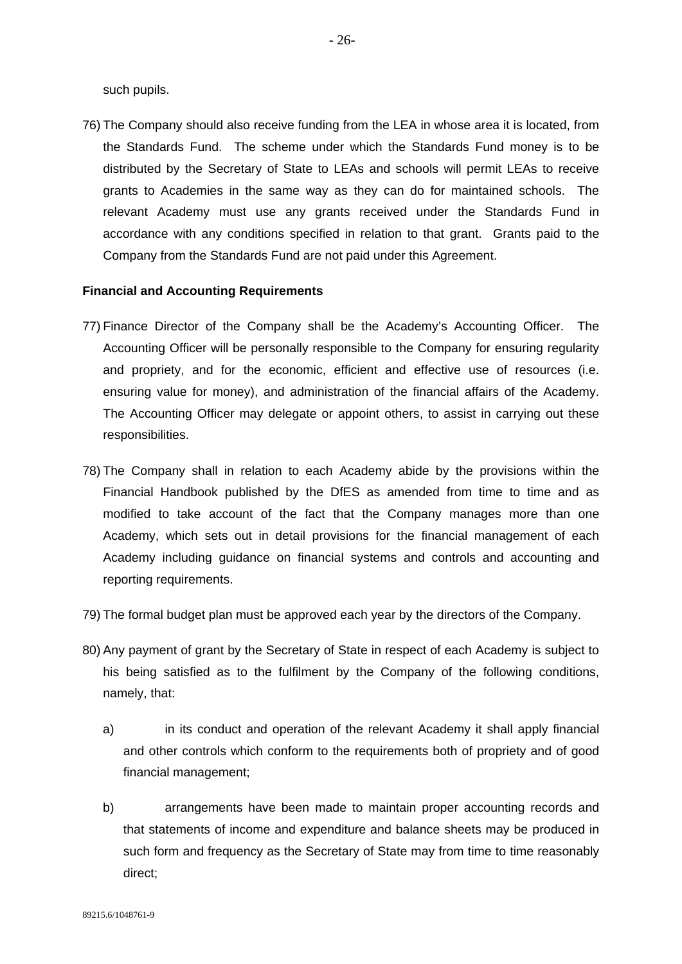such pupils.

76) The Company should also receive funding from the LEA in whose area it is located, from the Standards Fund. The scheme under which the Standards Fund money is to be distributed by the Secretary of State to LEAs and schools will permit LEAs to receive grants to Academies in the same way as they can do for maintained schools. The relevant Academy must use any grants received under the Standards Fund in accordance with any conditions specified in relation to that grant. Grants paid to the Company from the Standards Fund are not paid under this Agreement.

#### **Financial and Accounting Requirements**

- 77) Finance Director of the Company shall be the Academy's Accounting Officer. The Accounting Officer will be personally responsible to the Company for ensuring regularity and propriety, and for the economic, efficient and effective use of resources (i.e. ensuring value for money), and administration of the financial affairs of the Academy. The Accounting Officer may delegate or appoint others, to assist in carrying out these responsibilities.
- 78) The Company shall in relation to each Academy abide by the provisions within the Financial Handbook published by the DfES as amended from time to time and as modified to take account of the fact that the Company manages more than one Academy, which sets out in detail provisions for the financial management of each Academy including guidance on financial systems and controls and accounting and reporting requirements.
- 79) The formal budget plan must be approved each year by the directors of the Company.
- 80) Any payment of grant by the Secretary of State in respect of each Academy is subject to his being satisfied as to the fulfilment by the Company of the following conditions, namely, that:
	- a) in its conduct and operation of the relevant Academy it shall apply financial and other controls which conform to the requirements both of propriety and of good financial management;
	- b) arrangements have been made to maintain proper accounting records and that statements of income and expenditure and balance sheets may be produced in such form and frequency as the Secretary of State may from time to time reasonably direct;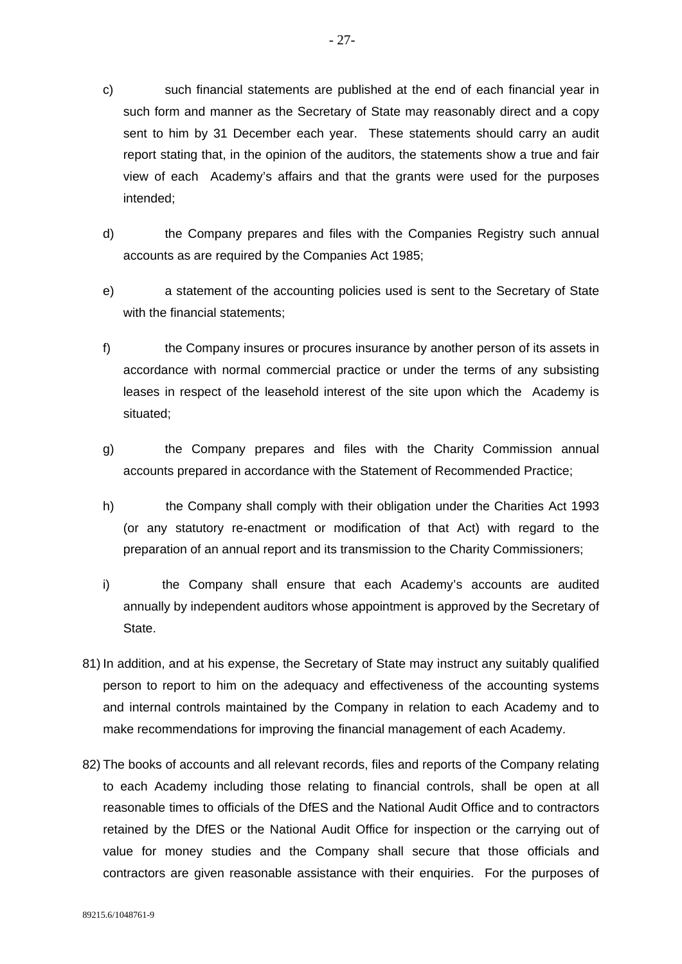- c) such financial statements are published at the end of each financial year in such form and manner as the Secretary of State may reasonably direct and a copy sent to him by 31 December each year. These statements should carry an audit report stating that, in the opinion of the auditors, the statements show a true and fair view of each Academy's affairs and that the grants were used for the purposes intended;
- d) the Company prepares and files with the Companies Registry such annual accounts as are required by the Companies Act 1985;
- e) a statement of the accounting policies used is sent to the Secretary of State with the financial statements:
- f) the Company insures or procures insurance by another person of its assets in accordance with normal commercial practice or under the terms of any subsisting leases in respect of the leasehold interest of the site upon which the Academy is situated;
- g) the Company prepares and files with the Charity Commission annual accounts prepared in accordance with the Statement of Recommended Practice;
- h) the Company shall comply with their obligation under the Charities Act 1993 (or any statutory re-enactment or modification of that Act) with regard to the preparation of an annual report and its transmission to the Charity Commissioners;
- i) the Company shall ensure that each Academy's accounts are audited annually by independent auditors whose appointment is approved by the Secretary of State.
- 81) In addition, and at his expense, the Secretary of State may instruct any suitably qualified person to report to him on the adequacy and effectiveness of the accounting systems and internal controls maintained by the Company in relation to each Academy and to make recommendations for improving the financial management of each Academy.
- 82) The books of accounts and all relevant records, files and reports of the Company relating to each Academy including those relating to financial controls, shall be open at all reasonable times to officials of the DfES and the National Audit Office and to contractors retained by the DfES or the National Audit Office for inspection or the carrying out of value for money studies and the Company shall secure that those officials and contractors are given reasonable assistance with their enquiries. For the purposes of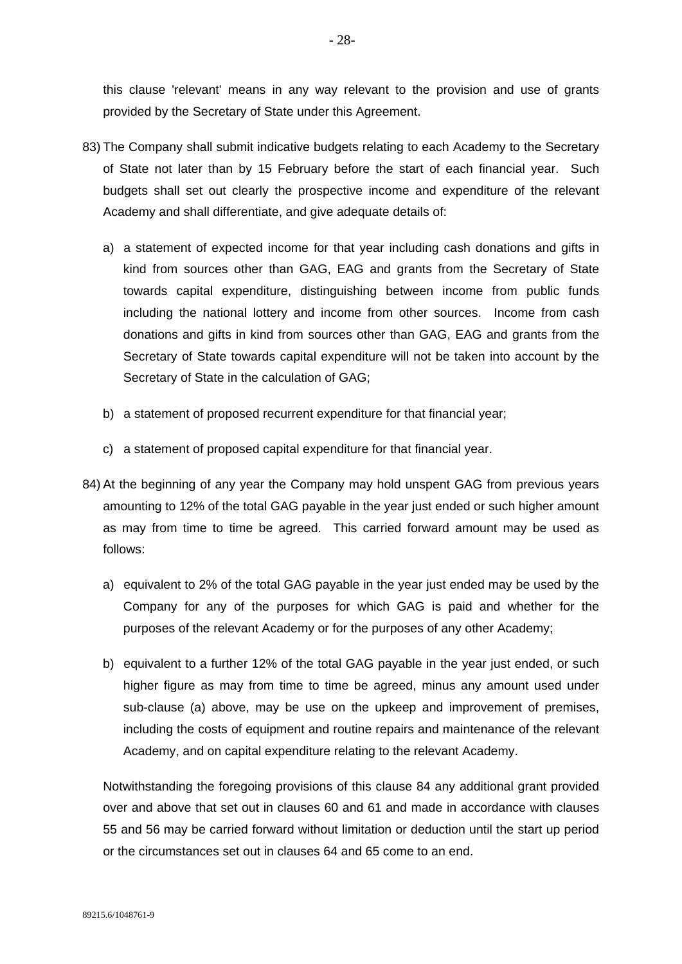this clause 'relevant' means in any way relevant to the provision and use of grants provided by the Secretary of State under this Agreement.

- 83) The Company shall submit indicative budgets relating to each Academy to the Secretary of State not later than by 15 February before the start of each financial year. Such budgets shall set out clearly the prospective income and expenditure of the relevant Academy and shall differentiate, and give adequate details of:
	- a) a statement of expected income for that year including cash donations and gifts in kind from sources other than GAG, EAG and grants from the Secretary of State towards capital expenditure, distinguishing between income from public funds including the national lottery and income from other sources. Income from cash donations and gifts in kind from sources other than GAG, EAG and grants from the Secretary of State towards capital expenditure will not be taken into account by the Secretary of State in the calculation of GAG;
	- b) a statement of proposed recurrent expenditure for that financial year;
	- c) a statement of proposed capital expenditure for that financial year.
- 84) At the beginning of any year the Company may hold unspent GAG from previous years amounting to 12% of the total GAG payable in the year just ended or such higher amount as may from time to time be agreed. This carried forward amount may be used as follows:
	- a) equivalent to 2% of the total GAG payable in the year just ended may be used by the Company for any of the purposes for which GAG is paid and whether for the purposes of the relevant Academy or for the purposes of any other Academy;
	- b) equivalent to a further 12% of the total GAG payable in the year just ended, or such higher figure as may from time to time be agreed, minus any amount used under sub-clause (a) above, may be use on the upkeep and improvement of premises, including the costs of equipment and routine repairs and maintenance of the relevant Academy, and on capital expenditure relating to the relevant Academy.

Notwithstanding the foregoing provisions of this clause 84 any additional grant provided over and above that set out in clauses 60 and 61 and made in accordance with clauses 55 and 56 may be carried forward without limitation or deduction until the start up period or the circumstances set out in clauses 64 and 65 come to an end.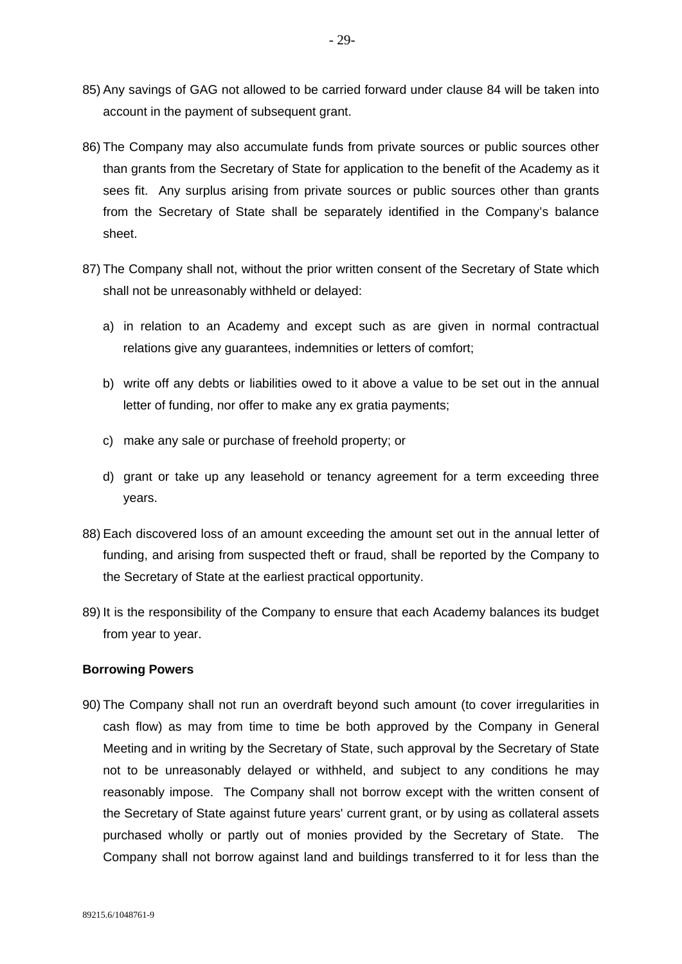- 85) Any savings of GAG not allowed to be carried forward under clause 84 will be taken into account in the payment of subsequent grant.
- 86) The Company may also accumulate funds from private sources or public sources other than grants from the Secretary of State for application to the benefit of the Academy as it sees fit. Any surplus arising from private sources or public sources other than grants from the Secretary of State shall be separately identified in the Company's balance sheet.
- 87) The Company shall not, without the prior written consent of the Secretary of State which shall not be unreasonably withheld or delayed:
	- a) in relation to an Academy and except such as are given in normal contractual relations give any guarantees, indemnities or letters of comfort;
	- b) write off any debts or liabilities owed to it above a value to be set out in the annual letter of funding, nor offer to make any ex gratia payments;
	- c) make any sale or purchase of freehold property; or
	- d) grant or take up any leasehold or tenancy agreement for a term exceeding three years.
- 88) Each discovered loss of an amount exceeding the amount set out in the annual letter of funding, and arising from suspected theft or fraud, shall be reported by the Company to the Secretary of State at the earliest practical opportunity.
- 89) It is the responsibility of the Company to ensure that each Academy balances its budget from year to year.

## **Borrowing Powers**

90) The Company shall not run an overdraft beyond such amount (to cover irregularities in cash flow) as may from time to time be both approved by the Company in General Meeting and in writing by the Secretary of State, such approval by the Secretary of State not to be unreasonably delayed or withheld, and subject to any conditions he may reasonably impose. The Company shall not borrow except with the written consent of the Secretary of State against future years' current grant, or by using as collateral assets purchased wholly or partly out of monies provided by the Secretary of State. The Company shall not borrow against land and buildings transferred to it for less than the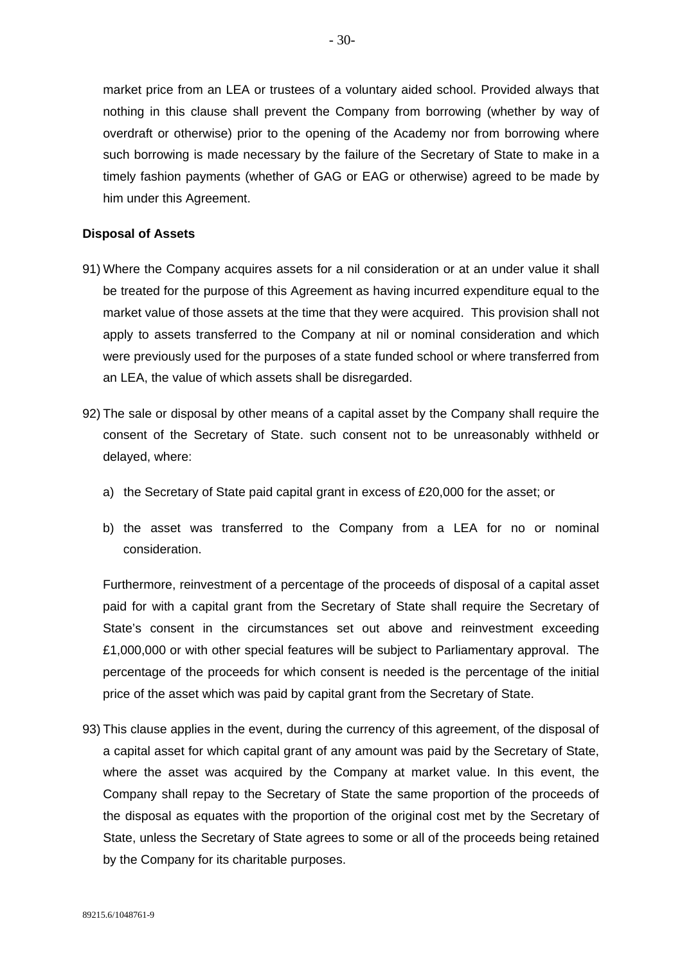market price from an LEA or trustees of a voluntary aided school. Provided always that nothing in this clause shall prevent the Company from borrowing (whether by way of overdraft or otherwise) prior to the opening of the Academy nor from borrowing where such borrowing is made necessary by the failure of the Secretary of State to make in a timely fashion payments (whether of GAG or EAG or otherwise) agreed to be made by him under this Agreement.

## **Disposal of Assets**

- 91) Where the Company acquires assets for a nil consideration or at an under value it shall be treated for the purpose of this Agreement as having incurred expenditure equal to the market value of those assets at the time that they were acquired. This provision shall not apply to assets transferred to the Company at nil or nominal consideration and which were previously used for the purposes of a state funded school or where transferred from an LEA, the value of which assets shall be disregarded.
- 92) The sale or disposal by other means of a capital asset by the Company shall require the consent of the Secretary of State. such consent not to be unreasonably withheld or delayed, where:
	- a) the Secretary of State paid capital grant in excess of £20,000 for the asset; or
	- b) the asset was transferred to the Company from a LEA for no or nominal consideration.

Furthermore, reinvestment of a percentage of the proceeds of disposal of a capital asset paid for with a capital grant from the Secretary of State shall require the Secretary of State's consent in the circumstances set out above and reinvestment exceeding £1,000,000 or with other special features will be subject to Parliamentary approval. The percentage of the proceeds for which consent is needed is the percentage of the initial price of the asset which was paid by capital grant from the Secretary of State.

93) This clause applies in the event, during the currency of this agreement, of the disposal of a capital asset for which capital grant of any amount was paid by the Secretary of State, where the asset was acquired by the Company at market value. In this event, the Company shall repay to the Secretary of State the same proportion of the proceeds of the disposal as equates with the proportion of the original cost met by the Secretary of State, unless the Secretary of State agrees to some or all of the proceeds being retained by the Company for its charitable purposes.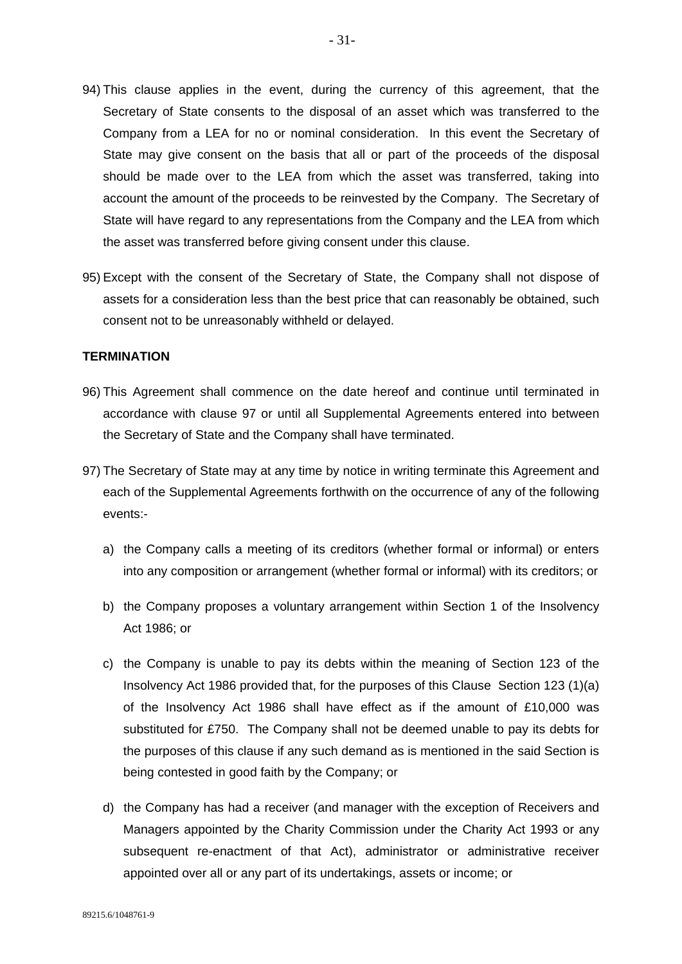- 94) This clause applies in the event, during the currency of this agreement, that the Secretary of State consents to the disposal of an asset which was transferred to the Company from a LEA for no or nominal consideration. In this event the Secretary of State may give consent on the basis that all or part of the proceeds of the disposal should be made over to the LEA from which the asset was transferred, taking into account the amount of the proceeds to be reinvested by the Company. The Secretary of State will have regard to any representations from the Company and the LEA from which the asset was transferred before giving consent under this clause.
- 95) Except with the consent of the Secretary of State, the Company shall not dispose of assets for a consideration less than the best price that can reasonably be obtained, such consent not to be unreasonably withheld or delayed.

#### **TERMINATION**

- 96) This Agreement shall commence on the date hereof and continue until terminated in accordance with clause 97 or until all Supplemental Agreements entered into between the Secretary of State and the Company shall have terminated.
- 97) The Secretary of State may at any time by notice in writing terminate this Agreement and each of the Supplemental Agreements forthwith on the occurrence of any of the following events:
	- a) the Company calls a meeting of its creditors (whether formal or informal) or enters into any composition or arrangement (whether formal or informal) with its creditors; or
	- b) the Company proposes a voluntary arrangement within Section 1 of the Insolvency Act 1986; or
	- c) the Company is unable to pay its debts within the meaning of Section 123 of the Insolvency Act 1986 provided that, for the purposes of this Clause Section 123 (1)(a) of the Insolvency Act 1986 shall have effect as if the amount of £10,000 was substituted for £750. The Company shall not be deemed unable to pay its debts for the purposes of this clause if any such demand as is mentioned in the said Section is being contested in good faith by the Company; or
	- d) the Company has had a receiver (and manager with the exception of Receivers and Managers appointed by the Charity Commission under the Charity Act 1993 or any subsequent re-enactment of that Act), administrator or administrative receiver appointed over all or any part of its undertakings, assets or income; or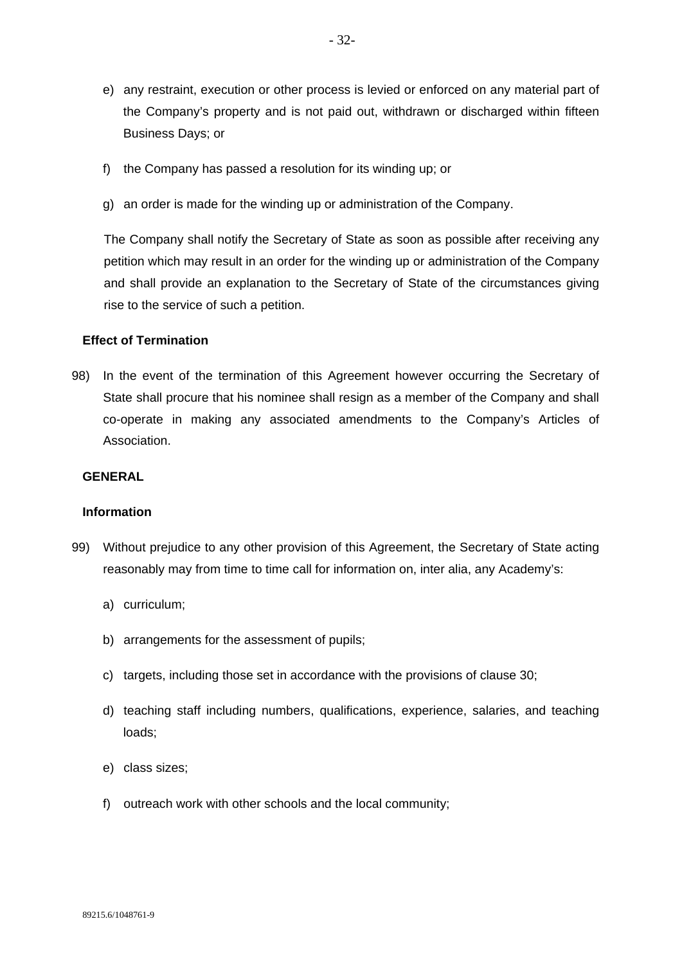- e) any restraint, execution or other process is levied or enforced on any material part of the Company's property and is not paid out, withdrawn or discharged within fifteen Business Days; or
- f) the Company has passed a resolution for its winding up; or
- g) an order is made for the winding up or administration of the Company.

The Company shall notify the Secretary of State as soon as possible after receiving any petition which may result in an order for the winding up or administration of the Company and shall provide an explanation to the Secretary of State of the circumstances giving rise to the service of such a petition.

## **Effect of Termination**

98) In the event of the termination of this Agreement however occurring the Secretary of State shall procure that his nominee shall resign as a member of the Company and shall co-operate in making any associated amendments to the Company's Articles of Association.

## **GENERAL**

#### **Information**

- 99) Without prejudice to any other provision of this Agreement, the Secretary of State acting reasonably may from time to time call for information on, inter alia, any Academy's:
	- a) curriculum;
	- b) arrangements for the assessment of pupils;
	- c) targets, including those set in accordance with the provisions of clause 30;
	- d) teaching staff including numbers, qualifications, experience, salaries, and teaching loads;
	- e) class sizes;
	- f) outreach work with other schools and the local community;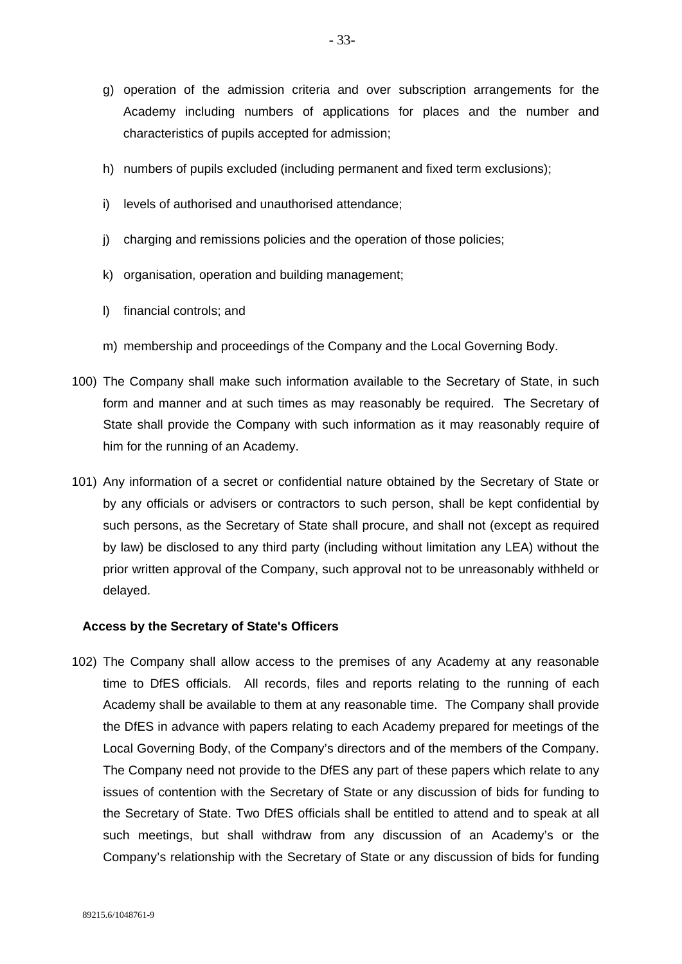- g) operation of the admission criteria and over subscription arrangements for the Academy including numbers of applications for places and the number and characteristics of pupils accepted for admission;
- h) numbers of pupils excluded (including permanent and fixed term exclusions);
- i) levels of authorised and unauthorised attendance;
- j) charging and remissions policies and the operation of those policies;
- k) organisation, operation and building management;
- l) financial controls; and
- m) membership and proceedings of the Company and the Local Governing Body.
- 100) The Company shall make such information available to the Secretary of State, in such form and manner and at such times as may reasonably be required. The Secretary of State shall provide the Company with such information as it may reasonably require of him for the running of an Academy.
- 101) Any information of a secret or confidential nature obtained by the Secretary of State or by any officials or advisers or contractors to such person, shall be kept confidential by such persons, as the Secretary of State shall procure, and shall not (except as required by law) be disclosed to any third party (including without limitation any LEA) without the prior written approval of the Company, such approval not to be unreasonably withheld or delayed.

## **Access by the Secretary of State's Officers**

102) The Company shall allow access to the premises of any Academy at any reasonable time to DfES officials. All records, files and reports relating to the running of each Academy shall be available to them at any reasonable time. The Company shall provide the DfES in advance with papers relating to each Academy prepared for meetings of the Local Governing Body, of the Company's directors and of the members of the Company. The Company need not provide to the DfES any part of these papers which relate to any issues of contention with the Secretary of State or any discussion of bids for funding to the Secretary of State. Two DfES officials shall be entitled to attend and to speak at all such meetings, but shall withdraw from any discussion of an Academy's or the Company's relationship with the Secretary of State or any discussion of bids for funding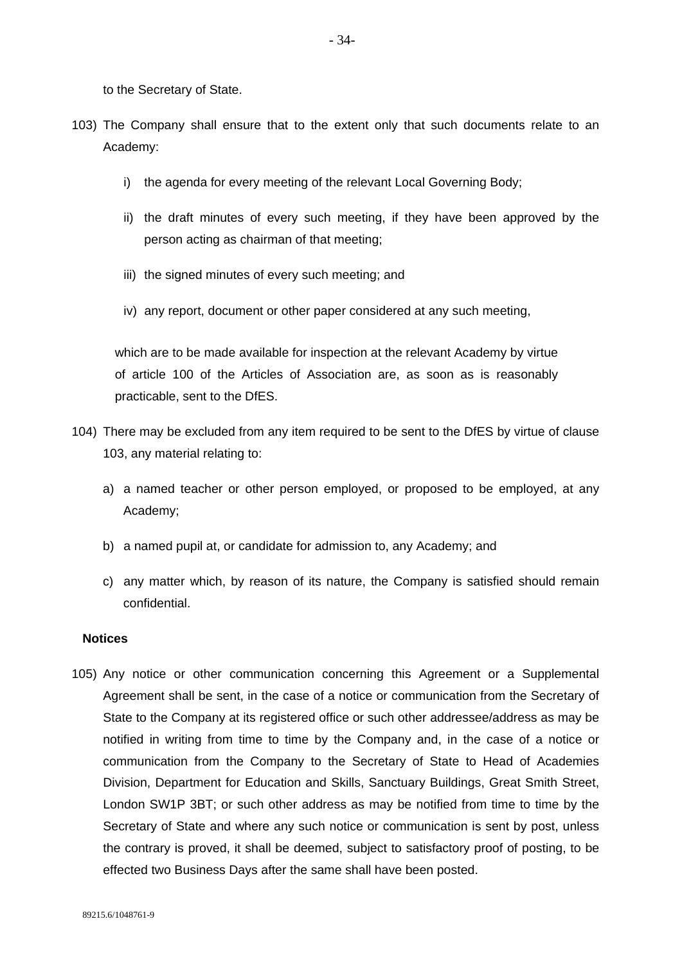to the Secretary of State.

- 103) The Company shall ensure that to the extent only that such documents relate to an Academy:
	- i) the agenda for every meeting of the relevant Local Governing Body;
	- ii) the draft minutes of every such meeting, if they have been approved by the person acting as chairman of that meeting;
	- iii) the signed minutes of every such meeting; and
	- iv) any report, document or other paper considered at any such meeting,

which are to be made available for inspection at the relevant Academy by virtue of article 100 of the Articles of Association are, as soon as is reasonably practicable, sent to the DfES.

- 104) There may be excluded from any item required to be sent to the DfES by virtue of clause 103, any material relating to:
	- a) a named teacher or other person employed, or proposed to be employed, at any Academy;
	- b) a named pupil at, or candidate for admission to, any Academy; and
	- c) any matter which, by reason of its nature, the Company is satisfied should remain confidential.

#### **Notices**

105) Any notice or other communication concerning this Agreement or a Supplemental Agreement shall be sent, in the case of a notice or communication from the Secretary of State to the Company at its registered office or such other addressee/address as may be notified in writing from time to time by the Company and, in the case of a notice or communication from the Company to the Secretary of State to Head of Academies Division, Department for Education and Skills, Sanctuary Buildings, Great Smith Street, London SW1P 3BT; or such other address as may be notified from time to time by the Secretary of State and where any such notice or communication is sent by post, unless the contrary is proved, it shall be deemed, subject to satisfactory proof of posting, to be effected two Business Days after the same shall have been posted.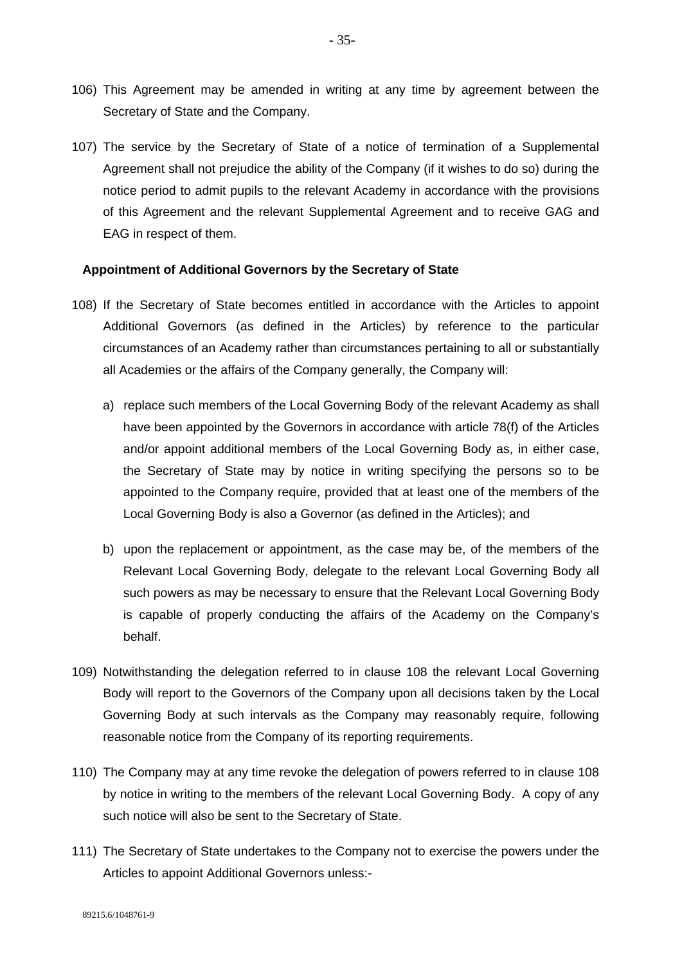- 106) This Agreement may be amended in writing at any time by agreement between the Secretary of State and the Company.
- 107) The service by the Secretary of State of a notice of termination of a Supplemental Agreement shall not prejudice the ability of the Company (if it wishes to do so) during the notice period to admit pupils to the relevant Academy in accordance with the provisions of this Agreement and the relevant Supplemental Agreement and to receive GAG and EAG in respect of them.

#### **Appointment of Additional Governors by the Secretary of State**

- 108) If the Secretary of State becomes entitled in accordance with the Articles to appoint Additional Governors (as defined in the Articles) by reference to the particular circumstances of an Academy rather than circumstances pertaining to all or substantially all Academies or the affairs of the Company generally, the Company will:
	- a) replace such members of the Local Governing Body of the relevant Academy as shall have been appointed by the Governors in accordance with article 78(f) of the Articles and/or appoint additional members of the Local Governing Body as, in either case, the Secretary of State may by notice in writing specifying the persons so to be appointed to the Company require, provided that at least one of the members of the Local Governing Body is also a Governor (as defined in the Articles); and
	- b) upon the replacement or appointment, as the case may be, of the members of the Relevant Local Governing Body, delegate to the relevant Local Governing Body all such powers as may be necessary to ensure that the Relevant Local Governing Body is capable of properly conducting the affairs of the Academy on the Company's behalf.
- 109) Notwithstanding the delegation referred to in clause 108 the relevant Local Governing Body will report to the Governors of the Company upon all decisions taken by the Local Governing Body at such intervals as the Company may reasonably require, following reasonable notice from the Company of its reporting requirements.
- 110) The Company may at any time revoke the delegation of powers referred to in clause 108 by notice in writing to the members of the relevant Local Governing Body. A copy of any such notice will also be sent to the Secretary of State.
- 111) The Secretary of State undertakes to the Company not to exercise the powers under the Articles to appoint Additional Governors unless:-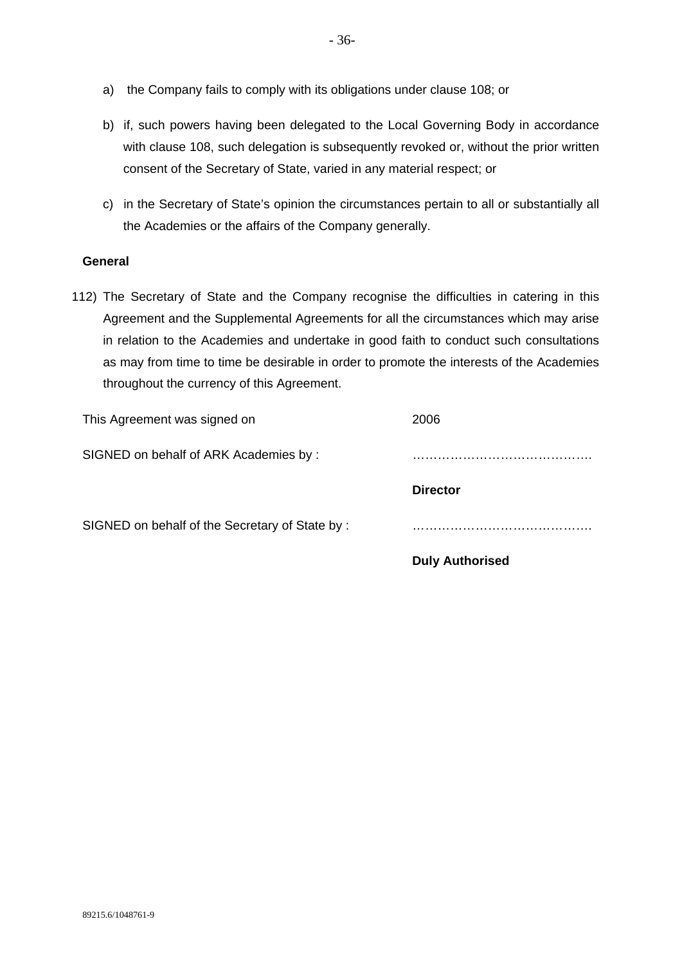- a) the Company fails to comply with its obligations under clause 108; or
- b) if, such powers having been delegated to the Local Governing Body in accordance with clause 108, such delegation is subsequently revoked or, without the prior written consent of the Secretary of State, varied in any material respect; or
- c) in the Secretary of State's opinion the circumstances pertain to all or substantially all the Academies or the affairs of the Company generally.

## **General**

112) The Secretary of State and the Company recognise the difficulties in catering in this Agreement and the Supplemental Agreements for all the circumstances which may arise in relation to the Academies and undertake in good faith to conduct such consultations as may from time to time be desirable in order to promote the interests of the Academies throughout the currency of this Agreement.

|                                                | <b>Duly Authorised</b> |
|------------------------------------------------|------------------------|
| SIGNED on behalf of the Secretary of State by: |                        |
|                                                | <b>Director</b>        |
| SIGNED on behalf of ARK Academies by:          |                        |
| This Agreement was signed on                   | 2006                   |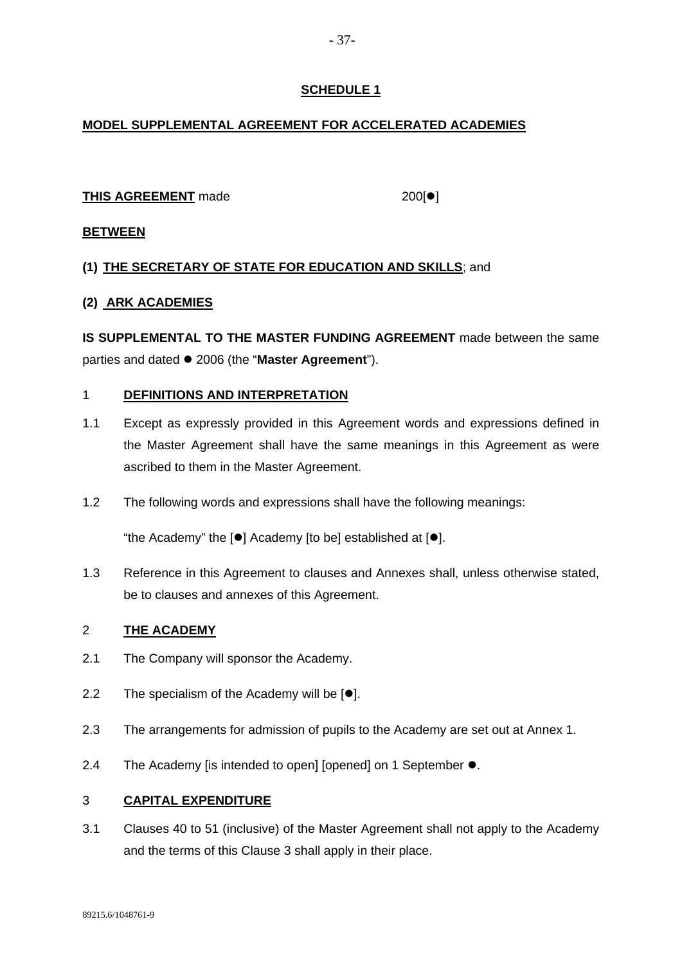# **SCHEDULE 1**

## **MODEL SUPPLEMENTAL AGREEMENT FOR ACCELERATED ACADEMIES**

## THIS AGREEMENT made 200[<sup>o</sup>]

## **BETWEEN**

## **(1) THE SECRETARY OF STATE FOR EDUCATION AND SKILLS**; and

## **(2) ARK ACADEMIES**

**IS SUPPLEMENTAL TO THE MASTER FUNDING AGREEMENT** made between the same parties and dated  $\bullet$  2006 (the "Master Agreement").

## 1 **DEFINITIONS AND INTERPRETATION**

- 1.1 Except as expressly provided in this Agreement words and expressions defined in the Master Agreement shall have the same meanings in this Agreement as were ascribed to them in the Master Agreement.
- 1.2 The following words and expressions shall have the following meanings:

"the Academy" the  $[•]$  Academy [to be] established at  $[•]$ .

1.3 Reference in this Agreement to clauses and Annexes shall, unless otherwise stated, be to clauses and annexes of this Agreement.

## 2 **THE ACADEMY**

- 2.1 The Company will sponsor the Academy.
- 2.2 The specialism of the Academy will be  $[•]$ .
- 2.3 The arrangements for admission of pupils to the Academy are set out at Annex 1.
- 2.4 The Academy [is intended to open] [opened] on 1 September ●.

## 3 **CAPITAL EXPENDITURE**

3.1 Clauses 40 to 51 (inclusive) of the Master Agreement shall not apply to the Academy and the terms of this Clause 3 shall apply in their place.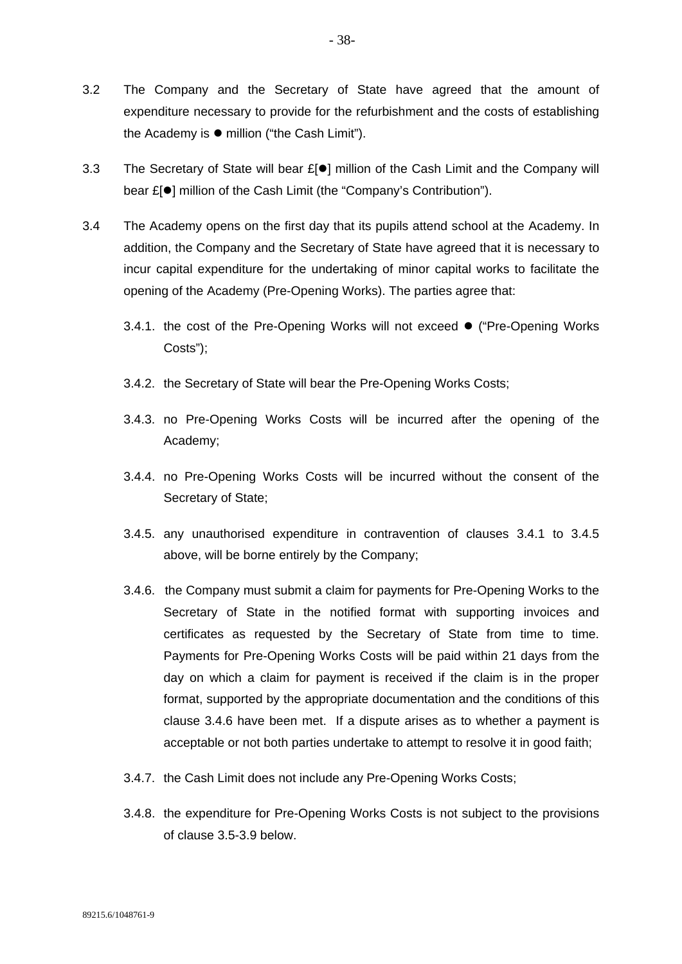- 3.2 The Company and the Secretary of State have agreed that the amount of expenditure necessary to provide for the refurbishment and the costs of establishing the Academy is  $\bullet$  million ("the Cash Limit").
- 3.3 The Secretary of State will bear  $E[\bullet]$  million of the Cash Limit and the Company will bear £[<sup>o</sup>] million of the Cash Limit (the "Company's Contribution").
- 3.4 The Academy opens on the first day that its pupils attend school at the Academy. In addition, the Company and the Secretary of State have agreed that it is necessary to incur capital expenditure for the undertaking of minor capital works to facilitate the opening of the Academy (Pre-Opening Works). The parties agree that:
	- 3.4.1. the cost of the Pre-Opening Works will not exceed ("Pre-Opening Works Costs");
	- 3.4.2. the Secretary of State will bear the Pre-Opening Works Costs;
	- 3.4.3. no Pre-Opening Works Costs will be incurred after the opening of the Academy;
	- 3.4.4. no Pre-Opening Works Costs will be incurred without the consent of the Secretary of State;
	- 3.4.5. any unauthorised expenditure in contravention of clauses 3.4.1 to 3.4.5 above, will be borne entirely by the Company;
	- 3.4.6. the Company must submit a claim for payments for Pre-Opening Works to the Secretary of State in the notified format with supporting invoices and certificates as requested by the Secretary of State from time to time. Payments for Pre-Opening Works Costs will be paid within 21 days from the day on which a claim for payment is received if the claim is in the proper format, supported by the appropriate documentation and the conditions of this clause 3.4.6 have been met. If a dispute arises as to whether a payment is acceptable or not both parties undertake to attempt to resolve it in good faith;
	- 3.4.7. the Cash Limit does not include any Pre-Opening Works Costs;
	- 3.4.8. the expenditure for Pre-Opening Works Costs is not subject to the provisions of clause 3.5-3.9 below.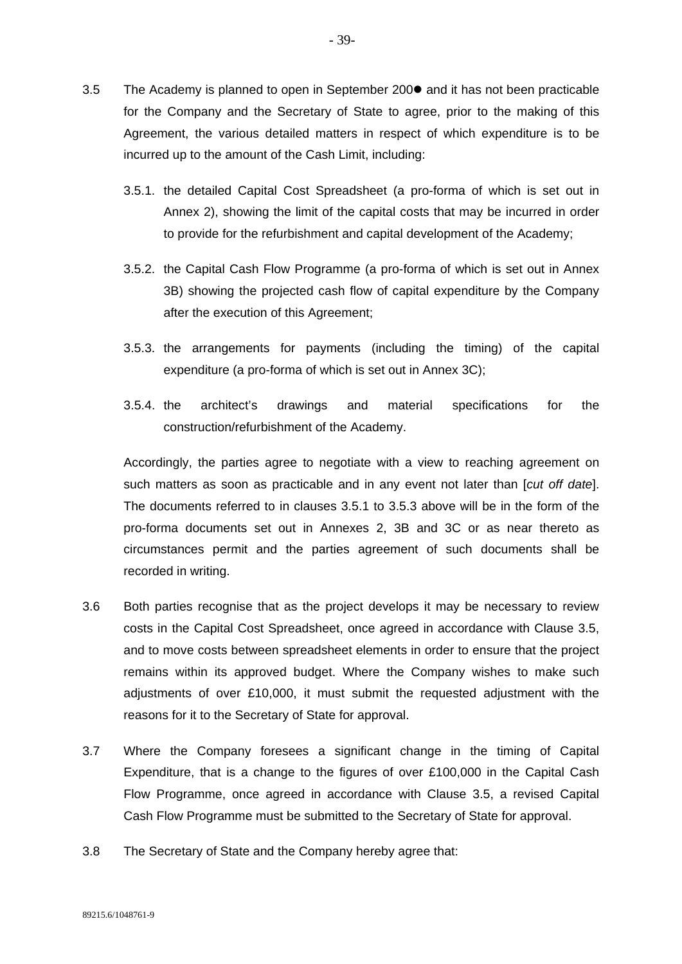- <span id="page-39-2"></span><span id="page-39-0"></span>3.5 The Academy is planned to open in September 200 $\bullet$  and it has not been practicable for the Company and the Secretary of State to agree, prior to the making of this Agreement, the various detailed matters in respect of which expenditure is to be incurred up to the amount of the Cash Limit, including:
	- 3.5.1. the detailed Capital Cost Spreadsheet (a pro-forma of which is set out in Annex 2), showing the limit of the capital costs that may be incurred in order to provide for the refurbishment and capital development of the Academy;
	- 3.5.2. the Capital Cash Flow Programme (a pro-forma of which is set out in Annex 3B) showing the projected cash flow of capital expenditure by the Company after the execution of this Agreement;
	- 3.5.3. the arrangements for payments (including the timing) of the capital expenditure (a pro-forma of which is set out in Annex 3C);
	- 3.5.4. the architect's drawings and material specifications for the construction/refurbishment of the Academy.

<span id="page-39-1"></span>Accordingly, the parties agree to negotiate with a view to reaching agreement on such matters as soon as practicable and in any event not later than [*cut off date*]. The documents referred to in clauses [3.5.1](#page-39-0) to [3.5.3](#page-39-1) above will be in the form of the pro-forma documents set out in Annexes 2, 3B and 3C or as near thereto as circumstances permit and the parties agreement of such documents shall be recorded in writing.

- 3.6 Both parties recognise that as the project develops it may be necessary to review costs in the Capital Cost Spreadsheet, once agreed in accordance with Clause 3.5, and to move costs between spreadsheet elements in order to ensure that the project remains within its approved budget. Where the Company wishes to make such adjustments of over £10,000, it must submit the requested adjustment with the reasons for it to the Secretary of State for approval.
- 3.7 Where the Company foresees a significant change in the timing of Capital Expenditure, that is a change to the figures of over £100,000 in the Capital Cash Flow Programme, once agreed in accordance with Clause 3.5, a revised Capital Cash Flow Programme must be submitted to the Secretary of State for approval.
- 3.8 The Secretary of State and the Company hereby agree that: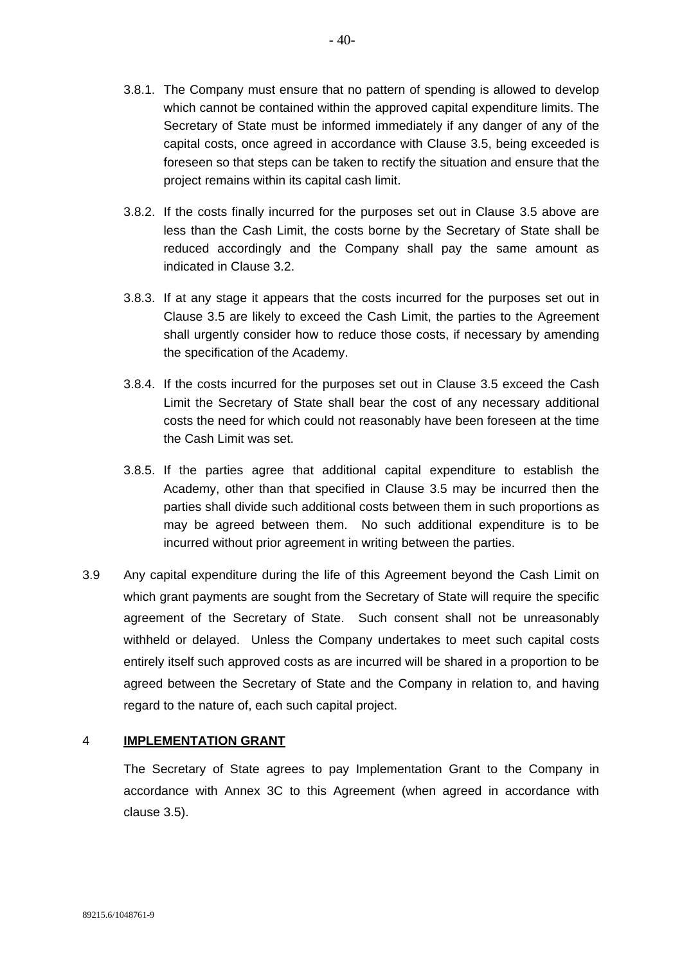- which cannot be contained within the approved capital expenditure limits. The Secretary of State must be informed immediately if any danger of any of the capital costs, once agreed in accordance with Clause 3.5, being exceeded is foreseen so that steps can be taken to rectify the situation and ensure that the project remains within its capital cash limit.
- 3.8.2. If the costs finally incurred for the purposes set out in Clause 3.5 above are less than the Cash Limit, the costs borne by the Secretary of State shall be reduced accordingly and the Company shall pay the same amount as indicated in Clause 3.2.
- 3.8.3. If at any stage it appears that the costs incurred for the purposes set out in Clause 3.5 are likely to exceed the Cash Limit, the parties to the Agreement shall urgently consider how to reduce those costs, if necessary by amending the specification of the Academy.
- 3.8.4. If the costs incurred for the purposes set out in Clause 3.5 exceed the Cash Limit the Secretary of State shall bear the cost of any necessary additional costs the need for which could not reasonably have been foreseen at the time the Cash Limit was set.
- 3.8.5. If the parties agree that additional capital expenditure to establish the Academy, other than that specified in Clause 3.5 may be incurred then the parties shall divide such additional costs between them in such proportions as may be agreed between them. No such additional expenditure is to be incurred without prior agreement in writing between the parties.
- 3.9 Any capital expenditure during the life of this Agreement beyond the Cash Limit on which grant payments are sought from the Secretary of State will require the specific agreement of the Secretary of State. Such consent shall not be unreasonably withheld or delayed. Unless the Company undertakes to meet such capital costs entirely itself such approved costs as are incurred will be shared in a proportion to be agreed between the Secretary of State and the Company in relation to, and having regard to the nature of, each such capital project.

# 4 **IMPLEMENTATION GRANT**

The Secretary of State agrees to pay Implementation Grant to the Company in accordance with Annex 3C to this Agreement (when agreed in accordance with clause 3.5).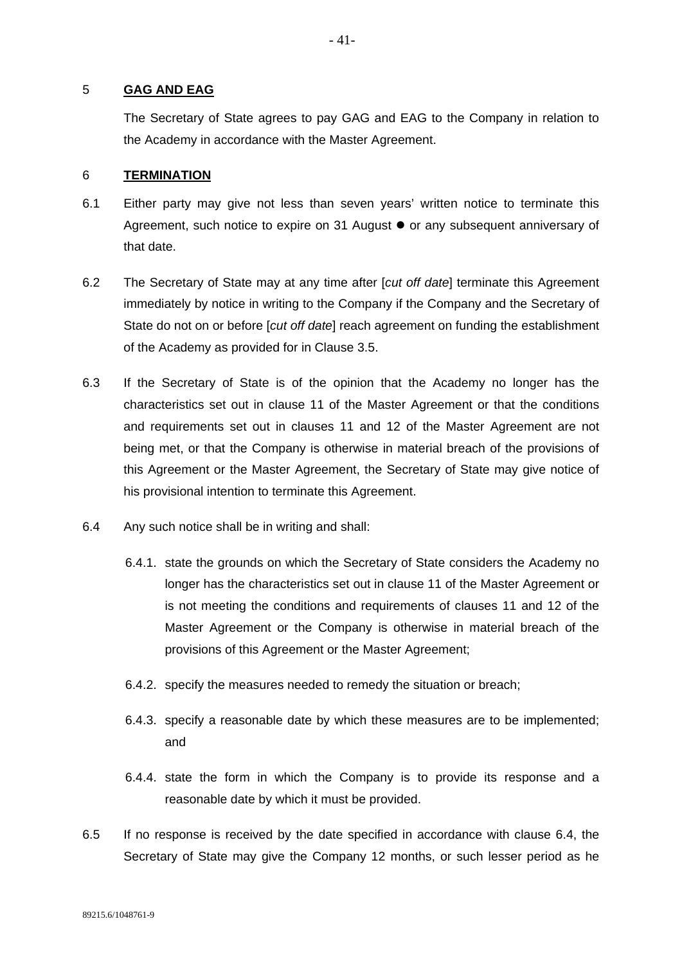#### 5 **GAG AND EAG**

The Secretary of State agrees to pay GAG and EAG to the Company in relation to the Academy in accordance with the Master Agreement.

#### 6 **TERMINATION**

- 6.1 Either party may give not less than seven years' written notice to terminate this Agreement, such notice to expire on 31 August  $\bullet$  or any subsequent anniversary of that date.
- 6.2 The Secretary of State may at any time after [*cut off date*] terminate this Agreement immediately by notice in writing to the Company if the Company and the Secretary of State do not on or before [*cut off date*] reach agreement on funding the establishment of the Academy as provided for in Clause [3.5](#page-39-2).
- 6.3 If the Secretary of State is of the opinion that the Academy no longer has the characteristics set out in clause 11 of the Master Agreement or that the conditions and requirements set out in clauses 11 and 12 of the Master Agreement are not being met, or that the Company is otherwise in material breach of the provisions of this Agreement or the Master Agreement, the Secretary of State may give notice of his provisional intention to terminate this Agreement.
- <span id="page-41-0"></span>6.4 Any such notice shall be in writing and shall:
	- 6.4.1. state the grounds on which the Secretary of State considers the Academy no longer has the characteristics set out in clause 11 of the Master Agreement or is not meeting the conditions and requirements of clauses 11 and 12 of the Master Agreement or the Company is otherwise in material breach of the provisions of this Agreement or the Master Agreement;
	- 6.4.2. specify the measures needed to remedy the situation or breach;
	- 6.4.3. specify a reasonable date by which these measures are to be implemented; and
	- 6.4.4. state the form in which the Company is to provide its response and a reasonable date by which it must be provided.
- 6.5 If no response is received by the date specified in accordance with clause [6.4,](#page-41-0) the Secretary of State may give the Company 12 months, or such lesser period as he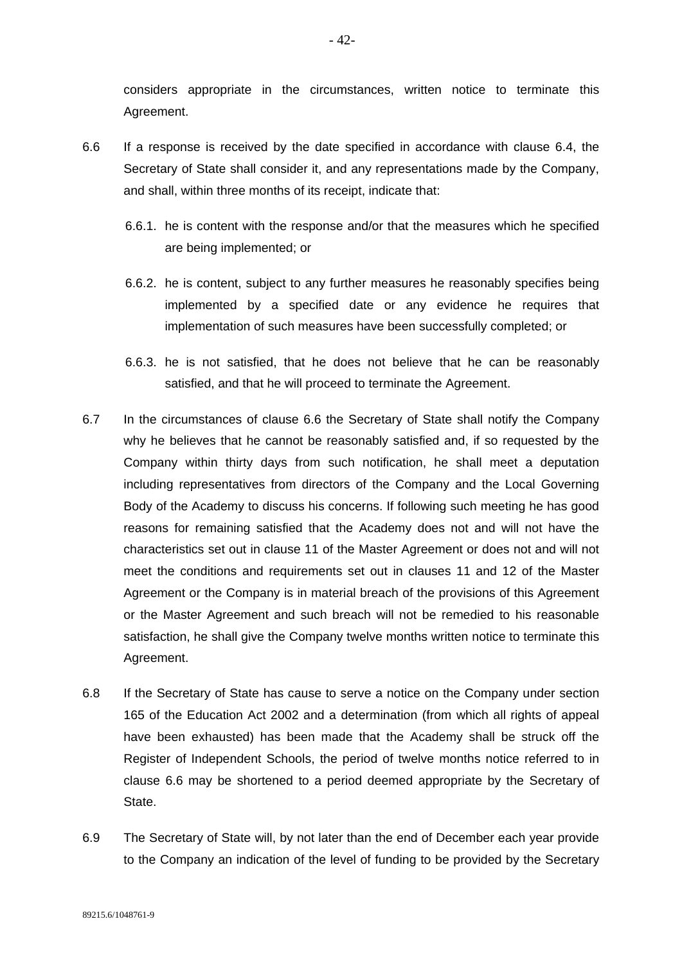considers appropriate in the circumstances, written notice to terminate this Agreement.

- <span id="page-42-0"></span>6.6 If a response is received by the date specified in accordance with clause [6.4](#page-41-0), the Secretary of State shall consider it, and any representations made by the Company, and shall, within three months of its receipt, indicate that:
	- 6.6.1. he is content with the response and/or that the measures which he specified are being implemented; or
	- 6.6.2. he is content, subject to any further measures he reasonably specifies being implemented by a specified date or any evidence he requires that implementation of such measures have been successfully completed; or
	- 6.6.3. he is not satisfied, that he does not believe that he can be reasonably satisfied, and that he will proceed to terminate the Agreement.
- 6.7 In the circumstances of clause [6.6](#page-42-0) the Secretary of State shall notify the Company why he believes that he cannot be reasonably satisfied and, if so requested by the Company within thirty days from such notification, he shall meet a deputation including representatives from directors of the Company and the Local Governing Body of the Academy to discuss his concerns. If following such meeting he has good reasons for remaining satisfied that the Academy does not and will not have the characteristics set out in clause 11 of the Master Agreement or does not and will not meet the conditions and requirements set out in clauses 11 and 12 of the Master Agreement or the Company is in material breach of the provisions of this Agreement or the Master Agreement and such breach will not be remedied to his reasonable satisfaction, he shall give the Company twelve months written notice to terminate this Agreement.
- 6.8 If the Secretary of State has cause to serve a notice on the Company under section 165 of the Education Act 2002 and a determination (from which all rights of appeal have been exhausted) has been made that the Academy shall be struck off the Register of Independent Schools, the period of twelve months notice referred to in clause 6.6 may be shortened to a period deemed appropriate by the Secretary of State.
- 6.9 The Secretary of State will, by not later than the end of December each year provide to the Company an indication of the level of funding to be provided by the Secretary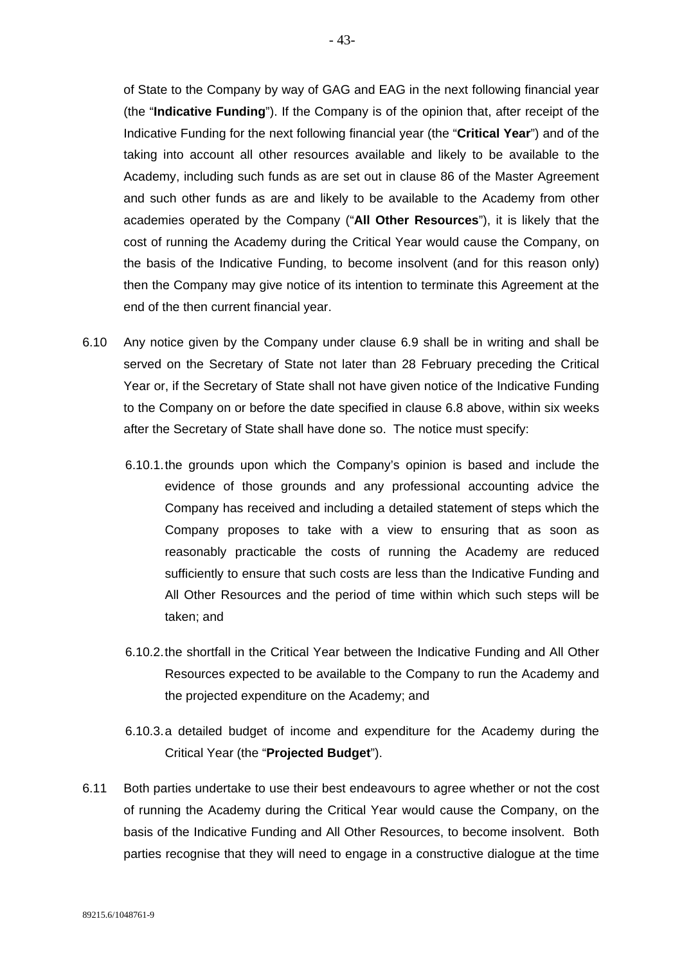of State to the Company by way of GAG and EAG in the next following financial year (the "**Indicative Funding**"). If the Company is of the opinion that, after receipt of the Indicative Funding for the next following financial year (the "**Critical Year**") and of the taking into account all other resources available and likely to be available to the Academy, including such funds as are set out in clause 86 of the Master Agreement and such other funds as are and likely to be available to the Academy from other academies operated by the Company ("**All Other Resources**"), it is likely that the cost of running the Academy during the Critical Year would cause the Company, on the basis of the Indicative Funding, to become insolvent (and for this reason only) then the Company may give notice of its intention to terminate this Agreement at the end of the then current financial year.

- 6.10 Any notice given by the Company under clause [6.9](#page-43-0) shall be in writing and shall be served on the Secretary of State not later than 28 February preceding the Critical Year or, if the Secretary of State shall not have given notice of the Indicative Funding to the Company on or before the date specified in clause 6.8 above, within six weeks after the Secretary of State shall have done so. The notice must specify:
	- 6.10.1. the grounds upon which the Company's opinion is based and include the evidence of those grounds and any professional accounting advice the Company has received and including a detailed statement of steps which the Company proposes to take with a view to ensuring that as soon as reasonably practicable the costs of running the Academy are reduced sufficiently to ensure that such costs are less than the Indicative Funding and All Other Resources and the period of time within which such steps will be taken; and
	- 6.10.2. the shortfall in the Critical Year between the Indicative Funding and All Other Resources expected to be available to the Company to run the Academy and the projected expenditure on the Academy; and
	- 6.10.3. a detailed budget of income and expenditure for the Academy during the Critical Year (the "**Projected Budget**").
- <span id="page-43-0"></span>6.11 Both parties undertake to use their best endeavours to agree whether or not the cost of running the Academy during the Critical Year would cause the Company, on the basis of the Indicative Funding and All Other Resources, to become insolvent. Both parties recognise that they will need to engage in a constructive dialogue at the time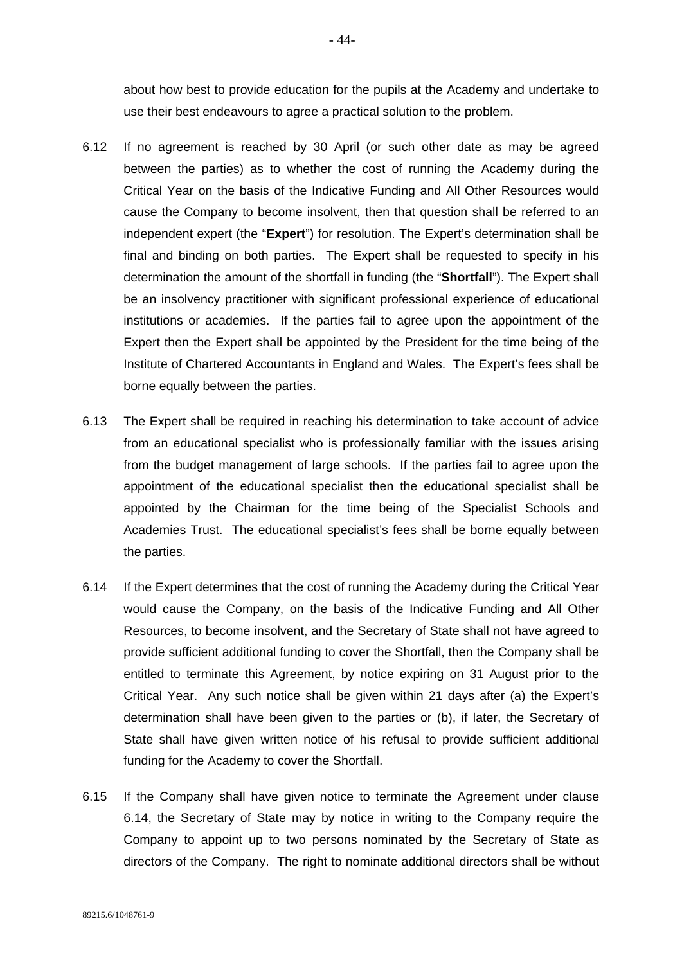about how best to provide education for the pupils at the Academy and undertake to use their best endeavours to agree a practical solution to the problem.

- 6.12 If no agreement is reached by 30 April (or such other date as may be agreed between the parties) as to whether the cost of running the Academy during the Critical Year on the basis of the Indicative Funding and All Other Resources would cause the Company to become insolvent, then that question shall be referred to an independent expert (the "**Expert**") for resolution. The Expert's determination shall be final and binding on both parties. The Expert shall be requested to specify in his determination the amount of the shortfall in funding (the "**Shortfall**"). The Expert shall be an insolvency practitioner with significant professional experience of educational institutions or academies. If the parties fail to agree upon the appointment of the Expert then the Expert shall be appointed by the President for the time being of the Institute of Chartered Accountants in England and Wales. The Expert's fees shall be borne equally between the parties.
- 6.13 The Expert shall be required in reaching his determination to take account of advice from an educational specialist who is professionally familiar with the issues arising from the budget management of large schools. If the parties fail to agree upon the appointment of the educational specialist then the educational specialist shall be appointed by the Chairman for the time being of the Specialist Schools and Academies Trust. The educational specialist's fees shall be borne equally between the parties.
- <span id="page-44-0"></span>6.14 If the Expert determines that the cost of running the Academy during the Critical Year would cause the Company, on the basis of the Indicative Funding and All Other Resources, to become insolvent, and the Secretary of State shall not have agreed to provide sufficient additional funding to cover the Shortfall, then the Company shall be entitled to terminate this Agreement, by notice expiring on 31 August prior to the Critical Year. Any such notice shall be given within 21 days after (a) the Expert's determination shall have been given to the parties or (b), if later, the Secretary of State shall have given written notice of his refusal to provide sufficient additional funding for the Academy to cover the Shortfall.
- 6.15 If the Company shall have given notice to terminate the Agreement under clause [6.14](#page-44-0), the Secretary of State may by notice in writing to the Company require the Company to appoint up to two persons nominated by the Secretary of State as directors of the Company. The right to nominate additional directors shall be without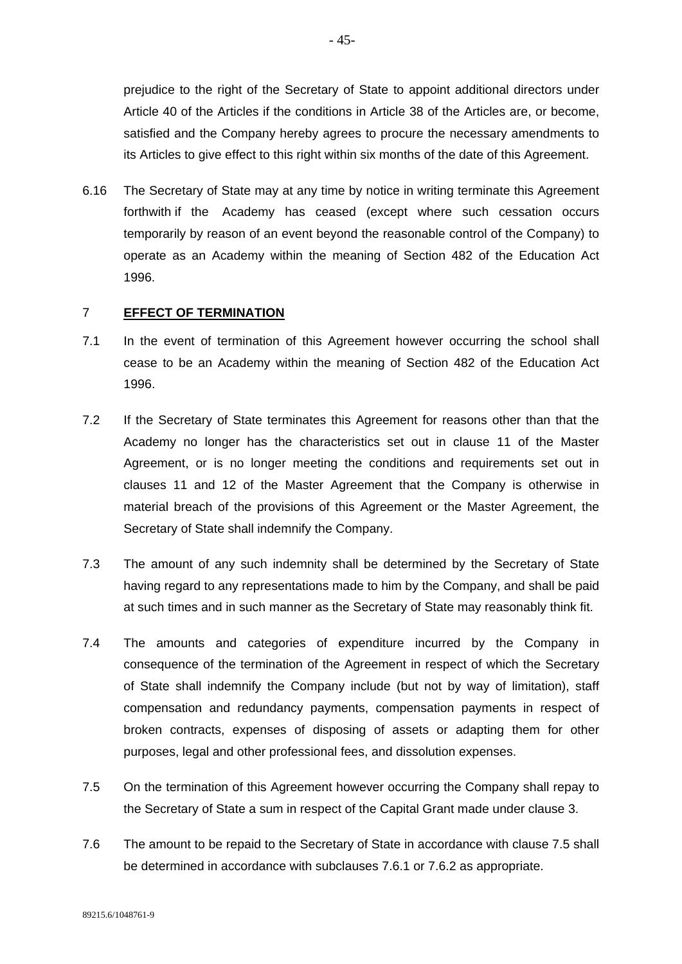prejudice to the right of the Secretary of State to appoint additional directors under Article 40 of the Articles if the conditions in Article 38 of the Articles are, or become, satisfied and the Company hereby agrees to procure the necessary amendments to its Articles to give effect to this right within six months of the date of this Agreement.

6.16 The Secretary of State may at any time by notice in writing terminate this Agreement forthwith if the Academy has ceased (except where such cessation occurs temporarily by reason of an event beyond the reasonable control of the Company) to operate as an Academy within the meaning of Section 482 of the Education Act 1996.

## 7 **EFFECT OF TERMINATION**

- 7.1 In the event of termination of this Agreement however occurring the school shall cease to be an Academy within the meaning of Section 482 of the Education Act 1996.
- 7.2 If the Secretary of State terminates this Agreement for reasons other than that the Academy no longer has the characteristics set out in clause 11 of the Master Agreement, or is no longer meeting the conditions and requirements set out in clauses 11 and 12 of the Master Agreement that the Company is otherwise in material breach of the provisions of this Agreement or the Master Agreement, the Secretary of State shall indemnify the Company.
- 7.3 The amount of any such indemnity shall be determined by the Secretary of State having regard to any representations made to him by the Company, and shall be paid at such times and in such manner as the Secretary of State may reasonably think fit.
- 7.4 The amounts and categories of expenditure incurred by the Company in consequence of the termination of the Agreement in respect of which the Secretary of State shall indemnify the Company include (but not by way of limitation), staff compensation and redundancy payments, compensation payments in respect of broken contracts, expenses of disposing of assets or adapting them for other purposes, legal and other professional fees, and dissolution expenses.
- 7.5 On the termination of this Agreement however occurring the Company shall repay to the Secretary of State a sum in respect of the Capital Grant made under clause 3.
- 7.6 The amount to be repaid to the Secretary of State in accordance with clause 7.5 shall be determined in accordance with subclauses 7.6.1 or 7.6.2 as appropriate.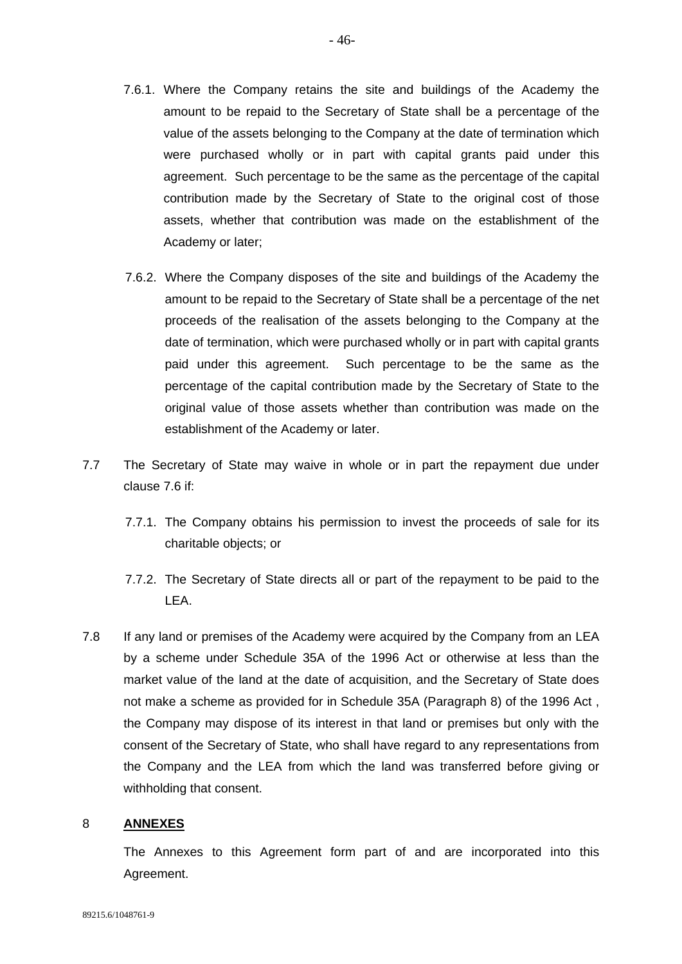- 7.6.1. Where the Company retains the site and buildings of the Academy the amount to be repaid to the Secretary of State shall be a percentage of the value of the assets belonging to the Company at the date of termination which were purchased wholly or in part with capital grants paid under this agreement. Such percentage to be the same as the percentage of the capital contribution made by the Secretary of State to the original cost of those assets, whether that contribution was made on the establishment of the Academy or later;
- 7.6.2. Where the Company disposes of the site and buildings of the Academy the amount to be repaid to the Secretary of State shall be a percentage of the net proceeds of the realisation of the assets belonging to the Company at the date of termination, which were purchased wholly or in part with capital grants paid under this agreement. Such percentage to be the same as the percentage of the capital contribution made by the Secretary of State to the original value of those assets whether than contribution was made on the establishment of the Academy or later.
- 7.7 The Secretary of State may waive in whole or in part the repayment due under clause 7.6 if:
	- 7.7.1. The Company obtains his permission to invest the proceeds of sale for its charitable objects; or
	- 7.7.2. The Secretary of State directs all or part of the repayment to be paid to the LEA.
- 7.8 If any land or premises of the Academy were acquired by the Company from an LEA by a scheme under Schedule 35A of the 1996 Act or otherwise at less than the market value of the land at the date of acquisition, and the Secretary of State does not make a scheme as provided for in Schedule 35A (Paragraph 8) of the 1996 Act , the Company may dispose of its interest in that land or premises but only with the consent of the Secretary of State, who shall have regard to any representations from the Company and the LEA from which the land was transferred before giving or withholding that consent.

#### 8 **ANNEXES**

The Annexes to this Agreement form part of and are incorporated into this Agreement.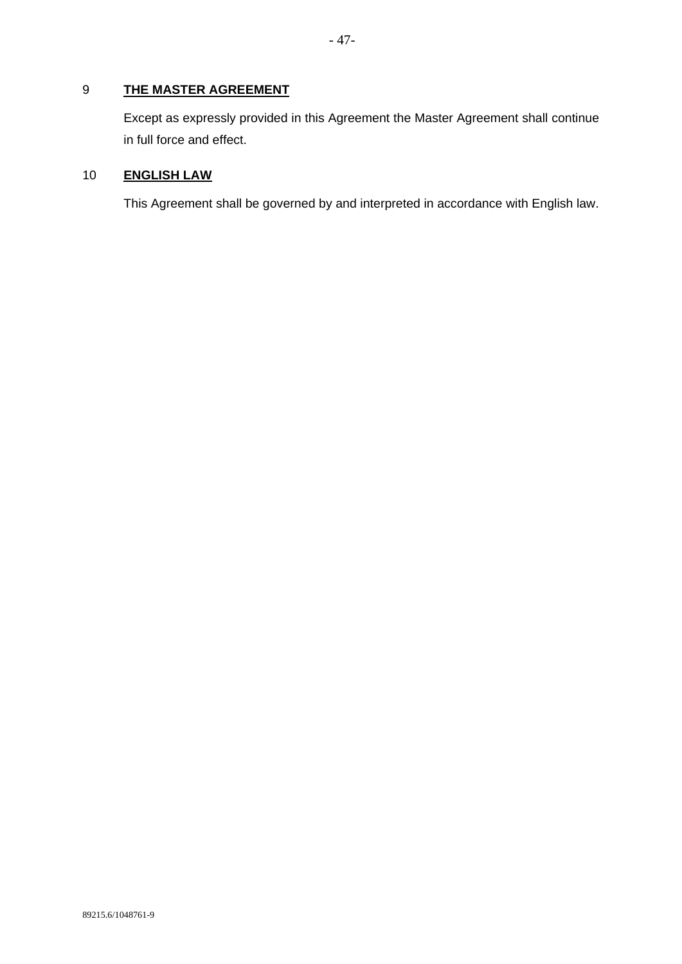# 9 **THE MASTER AGREEMENT**

Except as expressly provided in this Agreement the Master Agreement shall continue in full force and effect.

# 10 **ENGLISH LAW**

This Agreement shall be governed by and interpreted in accordance with English law.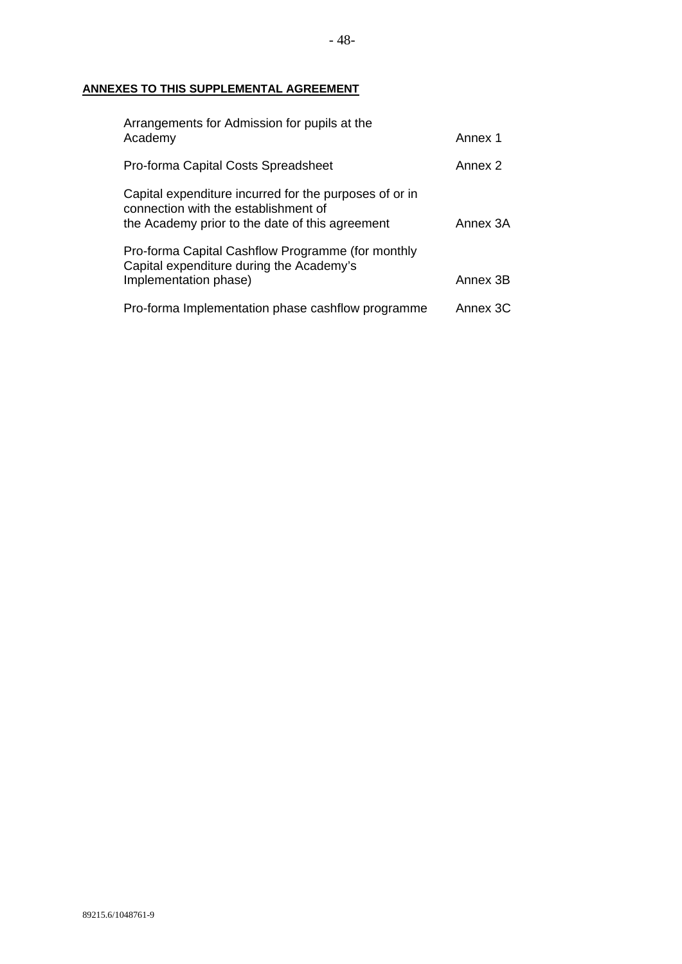## **ANNEXES TO THIS SUPPLEMENTAL AGREEMENT**

| Arrangements for Admission for pupils at the<br>Academy                                                                                           | Annex 1  |
|---------------------------------------------------------------------------------------------------------------------------------------------------|----------|
| Pro-forma Capital Costs Spreadsheet                                                                                                               | Annex 2  |
| Capital expenditure incurred for the purposes of or in<br>connection with the establishment of<br>the Academy prior to the date of this agreement | Annex 3A |
| Pro-forma Capital Cashflow Programme (for monthly<br>Capital expenditure during the Academy's<br>Implementation phase)                            | Annex 3B |
| Pro-forma Implementation phase cashflow programme                                                                                                 | Annex 3C |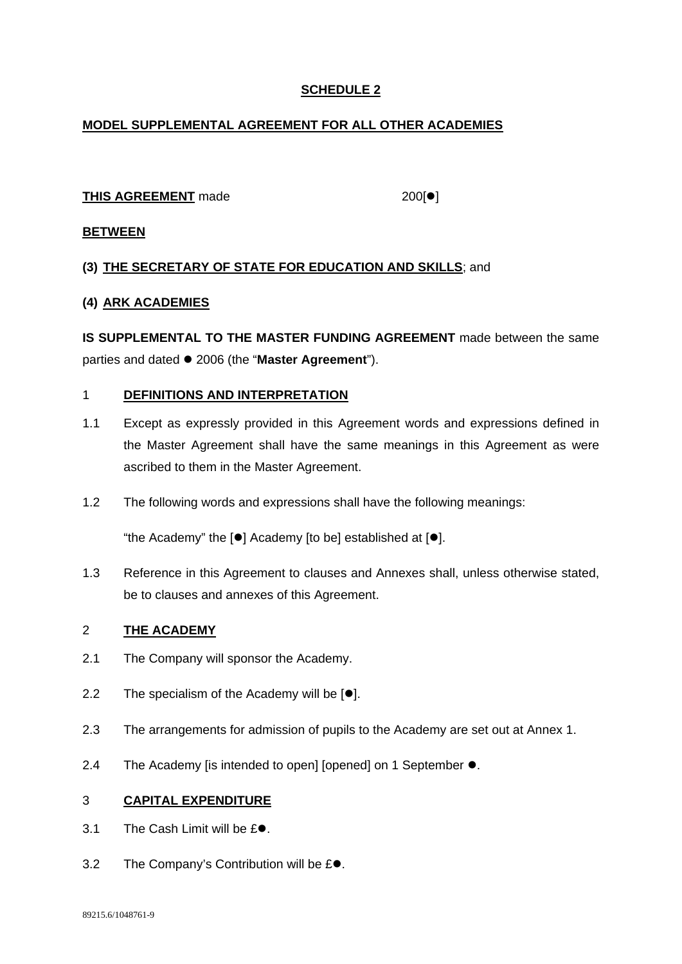# **SCHEDULE 2**

## **MODEL SUPPLEMENTAL AGREEMENT FOR ALL OTHER ACADEMIES**

## THIS AGREEMENT made 200[<sup>o</sup>]

## **BETWEEN**

## **(3) THE SECRETARY OF STATE FOR EDUCATION AND SKILLS**; and

## **(4) ARK ACADEMIES**

**IS SUPPLEMENTAL TO THE MASTER FUNDING AGREEMENT** made between the same parties and dated  $\bullet$  2006 (the "Master Agreement").

## 1 **DEFINITIONS AND INTERPRETATION**

- 1.1 Except as expressly provided in this Agreement words and expressions defined in the Master Agreement shall have the same meanings in this Agreement as were ascribed to them in the Master Agreement.
- 1.2 The following words and expressions shall have the following meanings:

"the Academy" the  $[•]$  Academy [to be] established at  $[•]$ .

1.3 Reference in this Agreement to clauses and Annexes shall, unless otherwise stated, be to clauses and annexes of this Agreement.

#### 2 **THE ACADEMY**

- 2.1 The Company will sponsor the Academy.
- 2.2 The specialism of the Academy will be  $[•]$ .
- 2.3 The arrangements for admission of pupils to the Academy are set out at Annex 1.
- 2.4 The Academy [is intended to open] [opened] on 1 September ●.

#### 3 **CAPITAL EXPENDITURE**

- 3.1 The Cash Limit will be  $E\bullet$ .
- 3.2 The Company's Contribution will be  $E\bullet$ .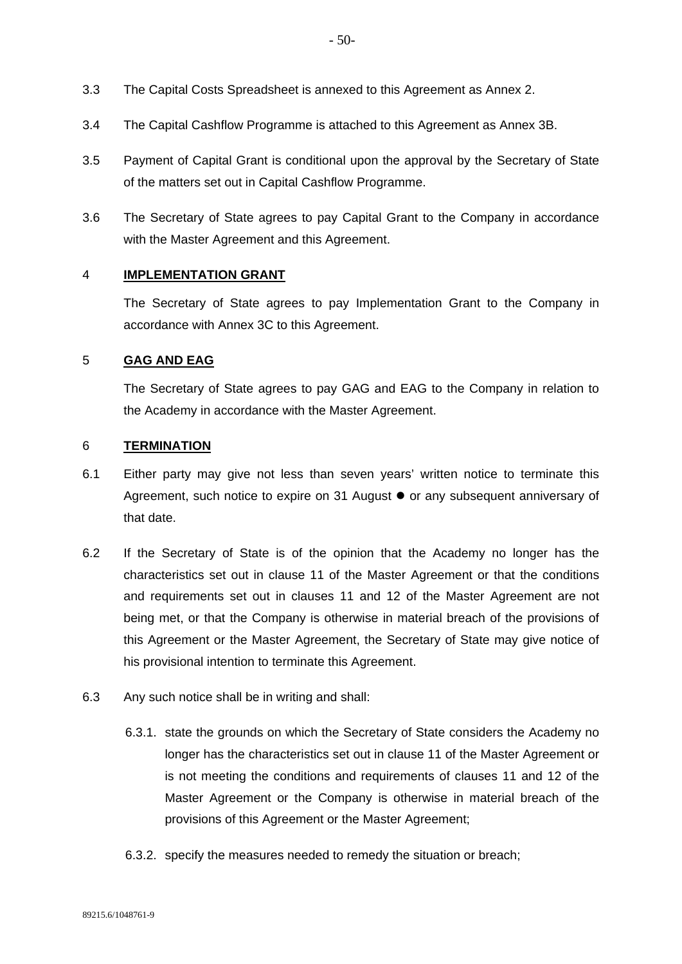- 3.3 The Capital Costs Spreadsheet is annexed to this Agreement as Annex 2.
- 3.4 The Capital Cashflow Programme is attached to this Agreement as Annex 3B.
- 3.5 Payment of Capital Grant is conditional upon the approval by the Secretary of State of the matters set out in Capital Cashflow Programme.
- 3.6 The Secretary of State agrees to pay Capital Grant to the Company in accordance with the Master Agreement and this Agreement.

## 4 **IMPLEMENTATION GRANT**

The Secretary of State agrees to pay Implementation Grant to the Company in accordance with Annex 3C to this Agreement.

## 5 **GAG AND EAG**

The Secretary of State agrees to pay GAG and EAG to the Company in relation to the Academy in accordance with the Master Agreement.

## 6 **TERMINATION**

- 6.1 Either party may give not less than seven years' written notice to terminate this Agreement, such notice to expire on 31 August  $\bullet$  or any subsequent anniversary of that date.
- 6.2 If the Secretary of State is of the opinion that the Academy no longer has the characteristics set out in clause 11 of the Master Agreement or that the conditions and requirements set out in clauses 11 and 12 of the Master Agreement are not being met, or that the Company is otherwise in material breach of the provisions of this Agreement or the Master Agreement, the Secretary of State may give notice of his provisional intention to terminate this Agreement.
- 6.3 Any such notice shall be in writing and shall:
	- 6.3.1. state the grounds on which the Secretary of State considers the Academy no longer has the characteristics set out in clause 11 of the Master Agreement or is not meeting the conditions and requirements of clauses 11 and 12 of the Master Agreement or the Company is otherwise in material breach of the provisions of this Agreement or the Master Agreement;
	- 6.3.2. specify the measures needed to remedy the situation or breach;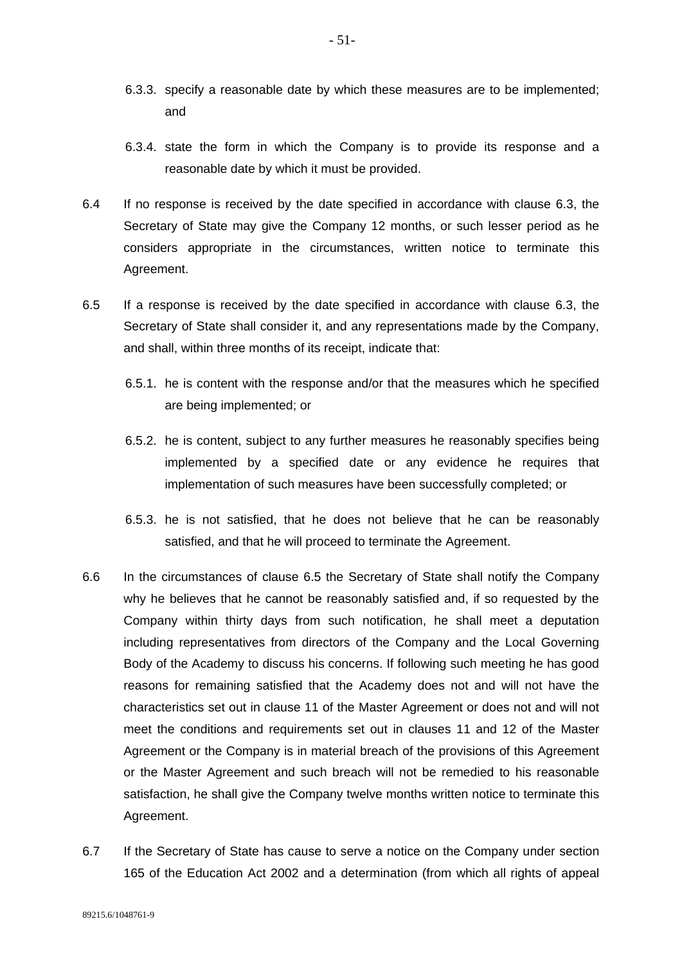- 6.3.3. specify a reasonable date by which these measures are to be implemented; and
- 6.3.4. state the form in which the Company is to provide its response and a reasonable date by which it must be provided.
- 6.4 If no response is received by the date specified in accordance with clause 6.3, the Secretary of State may give the Company 12 months, or such lesser period as he considers appropriate in the circumstances, written notice to terminate this Agreement.
- 6.5 If a response is received by the date specified in accordance with clause 6.3, the Secretary of State shall consider it, and any representations made by the Company, and shall, within three months of its receipt, indicate that:
	- 6.5.1. he is content with the response and/or that the measures which he specified are being implemented; or
	- 6.5.2. he is content, subject to any further measures he reasonably specifies being implemented by a specified date or any evidence he requires that implementation of such measures have been successfully completed; or
	- 6.5.3. he is not satisfied, that he does not believe that he can be reasonably satisfied, and that he will proceed to terminate the Agreement.
- 6.6 In the circumstances of clause 6.5 the Secretary of State shall notify the Company why he believes that he cannot be reasonably satisfied and, if so requested by the Company within thirty days from such notification, he shall meet a deputation including representatives from directors of the Company and the Local Governing Body of the Academy to discuss his concerns. If following such meeting he has good reasons for remaining satisfied that the Academy does not and will not have the characteristics set out in clause 11 of the Master Agreement or does not and will not meet the conditions and requirements set out in clauses 11 and 12 of the Master Agreement or the Company is in material breach of the provisions of this Agreement or the Master Agreement and such breach will not be remedied to his reasonable satisfaction, he shall give the Company twelve months written notice to terminate this Agreement.
- 6.7 If the Secretary of State has cause to serve a notice on the Company under section 165 of the Education Act 2002 and a determination (from which all rights of appeal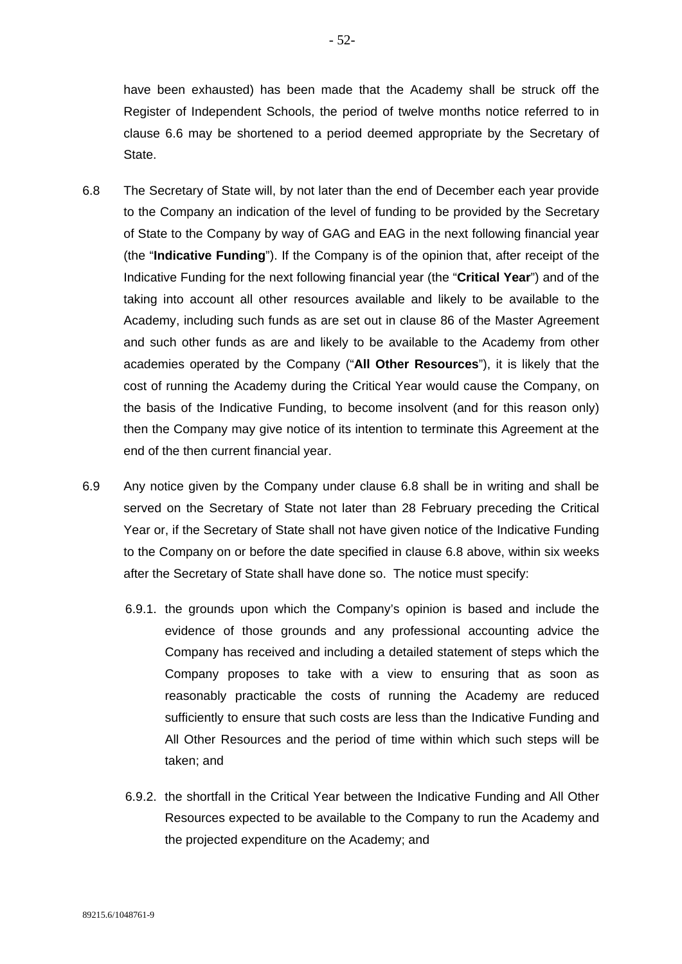have been exhausted) has been made that the Academy shall be struck off the Register of Independent Schools, the period of twelve months notice referred to in clause 6.6 may be shortened to a period deemed appropriate by the Secretary of State.

- 6.8 The Secretary of State will, by not later than the end of December each year provide to the Company an indication of the level of funding to be provided by the Secretary of State to the Company by way of GAG and EAG in the next following financial year (the "**Indicative Funding**"). If the Company is of the opinion that, after receipt of the Indicative Funding for the next following financial year (the "**Critical Year**") and of the taking into account all other resources available and likely to be available to the Academy, including such funds as are set out in clause 86 of the Master Agreement and such other funds as are and likely to be available to the Academy from other academies operated by the Company ("**All Other Resources**"), it is likely that the cost of running the Academy during the Critical Year would cause the Company, on the basis of the Indicative Funding, to become insolvent (and for this reason only) then the Company may give notice of its intention to terminate this Agreement at the end of the then current financial year.
- 6.9 Any notice given by the Company under clause 6.8 shall be in writing and shall be served on the Secretary of State not later than 28 February preceding the Critical Year or, if the Secretary of State shall not have given notice of the Indicative Funding to the Company on or before the date specified in clause 6.8 above, within six weeks after the Secretary of State shall have done so. The notice must specify:
	- 6.9.1. the grounds upon which the Company's opinion is based and include the evidence of those grounds and any professional accounting advice the Company has received and including a detailed statement of steps which the Company proposes to take with a view to ensuring that as soon as reasonably practicable the costs of running the Academy are reduced sufficiently to ensure that such costs are less than the Indicative Funding and All Other Resources and the period of time within which such steps will be taken; and
	- 6.9.2. the shortfall in the Critical Year between the Indicative Funding and All Other Resources expected to be available to the Company to run the Academy and the projected expenditure on the Academy; and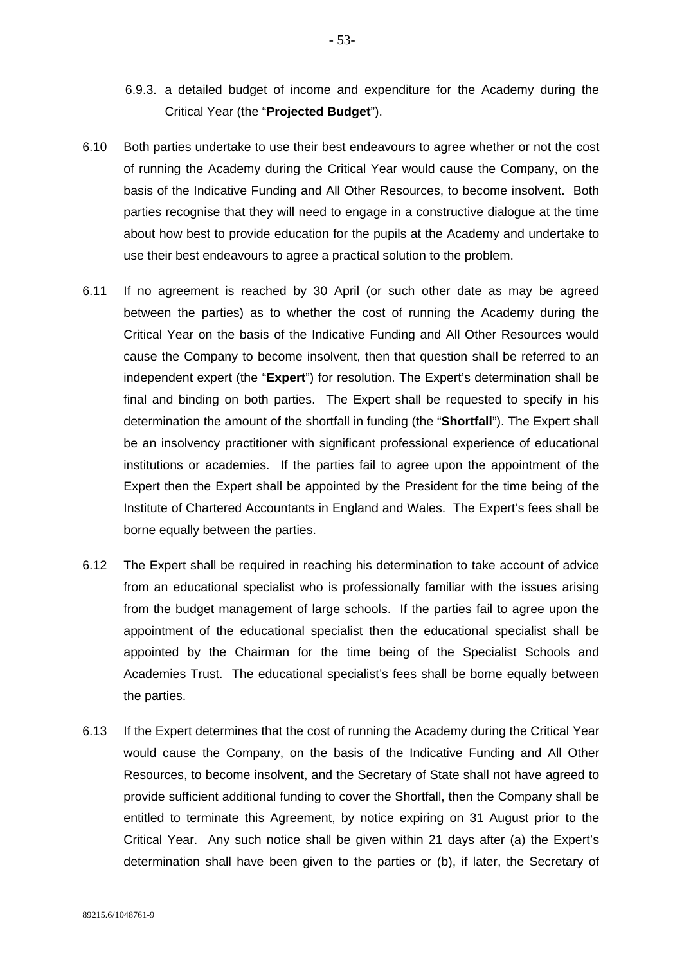- 6.9.3. a detailed budget of income and expenditure for the Academy during the Critical Year (the "**Projected Budget**").
- 6.10 Both parties undertake to use their best endeavours to agree whether or not the cost of running the Academy during the Critical Year would cause the Company, on the basis of the Indicative Funding and All Other Resources, to become insolvent. Both parties recognise that they will need to engage in a constructive dialogue at the time about how best to provide education for the pupils at the Academy and undertake to use their best endeavours to agree a practical solution to the problem.
- 6.11 If no agreement is reached by 30 April (or such other date as may be agreed between the parties) as to whether the cost of running the Academy during the Critical Year on the basis of the Indicative Funding and All Other Resources would cause the Company to become insolvent, then that question shall be referred to an independent expert (the "**Expert**") for resolution. The Expert's determination shall be final and binding on both parties. The Expert shall be requested to specify in his determination the amount of the shortfall in funding (the "**Shortfall**"). The Expert shall be an insolvency practitioner with significant professional experience of educational institutions or academies. If the parties fail to agree upon the appointment of the Expert then the Expert shall be appointed by the President for the time being of the Institute of Chartered Accountants in England and Wales. The Expert's fees shall be borne equally between the parties.
- 6.12 The Expert shall be required in reaching his determination to take account of advice from an educational specialist who is professionally familiar with the issues arising from the budget management of large schools. If the parties fail to agree upon the appointment of the educational specialist then the educational specialist shall be appointed by the Chairman for the time being of the Specialist Schools and Academies Trust. The educational specialist's fees shall be borne equally between the parties.
- 6.13 If the Expert determines that the cost of running the Academy during the Critical Year would cause the Company, on the basis of the Indicative Funding and All Other Resources, to become insolvent, and the Secretary of State shall not have agreed to provide sufficient additional funding to cover the Shortfall, then the Company shall be entitled to terminate this Agreement, by notice expiring on 31 August prior to the Critical Year. Any such notice shall be given within 21 days after (a) the Expert's determination shall have been given to the parties or (b), if later, the Secretary of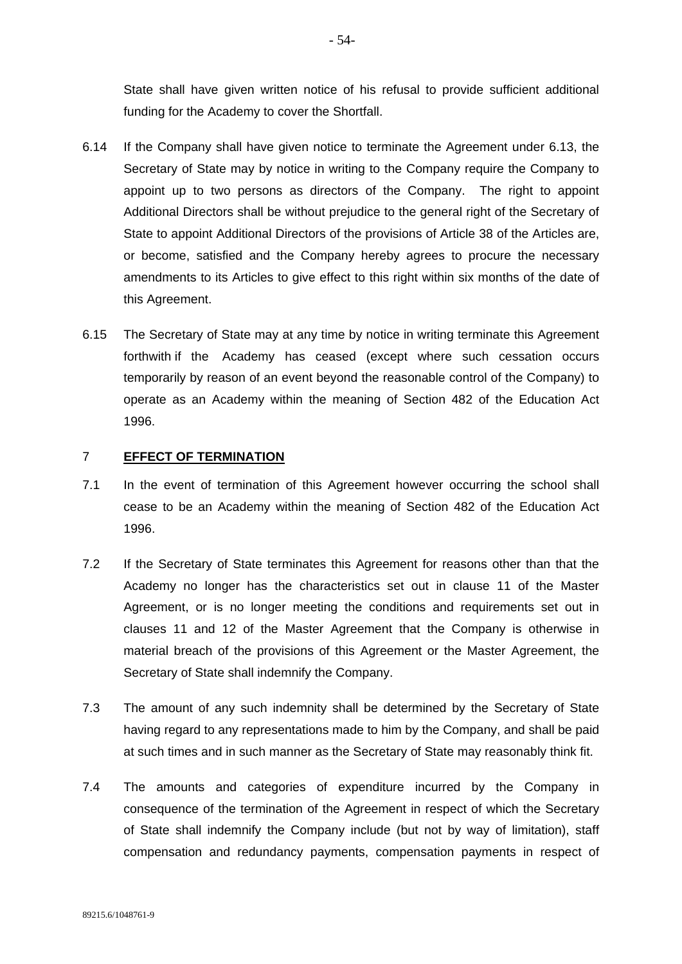State shall have given written notice of his refusal to provide sufficient additional funding for the Academy to cover the Shortfall.

- 6.14 If the Company shall have given notice to terminate the Agreement under [6.13,](#page-54-0) the Secretary of State may by notice in writing to the Company require the Company to appoint up to two persons as directors of the Company. The right to appoint Additional Directors shall be without prejudice to the general right of the Secretary of State to appoint Additional Directors of the provisions of Article 38 of the Articles are, or become, satisfied and the Company hereby agrees to procure the necessary amendments to its Articles to give effect to this right within six months of the date of this Agreement.
- 6.15 The Secretary of State may at any time by notice in writing terminate this Agreement forthwith if the Academy has ceased (except where such cessation occurs temporarily by reason of an event beyond the reasonable control of the Company) to operate as an Academy within the meaning of Section 482 of the Education Act 1996.

#### 7 **EFFECT OF TERMINATION**

- 7.1 In the event of termination of this Agreement however occurring the school shall cease to be an Academy within the meaning of Section 482 of the Education Act 1996.
- 7.2 If the Secretary of State terminates this Agreement for reasons other than that the Academy no longer has the characteristics set out in clause 11 of the Master Agreement, or is no longer meeting the conditions and requirements set out in clauses 11 and 12 of the Master Agreement that the Company is otherwise in material breach of the provisions of this Agreement or the Master Agreement, the Secretary of State shall indemnify the Company.
- <span id="page-54-0"></span>7.3 The amount of any such indemnity shall be determined by the Secretary of State having regard to any representations made to him by the Company, and shall be paid at such times and in such manner as the Secretary of State may reasonably think fit.
- 7.4 The amounts and categories of expenditure incurred by the Company in consequence of the termination of the Agreement in respect of which the Secretary of State shall indemnify the Company include (but not by way of limitation), staff compensation and redundancy payments, compensation payments in respect of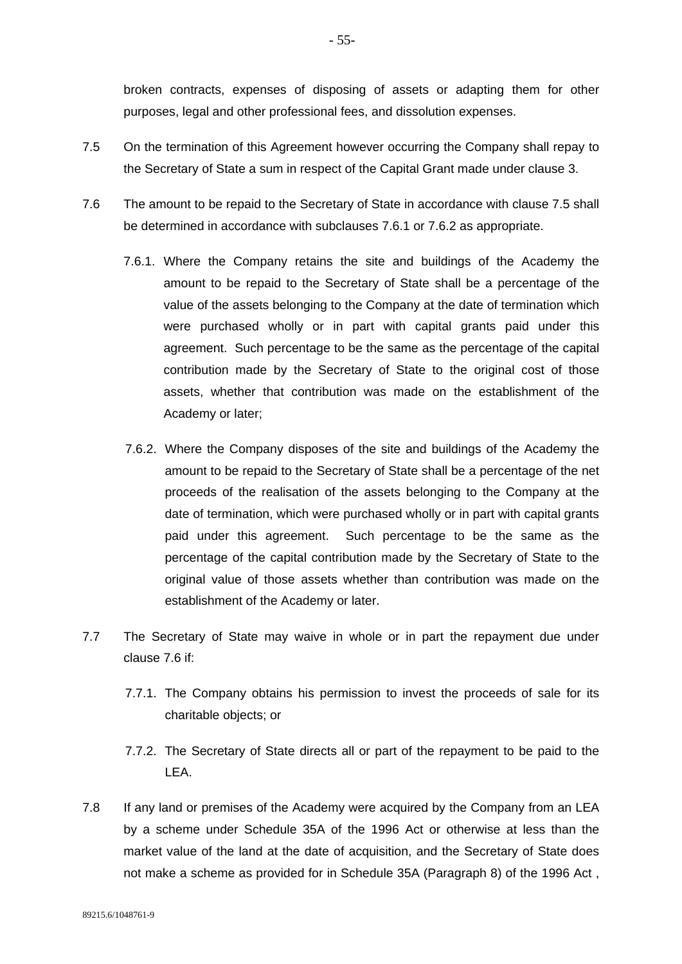broken contracts, expenses of disposing of assets or adapting them for other purposes, legal and other professional fees, and dissolution expenses.

- 7.5 On the termination of this Agreement however occurring the Company shall repay to the Secretary of State a sum in respect of the Capital Grant made under clause 3.
- 7.6 The amount to be repaid to the Secretary of State in accordance with clause 7.5 shall be determined in accordance with subclauses 7.6.1 or 7.6.2 as appropriate.
	- 7.6.1. Where the Company retains the site and buildings of the Academy the amount to be repaid to the Secretary of State shall be a percentage of the value of the assets belonging to the Company at the date of termination which were purchased wholly or in part with capital grants paid under this agreement. Such percentage to be the same as the percentage of the capital contribution made by the Secretary of State to the original cost of those assets, whether that contribution was made on the establishment of the Academy or later;
	- 7.6.2. Where the Company disposes of the site and buildings of the Academy the amount to be repaid to the Secretary of State shall be a percentage of the net proceeds of the realisation of the assets belonging to the Company at the date of termination, which were purchased wholly or in part with capital grants paid under this agreement. Such percentage to be the same as the percentage of the capital contribution made by the Secretary of State to the original value of those assets whether than contribution was made on the establishment of the Academy or later.
- 7.7 The Secretary of State may waive in whole or in part the repayment due under clause 7.6 if:
	- 7.7.1. The Company obtains his permission to invest the proceeds of sale for its charitable objects; or
	- 7.7.2. The Secretary of State directs all or part of the repayment to be paid to the LEA.
- 7.8 If any land or premises of the Academy were acquired by the Company from an LEA by a scheme under Schedule 35A of the 1996 Act or otherwise at less than the market value of the land at the date of acquisition, and the Secretary of State does not make a scheme as provided for in Schedule 35A (Paragraph 8) of the 1996 Act ,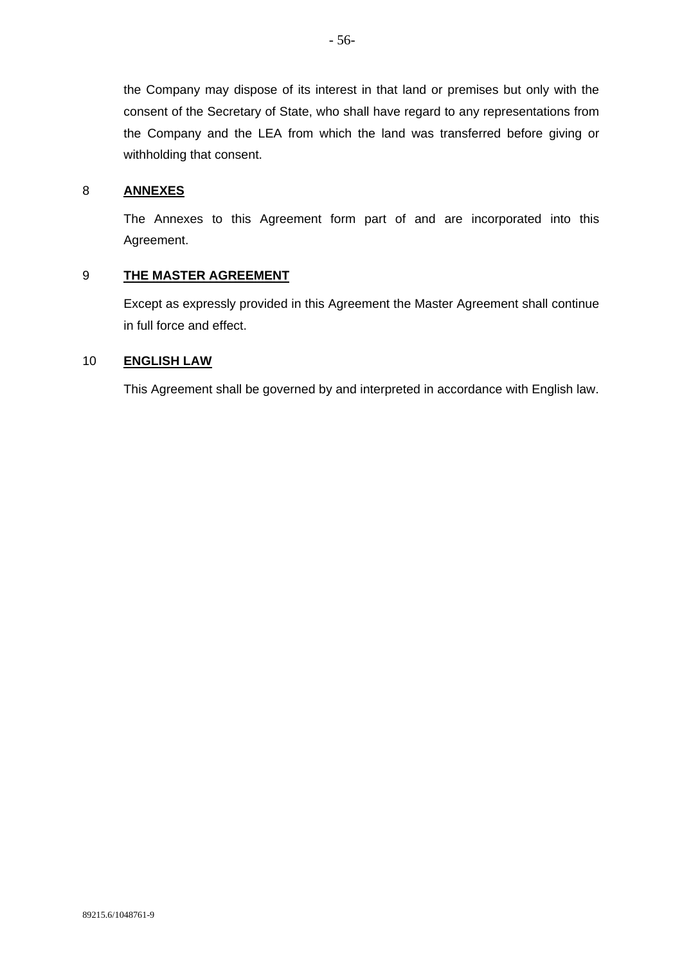the Company may dispose of its interest in that land or premises but only with the consent of the Secretary of State, who shall have regard to any representations from the Company and the LEA from which the land was transferred before giving or withholding that consent.

## 8 **ANNEXES**

The Annexes to this Agreement form part of and are incorporated into this Agreement.

## 9 **THE MASTER AGREEMENT**

Except as expressly provided in this Agreement the Master Agreement shall continue in full force and effect.

## 10 **ENGLISH LAW**

This Agreement shall be governed by and interpreted in accordance with English law.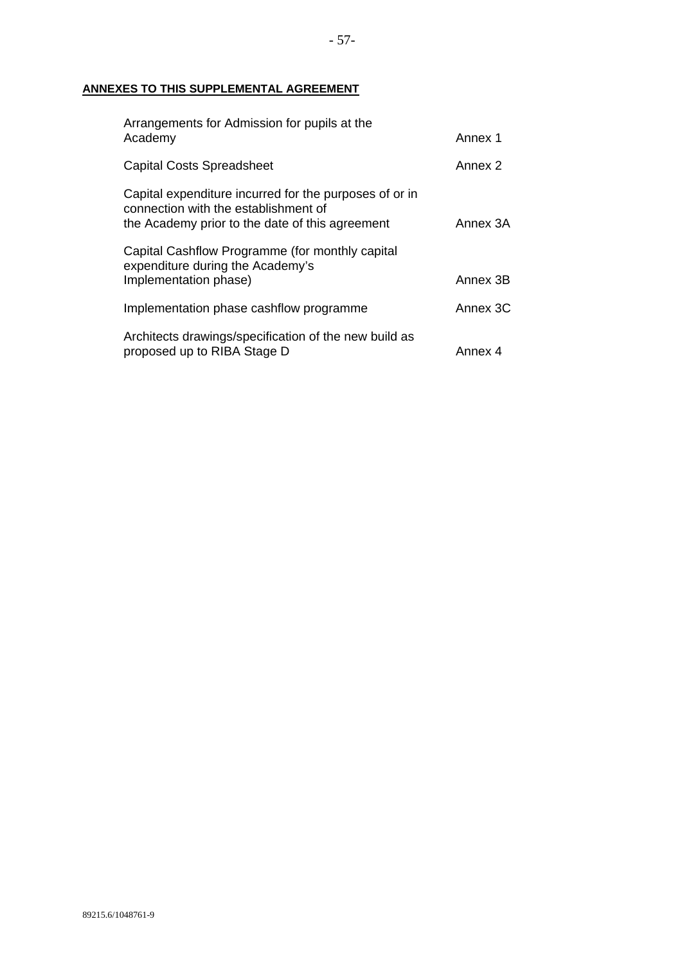## **ANNEXES TO THIS SUPPLEMENTAL AGREEMENT**

| Arrangements for Admission for pupils at the<br>Academy                                                                                           | Annex 1  |
|---------------------------------------------------------------------------------------------------------------------------------------------------|----------|
| <b>Capital Costs Spreadsheet</b>                                                                                                                  | Annex 2  |
| Capital expenditure incurred for the purposes of or in<br>connection with the establishment of<br>the Academy prior to the date of this agreement | Annex 3A |
| Capital Cashflow Programme (for monthly capital<br>expenditure during the Academy's<br>Implementation phase)                                      | Annex 3B |
| Implementation phase cashflow programme                                                                                                           | Annex 3C |
| Architects drawings/specification of the new build as<br>proposed up to RIBA Stage D                                                              | Annex 4  |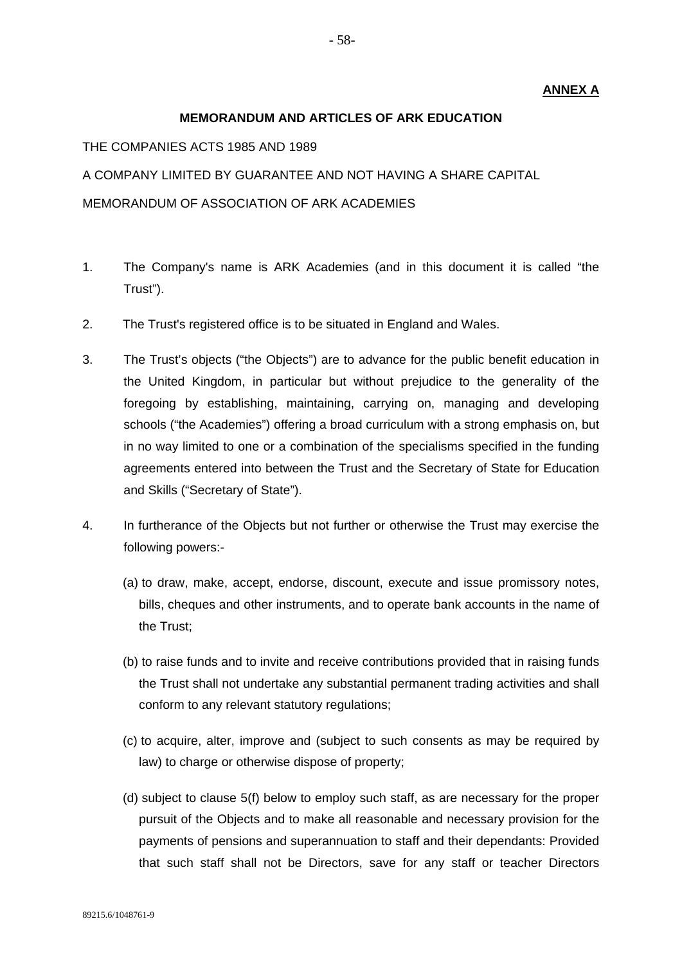## **ANNEX A**

#### **MEMORANDUM AND ARTICLES OF ARK EDUCATION**

THE COMPANIES ACTS 1985 AND 1989

A COMPANY LIMITED BY GUARANTEE AND NOT HAVING A SHARE CAPITAL MEMORANDUM OF ASSOCIATION OF ARK ACADEMIES

- 1. The Company's name is ARK Academies (and in this document it is called "the Trust").
- 2. The Trust's registered office is to be situated in England and Wales.
- 3. The Trust's objects ("the Objects") are to advance for the public benefit education in the United Kingdom, in particular but without prejudice to the generality of the foregoing by establishing, maintaining, carrying on, managing and developing schools ("the Academies") offering a broad curriculum with a strong emphasis on, but in no way limited to one or a combination of the specialisms specified in the funding agreements entered into between the Trust and the Secretary of State for Education and Skills ("Secretary of State").
- 4. In furtherance of the Objects but not further or otherwise the Trust may exercise the following powers:-
	- (a) to draw, make, accept, endorse, discount, execute and issue promissory notes, bills, cheques and other instruments, and to operate bank accounts in the name of the Trust;
	- (b) to raise funds and to invite and receive contributions provided that in raising funds the Trust shall not undertake any substantial permanent trading activities and shall conform to any relevant statutory regulations;
	- (c) to acquire, alter, improve and (subject to such consents as may be required by law) to charge or otherwise dispose of property;
	- (d) subject to clause 5(f) below to employ such staff, as are necessary for the proper pursuit of the Objects and to make all reasonable and necessary provision for the payments of pensions and superannuation to staff and their dependants: Provided that such staff shall not be Directors, save for any staff or teacher Directors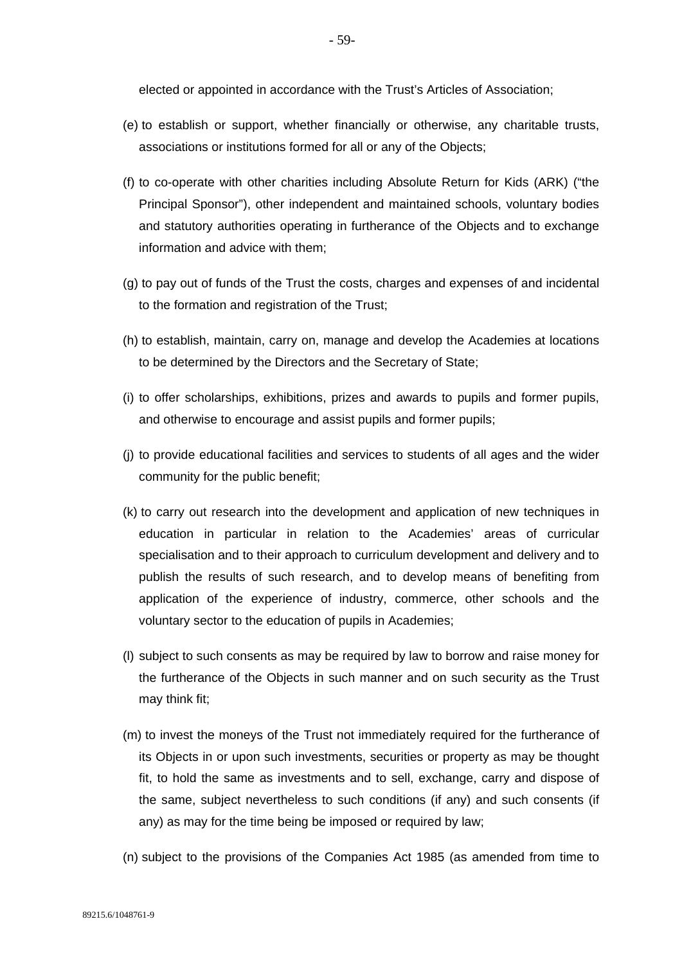elected or appointed in accordance with the Trust's Articles of Association;

- (e) to establish or support, whether financially or otherwise, any charitable trusts, associations or institutions formed for all or any of the Objects;
- (f) to co-operate with other charities including Absolute Return for Kids (ARK) ("the Principal Sponsor"), other independent and maintained schools, voluntary bodies and statutory authorities operating in furtherance of the Objects and to exchange information and advice with them;
- (g) to pay out of funds of the Trust the costs, charges and expenses of and incidental to the formation and registration of the Trust;
- (h) to establish, maintain, carry on, manage and develop the Academies at locations to be determined by the Directors and the Secretary of State;
- (i) to offer scholarships, exhibitions, prizes and awards to pupils and former pupils, and otherwise to encourage and assist pupils and former pupils;
- (j) to provide educational facilities and services to students of all ages and the wider community for the public benefit;
- (k) to carry out research into the development and application of new techniques in education in particular in relation to the Academies' areas of curricular specialisation and to their approach to curriculum development and delivery and to publish the results of such research, and to develop means of benefiting from application of the experience of industry, commerce, other schools and the voluntary sector to the education of pupils in Academies;
- (l) subject to such consents as may be required by law to borrow and raise money for the furtherance of the Objects in such manner and on such security as the Trust may think fit;
- (m) to invest the moneys of the Trust not immediately required for the furtherance of its Objects in or upon such investments, securities or property as may be thought fit, to hold the same as investments and to sell, exchange, carry and dispose of the same, subject nevertheless to such conditions (if any) and such consents (if any) as may for the time being be imposed or required by law;
- (n) subject to the provisions of the Companies Act 1985 (as amended from time to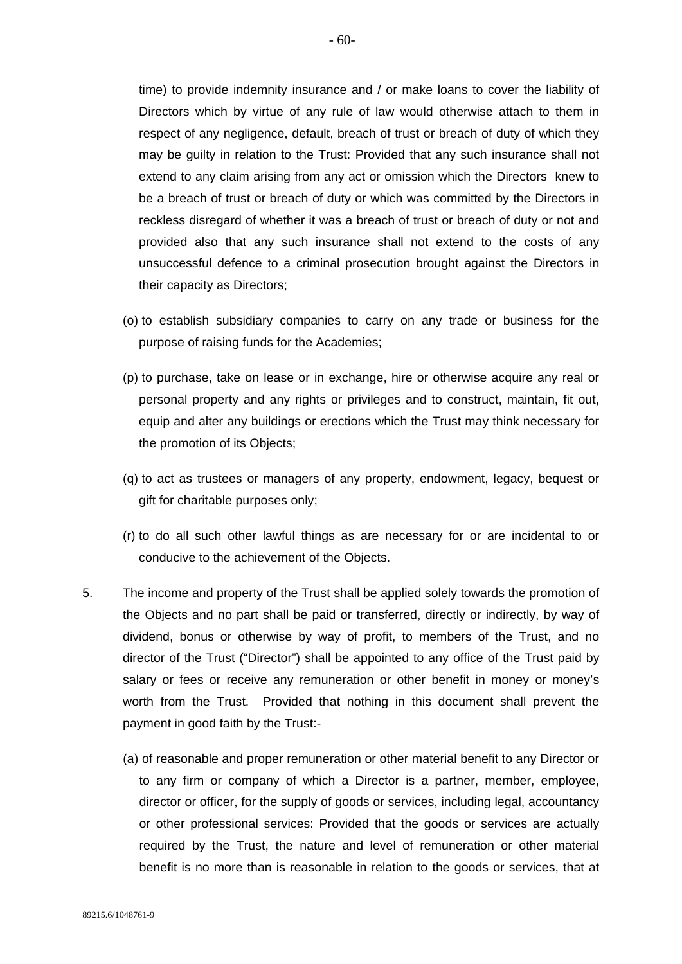time) to provide indemnity insurance and / or make loans to cover the liability of Directors which by virtue of any rule of law would otherwise attach to them in respect of any negligence, default, breach of trust or breach of duty of which they may be guilty in relation to the Trust: Provided that any such insurance shall not extend to any claim arising from any act or omission which the Directors knew to be a breach of trust or breach of duty or which was committed by the Directors in reckless disregard of whether it was a breach of trust or breach of duty or not and provided also that any such insurance shall not extend to the costs of any unsuccessful defence to a criminal prosecution brought against the Directors in their capacity as Directors;

- (o) to establish subsidiary companies to carry on any trade or business for the purpose of raising funds for the Academies;
- (p) to purchase, take on lease or in exchange, hire or otherwise acquire any real or personal property and any rights or privileges and to construct, maintain, fit out, equip and alter any buildings or erections which the Trust may think necessary for the promotion of its Objects;
- (q) to act as trustees or managers of any property, endowment, legacy, bequest or gift for charitable purposes only;
- (r) to do all such other lawful things as are necessary for or are incidental to or conducive to the achievement of the Objects.
- 5. The income and property of the Trust shall be applied solely towards the promotion of the Objects and no part shall be paid or transferred, directly or indirectly, by way of dividend, bonus or otherwise by way of profit, to members of the Trust, and no director of the Trust ("Director") shall be appointed to any office of the Trust paid by salary or fees or receive any remuneration or other benefit in money or money's worth from the Trust. Provided that nothing in this document shall prevent the payment in good faith by the Trust:-
	- (a) of reasonable and proper remuneration or other material benefit to any Director or to any firm or company of which a Director is a partner, member, employee, director or officer, for the supply of goods or services, including legal, accountancy or other professional services: Provided that the goods or services are actually required by the Trust, the nature and level of remuneration or other material benefit is no more than is reasonable in relation to the goods or services, that at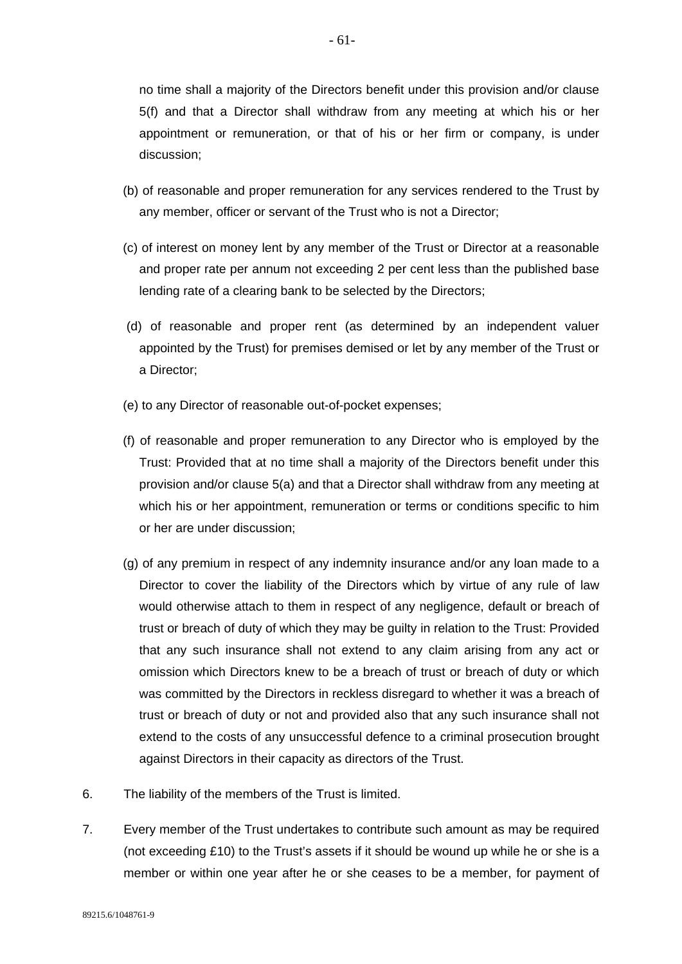no time shall a majority of the Directors benefit under this provision and/or clause 5(f) and that a Director shall withdraw from any meeting at which his or her appointment or remuneration, or that of his or her firm or company, is under discussion;

- (b) of reasonable and proper remuneration for any services rendered to the Trust by any member, officer or servant of the Trust who is not a Director;
- (c) of interest on money lent by any member of the Trust or Director at a reasonable and proper rate per annum not exceeding 2 per cent less than the published base lending rate of a clearing bank to be selected by the Directors;
- (d) of reasonable and proper rent (as determined by an independent valuer appointed by the Trust) for premises demised or let by any member of the Trust or a Director;
- (e) to any Director of reasonable out-of-pocket expenses;
- (f) of reasonable and proper remuneration to any Director who is employed by the Trust: Provided that at no time shall a majority of the Directors benefit under this provision and/or clause 5(a) and that a Director shall withdraw from any meeting at which his or her appointment, remuneration or terms or conditions specific to him or her are under discussion;
- (g) of any premium in respect of any indemnity insurance and/or any loan made to a Director to cover the liability of the Directors which by virtue of any rule of law would otherwise attach to them in respect of any negligence, default or breach of trust or breach of duty of which they may be guilty in relation to the Trust: Provided that any such insurance shall not extend to any claim arising from any act or omission which Directors knew to be a breach of trust or breach of duty or which was committed by the Directors in reckless disregard to whether it was a breach of trust or breach of duty or not and provided also that any such insurance shall not extend to the costs of any unsuccessful defence to a criminal prosecution brought against Directors in their capacity as directors of the Trust.
- 6. The liability of the members of the Trust is limited.
- 7. Every member of the Trust undertakes to contribute such amount as may be required (not exceeding £10) to the Trust's assets if it should be wound up while he or she is a member or within one year after he or she ceases to be a member, for payment of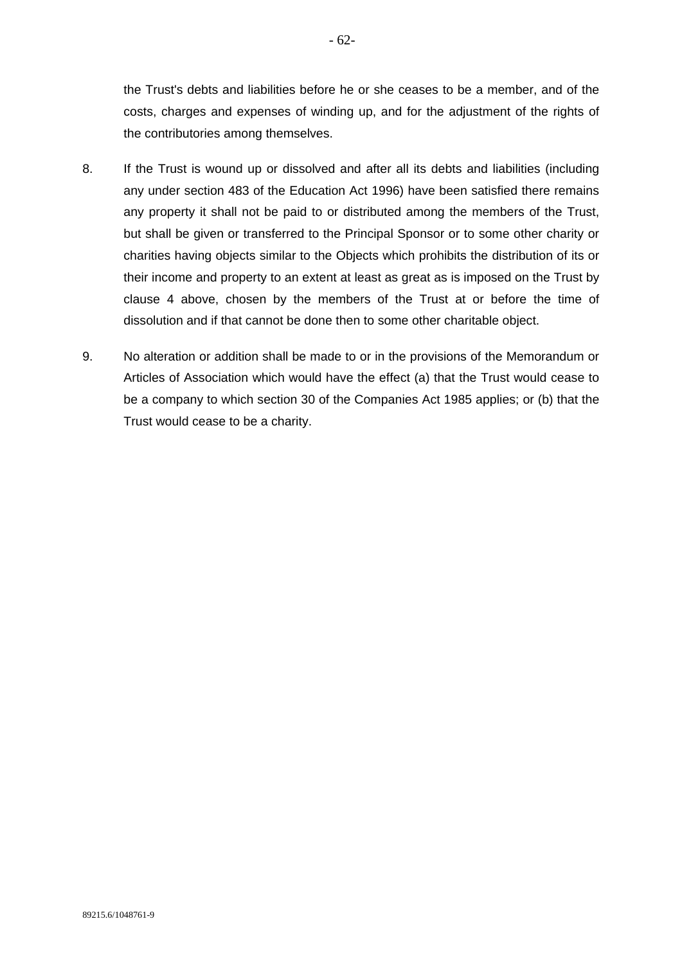the Trust's debts and liabilities before he or she ceases to be a member, and of the costs, charges and expenses of winding up, and for the adjustment of the rights of the contributories among themselves.

- 8. If the Trust is wound up or dissolved and after all its debts and liabilities (including any under section 483 of the Education Act 1996) have been satisfied there remains any property it shall not be paid to or distributed among the members of the Trust, but shall be given or transferred to the Principal Sponsor or to some other charity or charities having objects similar to the Objects which prohibits the distribution of its or their income and property to an extent at least as great as is imposed on the Trust by clause 4 above, chosen by the members of the Trust at or before the time of dissolution and if that cannot be done then to some other charitable object.
- 9. No alteration or addition shall be made to or in the provisions of the Memorandum or Articles of Association which would have the effect (a) that the Trust would cease to be a company to which section 30 of the Companies Act 1985 applies; or (b) that the Trust would cease to be a charity.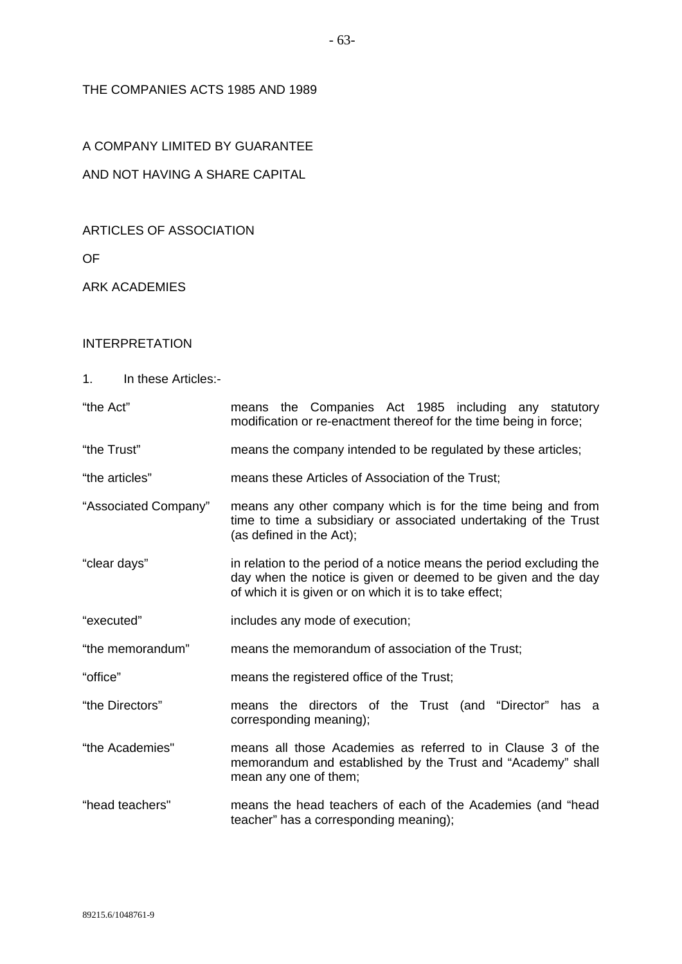## THE COMPANIES ACTS 1985 AND 1989

# A COMPANY LIMITED BY GUARANTEE AND NOT HAVING A SHARE CAPITAL

## ARTICLES OF ASSOCIATION

OF

## ARK ACADEMIES

## INTERPRETATION

- 1. In these Articles:-
- "the Act" means the Companies Act 1985 including any statutory modification or re-enactment thereof for the time being in force;
- "the Trust" means the company intended to be regulated by these articles;
- "the articles" means these Articles of Association of the Trust;
- "Associated Company" means any other company which is for the time being and from time to time a subsidiary or associated undertaking of the Trust (as defined in the Act);
- "clear days" in relation to the period of a notice means the period excluding the day when the notice is given or deemed to be given and the day of which it is given or on which it is to take effect;
- "executed" includes any mode of execution;
- "the memorandum" means the memorandum of association of the Trust;
- "office" means the registered office of the Trust;
- "the Directors" means the directors of the Trust (and "Director" has a corresponding meaning);
- "the Academies" means all those Academies as referred to in Clause 3 of the memorandum and established by the Trust and "Academy" shall mean any one of them;
- "head teachers" means the head teachers of each of the Academies (and "head teacher" has a corresponding meaning);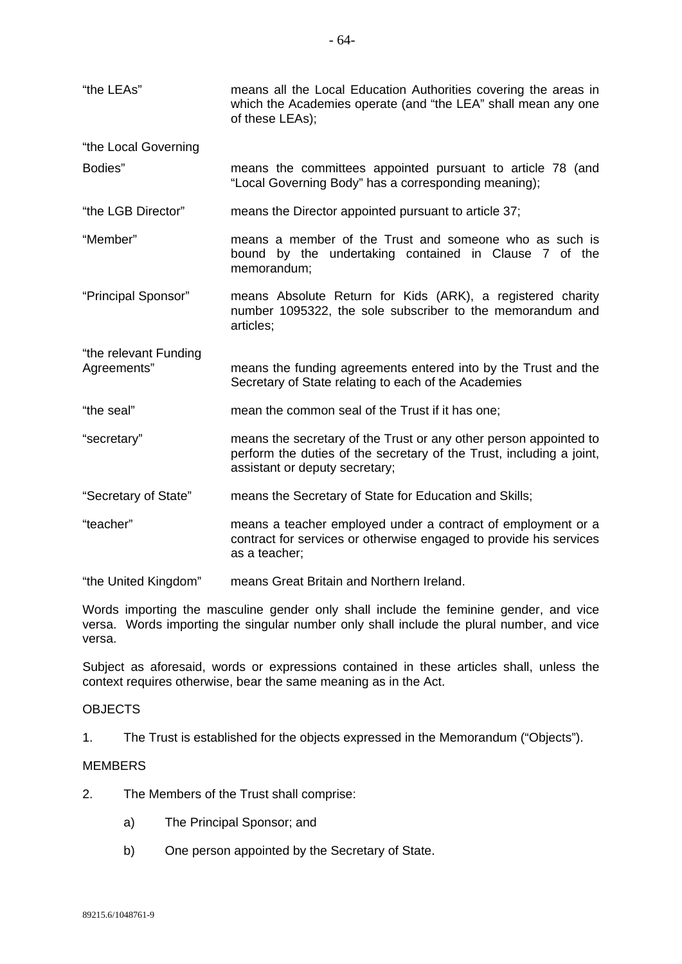| "the LEAs"                           | means all the Local Education Authorities covering the areas in<br>which the Academies operate (and "the LEA" shall mean any one<br>of these LEAs);                         |
|--------------------------------------|-----------------------------------------------------------------------------------------------------------------------------------------------------------------------------|
| "the Local Governing                 |                                                                                                                                                                             |
| Bodies"                              | means the committees appointed pursuant to article 78 (and<br>"Local Governing Body" has a corresponding meaning);                                                          |
| "the LGB Director"                   | means the Director appointed pursuant to article 37;                                                                                                                        |
| "Member"                             | means a member of the Trust and someone who as such is<br>bound by the undertaking contained in Clause 7 of the<br>memorandum;                                              |
| "Principal Sponsor"                  | means Absolute Return for Kids (ARK), a registered charity<br>number 1095322, the sole subscriber to the memorandum and<br>articles;                                        |
| "the relevant Funding<br>Agreements" | means the funding agreements entered into by the Trust and the<br>Secretary of State relating to each of the Academies                                                      |
| "the seal"                           | mean the common seal of the Trust if it has one;                                                                                                                            |
| "secretary"                          | means the secretary of the Trust or any other person appointed to<br>perform the duties of the secretary of the Trust, including a joint,<br>assistant or deputy secretary; |
| "Secretary of State"                 | means the Secretary of State for Education and Skills;                                                                                                                      |
| "teacher"                            | means a teacher employed under a contract of employment or a<br>contract for services or otherwise engaged to provide his services<br>as a teacher;                         |
| "the United Kingdom"                 | means Great Britain and Northern Ireland.                                                                                                                                   |

Words importing the masculine gender only shall include the feminine gender, and vice versa. Words importing the singular number only shall include the plural number, and vice versa.

Subject as aforesaid, words or expressions contained in these articles shall, unless the context requires otherwise, bear the same meaning as in the Act.

# **OBJECTS**

1. The Trust is established for the objects expressed in the Memorandum ("Objects").

## MEMBERS

- 2. The Members of the Trust shall comprise:
	- a) The Principal Sponsor; and
	- b) One person appointed by the Secretary of State.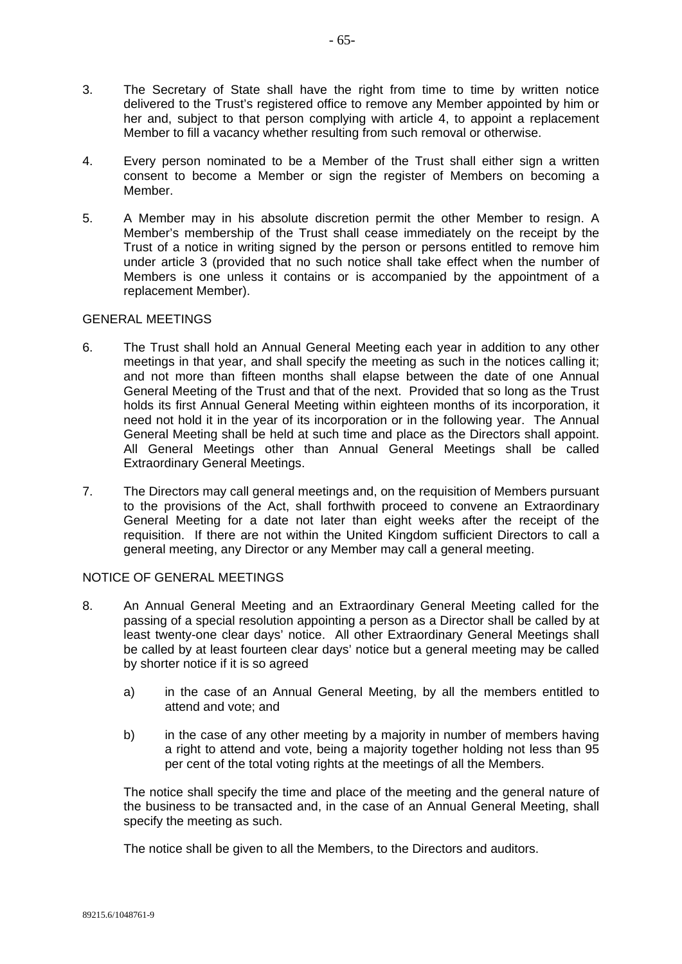- 3. The Secretary of State shall have the right from time to time by written notice delivered to the Trust's registered office to remove any Member appointed by him or her and, subject to that person complying with article 4, to appoint a replacement Member to fill a vacancy whether resulting from such removal or otherwise.
- 4. Every person nominated to be a Member of the Trust shall either sign a written consent to become a Member or sign the register of Members on becoming a Member.
- 5. A Member may in his absolute discretion permit the other Member to resign. A Member's membership of the Trust shall cease immediately on the receipt by the Trust of a notice in writing signed by the person or persons entitled to remove him under article 3 (provided that no such notice shall take effect when the number of Members is one unless it contains or is accompanied by the appointment of a replacement Member).

## GENERAL MEETINGS

- 6. The Trust shall hold an Annual General Meeting each year in addition to any other meetings in that year, and shall specify the meeting as such in the notices calling it; and not more than fifteen months shall elapse between the date of one Annual General Meeting of the Trust and that of the next. Provided that so long as the Trust holds its first Annual General Meeting within eighteen months of its incorporation, it need not hold it in the year of its incorporation or in the following year. The Annual General Meeting shall be held at such time and place as the Directors shall appoint. All General Meetings other than Annual General Meetings shall be called Extraordinary General Meetings.
- 7. The Directors may call general meetings and, on the requisition of Members pursuant to the provisions of the Act, shall forthwith proceed to convene an Extraordinary General Meeting for a date not later than eight weeks after the receipt of the requisition. If there are not within the United Kingdom sufficient Directors to call a general meeting, any Director or any Member may call a general meeting.

## NOTICE OF GENERAL MEETINGS

- 8. An Annual General Meeting and an Extraordinary General Meeting called for the passing of a special resolution appointing a person as a Director shall be called by at least twenty-one clear days' notice. All other Extraordinary General Meetings shall be called by at least fourteen clear days' notice but a general meeting may be called by shorter notice if it is so agreed
	- a) in the case of an Annual General Meeting, by all the members entitled to attend and vote; and
	- b) in the case of any other meeting by a majority in number of members having a right to attend and vote, being a majority together holding not less than 95 per cent of the total voting rights at the meetings of all the Members.

 The notice shall specify the time and place of the meeting and the general nature of the business to be transacted and, in the case of an Annual General Meeting, shall specify the meeting as such.

The notice shall be given to all the Members, to the Directors and auditors.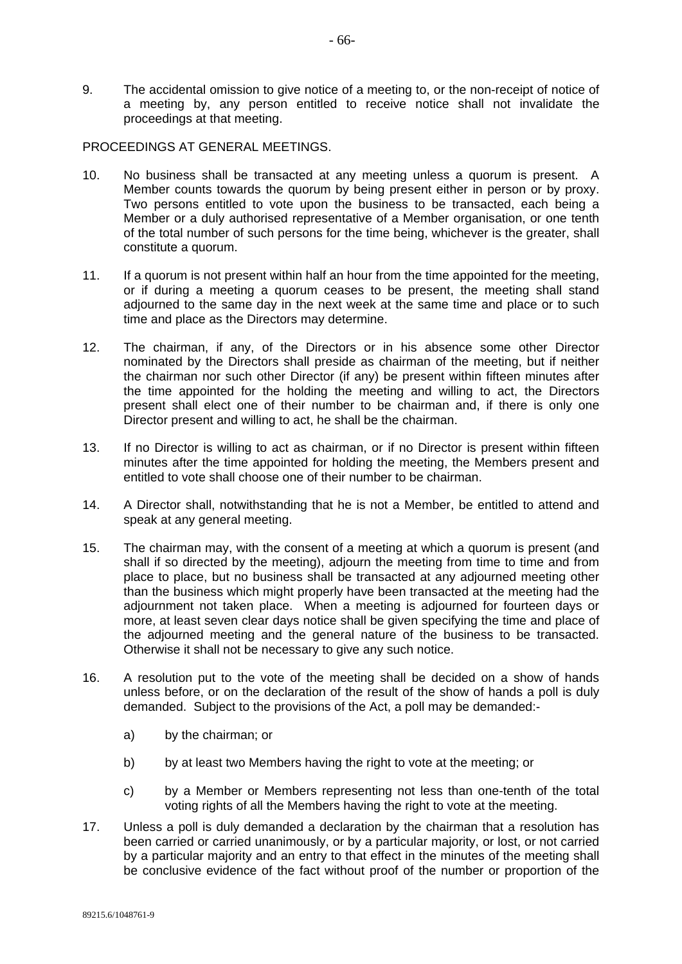9. The accidental omission to give notice of a meeting to, or the non-receipt of notice of a meeting by, any person entitled to receive notice shall not invalidate the proceedings at that meeting.

## PROCEEDINGS AT GENERAL MEETINGS.

- 10. No business shall be transacted at any meeting unless a quorum is present. A Member counts towards the quorum by being present either in person or by proxy. Two persons entitled to vote upon the business to be transacted, each being a Member or a duly authorised representative of a Member organisation, or one tenth of the total number of such persons for the time being, whichever is the greater, shall constitute a quorum.
- 11. If a quorum is not present within half an hour from the time appointed for the meeting, or if during a meeting a quorum ceases to be present, the meeting shall stand adjourned to the same day in the next week at the same time and place or to such time and place as the Directors may determine.
- 12. The chairman, if any, of the Directors or in his absence some other Director nominated by the Directors shall preside as chairman of the meeting, but if neither the chairman nor such other Director (if any) be present within fifteen minutes after the time appointed for the holding the meeting and willing to act, the Directors present shall elect one of their number to be chairman and, if there is only one Director present and willing to act, he shall be the chairman.
- 13. If no Director is willing to act as chairman, or if no Director is present within fifteen minutes after the time appointed for holding the meeting, the Members present and entitled to vote shall choose one of their number to be chairman.
- 14. A Director shall, notwithstanding that he is not a Member, be entitled to attend and speak at any general meeting.
- 15. The chairman may, with the consent of a meeting at which a quorum is present (and shall if so directed by the meeting), adjourn the meeting from time to time and from place to place, but no business shall be transacted at any adjourned meeting other than the business which might properly have been transacted at the meeting had the adjournment not taken place. When a meeting is adjourned for fourteen days or more, at least seven clear days notice shall be given specifying the time and place of the adjourned meeting and the general nature of the business to be transacted. Otherwise it shall not be necessary to give any such notice.
- 16. A resolution put to the vote of the meeting shall be decided on a show of hands unless before, or on the declaration of the result of the show of hands a poll is duly demanded. Subject to the provisions of the Act, a poll may be demanded:
	- a) by the chairman; or
	- b) by at least two Members having the right to vote at the meeting; or
	- c) by a Member or Members representing not less than one-tenth of the total voting rights of all the Members having the right to vote at the meeting.
- 17. Unless a poll is duly demanded a declaration by the chairman that a resolution has been carried or carried unanimously, or by a particular majority, or lost, or not carried by a particular majority and an entry to that effect in the minutes of the meeting shall be conclusive evidence of the fact without proof of the number or proportion of the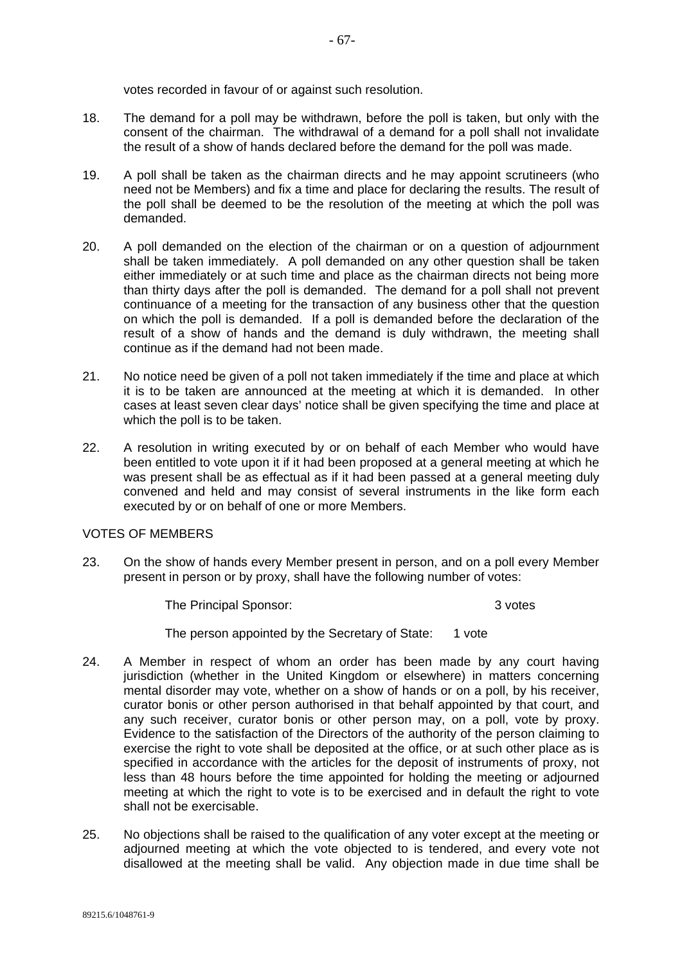votes recorded in favour of or against such resolution.

- 18. The demand for a poll may be withdrawn, before the poll is taken, but only with the consent of the chairman. The withdrawal of a demand for a poll shall not invalidate the result of a show of hands declared before the demand for the poll was made.
- 19. A poll shall be taken as the chairman directs and he may appoint scrutineers (who need not be Members) and fix a time and place for declaring the results. The result of the poll shall be deemed to be the resolution of the meeting at which the poll was demanded.
- 20. A poll demanded on the election of the chairman or on a question of adjournment shall be taken immediately. A poll demanded on any other question shall be taken either immediately or at such time and place as the chairman directs not being more than thirty days after the poll is demanded. The demand for a poll shall not prevent continuance of a meeting for the transaction of any business other that the question on which the poll is demanded. If a poll is demanded before the declaration of the result of a show of hands and the demand is duly withdrawn, the meeting shall continue as if the demand had not been made.
- 21. No notice need be given of a poll not taken immediately if the time and place at which it is to be taken are announced at the meeting at which it is demanded. In other cases at least seven clear days' notice shall be given specifying the time and place at which the poll is to be taken.
- 22. A resolution in writing executed by or on behalf of each Member who would have been entitled to vote upon it if it had been proposed at a general meeting at which he was present shall be as effectual as if it had been passed at a general meeting duly convened and held and may consist of several instruments in the like form each executed by or on behalf of one or more Members.

#### VOTES OF MEMBERS

23. On the show of hands every Member present in person, and on a poll every Member present in person or by proxy, shall have the following number of votes:

The Principal Sponsor: 3 votes

The person appointed by the Secretary of State: 1 vote

- 24. A Member in respect of whom an order has been made by any court having jurisdiction (whether in the United Kingdom or elsewhere) in matters concerning mental disorder may vote, whether on a show of hands or on a poll, by his receiver, curator bonis or other person authorised in that behalf appointed by that court, and any such receiver, curator bonis or other person may, on a poll, vote by proxy. Evidence to the satisfaction of the Directors of the authority of the person claiming to exercise the right to vote shall be deposited at the office, or at such other place as is specified in accordance with the articles for the deposit of instruments of proxy, not less than 48 hours before the time appointed for holding the meeting or adjourned meeting at which the right to vote is to be exercised and in default the right to vote shall not be exercisable.
- 25. No objections shall be raised to the qualification of any voter except at the meeting or adjourned meeting at which the vote objected to is tendered, and every vote not disallowed at the meeting shall be valid. Any objection made in due time shall be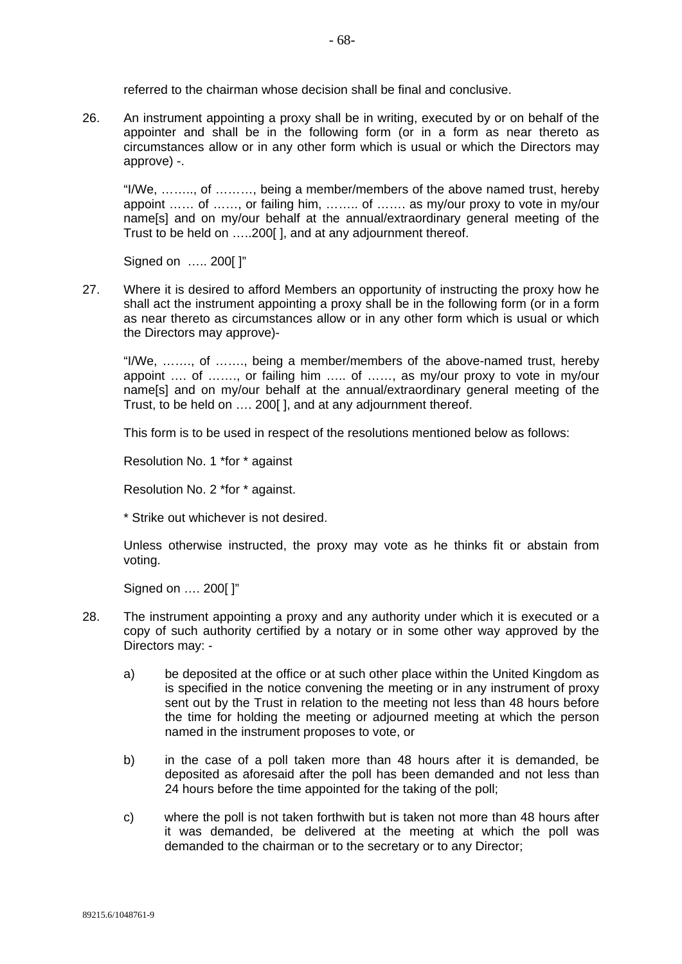referred to the chairman whose decision shall be final and conclusive.

26. An instrument appointing a proxy shall be in writing, executed by or on behalf of the appointer and shall be in the following form (or in a form as near thereto as circumstances allow or in any other form which is usual or which the Directors may approve) -.

"I/We, …….., of ………, being a member/members of the above named trust, hereby appoint …… of ……, or failing him, …….. of ……. as my/our proxy to vote in my/our name[s] and on my/our behalf at the annual/extraordinary general meeting of the Trust to be held on …..200[ ], and at any adjournment thereof.

Signed on ….. 200[ ]"

27. Where it is desired to afford Members an opportunity of instructing the proxy how he shall act the instrument appointing a proxy shall be in the following form (or in a form as near thereto as circumstances allow or in any other form which is usual or which the Directors may approve)-

"I/We, ……., of ……., being a member/members of the above-named trust, hereby appoint …. of ……., or failing him ….. of ……, as my/our proxy to vote in my/our name[s] and on my/our behalf at the annual/extraordinary general meeting of the Trust, to be held on …. 200[ ], and at any adjournment thereof.

This form is to be used in respect of the resolutions mentioned below as follows:

Resolution No. 1 \*for \* against

Resolution No. 2 \*for \* against.

\* Strike out whichever is not desired.

 Unless otherwise instructed, the proxy may vote as he thinks fit or abstain from voting.

Signed on …. 200[ ]"

- 28. The instrument appointing a proxy and any authority under which it is executed or a copy of such authority certified by a notary or in some other way approved by the Directors may:
	- a) be deposited at the office or at such other place within the United Kingdom as is specified in the notice convening the meeting or in any instrument of proxy sent out by the Trust in relation to the meeting not less than 48 hours before the time for holding the meeting or adjourned meeting at which the person named in the instrument proposes to vote, or
	- b) in the case of a poll taken more than 48 hours after it is demanded, be deposited as aforesaid after the poll has been demanded and not less than 24 hours before the time appointed for the taking of the poll;
	- c) where the poll is not taken forthwith but is taken not more than 48 hours after it was demanded, be delivered at the meeting at which the poll was demanded to the chairman or to the secretary or to any Director;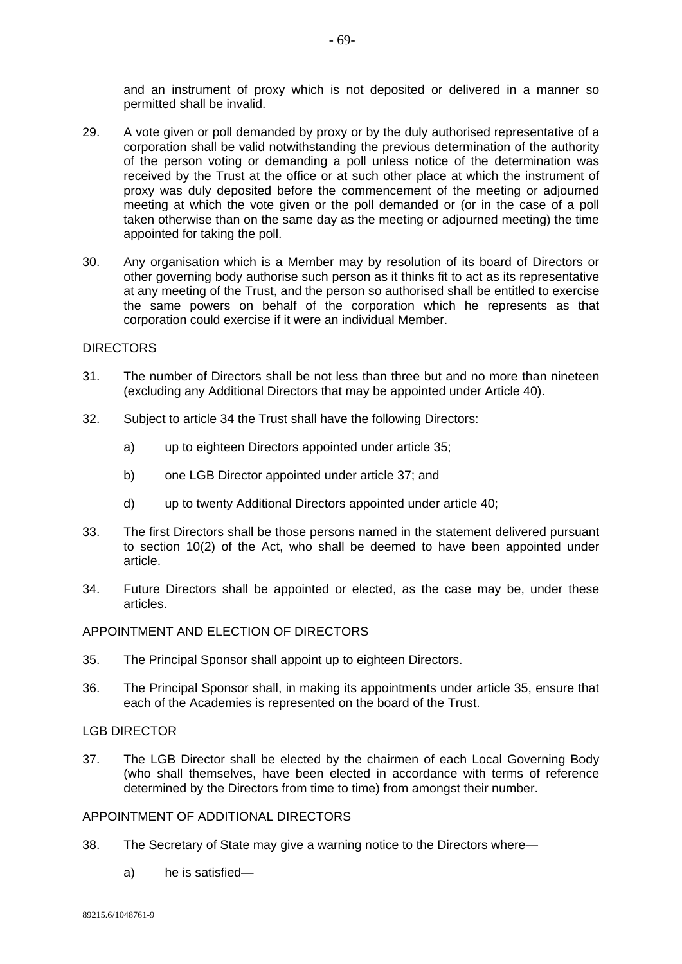and an instrument of proxy which is not deposited or delivered in a manner so permitted shall be invalid.

- 29. A vote given or poll demanded by proxy or by the duly authorised representative of a corporation shall be valid notwithstanding the previous determination of the authority of the person voting or demanding a poll unless notice of the determination was received by the Trust at the office or at such other place at which the instrument of proxy was duly deposited before the commencement of the meeting or adjourned meeting at which the vote given or the poll demanded or (or in the case of a poll taken otherwise than on the same day as the meeting or adjourned meeting) the time appointed for taking the poll.
- 30. Any organisation which is a Member may by resolution of its board of Directors or other governing body authorise such person as it thinks fit to act as its representative at any meeting of the Trust, and the person so authorised shall be entitled to exercise the same powers on behalf of the corporation which he represents as that corporation could exercise if it were an individual Member.

## DIRECTORS

- 31. The number of Directors shall be not less than three but and no more than nineteen (excluding any Additional Directors that may be appointed under Article 40).
- 32. Subject to article 34 the Trust shall have the following Directors:
	- a) up to eighteen Directors appointed under article 35;
	- b) one LGB Director appointed under article 37; and
	- d) up to twenty Additional Directors appointed under article 40;
- 33. The first Directors shall be those persons named in the statement delivered pursuant to section 10(2) of the Act, who shall be deemed to have been appointed under article.
- 34. Future Directors shall be appointed or elected, as the case may be, under these articles.

#### APPOINTMENT AND ELECTION OF DIRECTORS

- 35. The Principal Sponsor shall appoint up to eighteen Directors.
- 36. The Principal Sponsor shall, in making its appointments under article 35, ensure that each of the Academies is represented on the board of the Trust.

#### LGB DIRECTOR

37. The LGB Director shall be elected by the chairmen of each Local Governing Body (who shall themselves, have been elected in accordance with terms of reference determined by the Directors from time to time) from amongst their number.

#### APPOINTMENT OF ADDITIONAL DIRECTORS

- 38. The Secretary of State may give a warning notice to the Directors where
	- a) he is satisfied—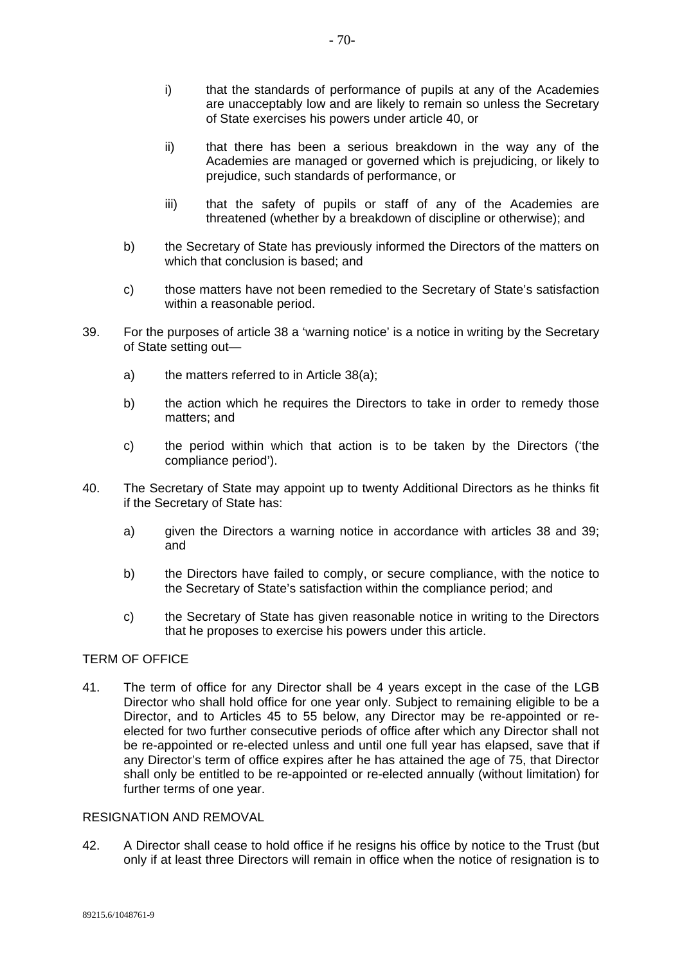- i) that the standards of performance of pupils at any of the Academies are unacceptably low and are likely to remain so unless the Secretary of State exercises his powers under article 40, or
- ii) that there has been a serious breakdown in the way any of the Academies are managed or governed which is prejudicing, or likely to prejudice, such standards of performance, or
- iii) that the safety of pupils or staff of any of the Academies are threatened (whether by a breakdown of discipline or otherwise); and
- b) the Secretary of State has previously informed the Directors of the matters on which that conclusion is based; and
- c) those matters have not been remedied to the Secretary of State's satisfaction within a reasonable period.
- 39. For the purposes of article 38 a 'warning notice' is a notice in writing by the Secretary of State setting out
	- a) the matters referred to in Article 38(a);
	- b) the action which he requires the Directors to take in order to remedy those matters; and
	- c) the period within which that action is to be taken by the Directors ('the compliance period').
- 40. The Secretary of State may appoint up to twenty Additional Directors as he thinks fit if the Secretary of State has:
	- a) given the Directors a warning notice in accordance with articles 38 and 39; and
	- b) the Directors have failed to comply, or secure compliance, with the notice to the Secretary of State's satisfaction within the compliance period; and
	- c) the Secretary of State has given reasonable notice in writing to the Directors that he proposes to exercise his powers under this article.

## TERM OF OFFICE

41. The term of office for any Director shall be 4 years except in the case of the LGB Director who shall hold office for one year only. Subject to remaining eligible to be a Director, and to Articles 45 to 55 below, any Director may be re-appointed or reelected for two further consecutive periods of office after which any Director shall not be re-appointed or re-elected unless and until one full year has elapsed, save that if any Director's term of office expires after he has attained the age of 75, that Director shall only be entitled to be re-appointed or re-elected annually (without limitation) for further terms of one year.

#### RESIGNATION AND REMOVAL

42. A Director shall cease to hold office if he resigns his office by notice to the Trust (but only if at least three Directors will remain in office when the notice of resignation is to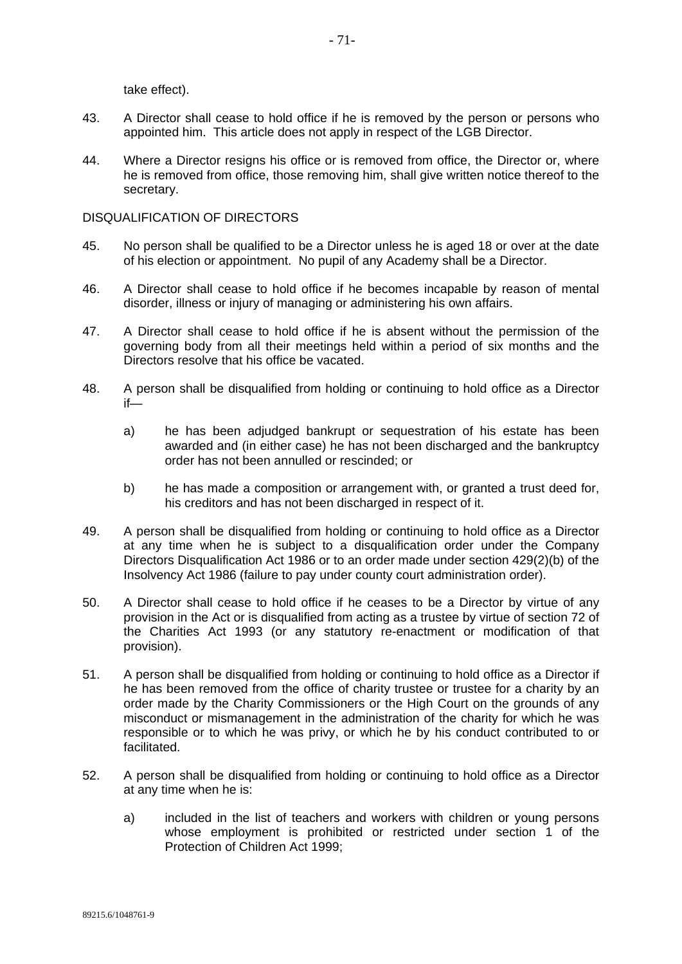take effect).

- 43. A Director shall cease to hold office if he is removed by the person or persons who appointed him. This article does not apply in respect of the LGB Director.
- 44. Where a Director resigns his office or is removed from office, the Director or, where he is removed from office, those removing him, shall give written notice thereof to the secretary.

#### DISQUALIFICATION OF DIRECTORS

- 45. No person shall be qualified to be a Director unless he is aged 18 or over at the date of his election or appointment. No pupil of any Academy shall be a Director.
- 46. A Director shall cease to hold office if he becomes incapable by reason of mental disorder, illness or injury of managing or administering his own affairs.
- 47. A Director shall cease to hold office if he is absent without the permission of the governing body from all their meetings held within a period of six months and the Directors resolve that his office be vacated.
- 48. A person shall be disqualified from holding or continuing to hold office as a Director if
	- a) he has been adjudged bankrupt or sequestration of his estate has been awarded and (in either case) he has not been discharged and the bankruptcy order has not been annulled or rescinded; or
	- b) he has made a composition or arrangement with, or granted a trust deed for, his creditors and has not been discharged in respect of it.
- 49. A person shall be disqualified from holding or continuing to hold office as a Director at any time when he is subject to a disqualification order under the Company Directors Disqualification Act 1986 or to an order made under section 429(2)(b) of the Insolvency Act 1986 (failure to pay under county court administration order).
- 50. A Director shall cease to hold office if he ceases to be a Director by virtue of any provision in the Act or is disqualified from acting as a trustee by virtue of section 72 of the Charities Act 1993 (or any statutory re-enactment or modification of that provision).
- 51. A person shall be disqualified from holding or continuing to hold office as a Director if he has been removed from the office of charity trustee or trustee for a charity by an order made by the Charity Commissioners or the High Court on the grounds of any misconduct or mismanagement in the administration of the charity for which he was responsible or to which he was privy, or which he by his conduct contributed to or facilitated.
- 52. A person shall be disqualified from holding or continuing to hold office as a Director at any time when he is:
	- a) included in the list of teachers and workers with children or young persons whose employment is prohibited or restricted under section 1 of the Protection of Children Act 1999;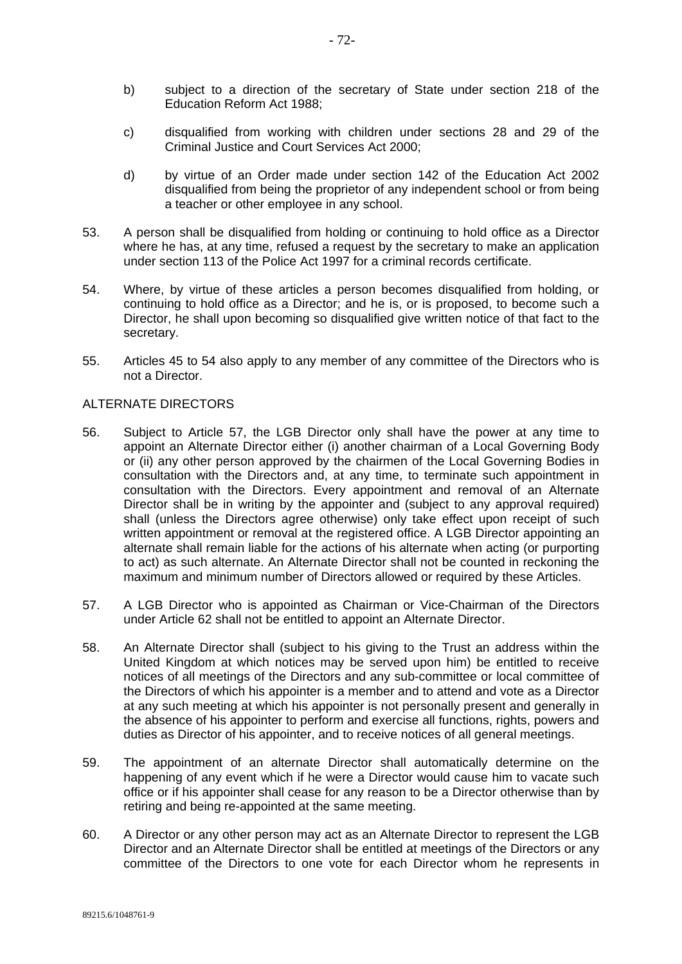- b) subject to a direction of the secretary of State under section 218 of the Education Reform Act 1988;
- c) disqualified from working with children under sections 28 and 29 of the Criminal Justice and Court Services Act 2000;
- d) by virtue of an Order made under section 142 of the Education Act 2002 disqualified from being the proprietor of any independent school or from being a teacher or other employee in any school.
- 53. A person shall be disqualified from holding or continuing to hold office as a Director where he has, at any time, refused a request by the secretary to make an application under section 113 of the Police Act 1997 for a criminal records certificate.
- 54. Where, by virtue of these articles a person becomes disqualified from holding, or continuing to hold office as a Director; and he is, or is proposed, to become such a Director, he shall upon becoming so disqualified give written notice of that fact to the secretary.
- 55. Articles 45 to 54 also apply to any member of any committee of the Directors who is not a Director.

### ALTERNATE DIRECTORS

- 56. Subject to Article 57, the LGB Director only shall have the power at any time to appoint an Alternate Director either (i) another chairman of a Local Governing Body or (ii) any other person approved by the chairmen of the Local Governing Bodies in consultation with the Directors and, at any time, to terminate such appointment in consultation with the Directors. Every appointment and removal of an Alternate Director shall be in writing by the appointer and (subject to any approval required) shall (unless the Directors agree otherwise) only take effect upon receipt of such written appointment or removal at the registered office. A LGB Director appointing an alternate shall remain liable for the actions of his alternate when acting (or purporting to act) as such alternate. An Alternate Director shall not be counted in reckoning the maximum and minimum number of Directors allowed or required by these Articles.
- 57. A LGB Director who is appointed as Chairman or Vice-Chairman of the Directors under Article 62 shall not be entitled to appoint an Alternate Director.
- 58. An Alternate Director shall (subject to his giving to the Trust an address within the United Kingdom at which notices may be served upon him) be entitled to receive notices of all meetings of the Directors and any sub-committee or local committee of the Directors of which his appointer is a member and to attend and vote as a Director at any such meeting at which his appointer is not personally present and generally in the absence of his appointer to perform and exercise all functions, rights, powers and duties as Director of his appointer, and to receive notices of all general meetings.
- 59. The appointment of an alternate Director shall automatically determine on the happening of any event which if he were a Director would cause him to vacate such office or if his appointer shall cease for any reason to be a Director otherwise than by retiring and being re-appointed at the same meeting.
- 60. A Director or any other person may act as an Alternate Director to represent the LGB Director and an Alternate Director shall be entitled at meetings of the Directors or any committee of the Directors to one vote for each Director whom he represents in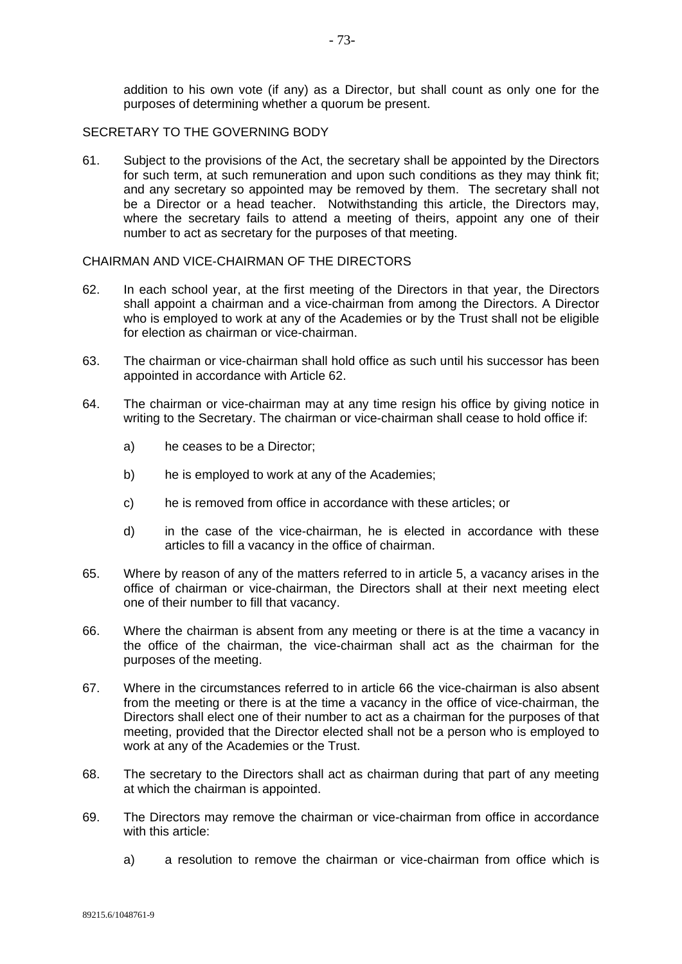addition to his own vote (if any) as a Director, but shall count as only one for the purposes of determining whether a quorum be present.

### SECRETARY TO THE GOVERNING BODY

61. Subject to the provisions of the Act, the secretary shall be appointed by the Directors for such term, at such remuneration and upon such conditions as they may think fit; and any secretary so appointed may be removed by them. The secretary shall not be a Director or a head teacher. Notwithstanding this article, the Directors may, where the secretary fails to attend a meeting of theirs, appoint any one of their number to act as secretary for the purposes of that meeting.

#### CHAIRMAN AND VICE-CHAIRMAN OF THE DIRECTORS

- 62. In each school year, at the first meeting of the Directors in that year, the Directors shall appoint a chairman and a vice-chairman from among the Directors. A Director who is employed to work at any of the Academies or by the Trust shall not be eligible for election as chairman or vice-chairman.
- 63. The chairman or vice-chairman shall hold office as such until his successor has been appointed in accordance with Article 62.
- 64. The chairman or vice-chairman may at any time resign his office by giving notice in writing to the Secretary. The chairman or vice-chairman shall cease to hold office if:
	- a) he ceases to be a Director;
	- b) he is employed to work at any of the Academies;
	- c) he is removed from office in accordance with these articles; or
	- d) in the case of the vice-chairman, he is elected in accordance with these articles to fill a vacancy in the office of chairman.
- 65. Where by reason of any of the matters referred to in article 5, a vacancy arises in the office of chairman or vice-chairman, the Directors shall at their next meeting elect one of their number to fill that vacancy.
- 66. Where the chairman is absent from any meeting or there is at the time a vacancy in the office of the chairman, the vice-chairman shall act as the chairman for the purposes of the meeting.
- 67. Where in the circumstances referred to in article 66 the vice-chairman is also absent from the meeting or there is at the time a vacancy in the office of vice-chairman, the Directors shall elect one of their number to act as a chairman for the purposes of that meeting, provided that the Director elected shall not be a person who is employed to work at any of the Academies or the Trust.
- 68. The secretary to the Directors shall act as chairman during that part of any meeting at which the chairman is appointed.
- 69. The Directors may remove the chairman or vice-chairman from office in accordance with this article:
	- a) a resolution to remove the chairman or vice-chairman from office which is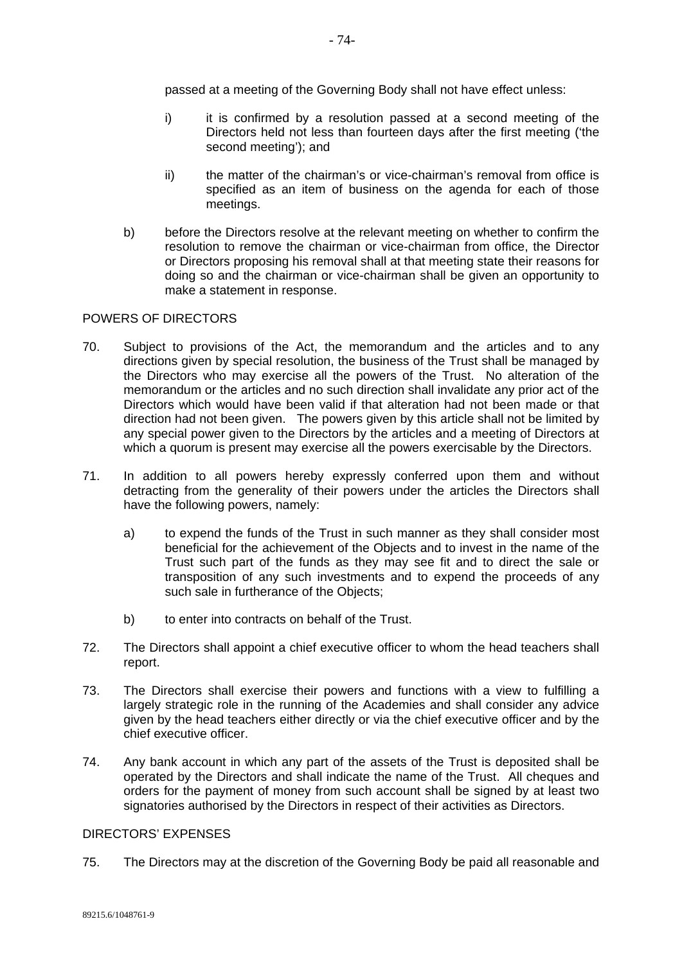passed at a meeting of the Governing Body shall not have effect unless:

- i) it is confirmed by a resolution passed at a second meeting of the Directors held not less than fourteen days after the first meeting ('the second meeting'); and
- ii) the matter of the chairman's or vice-chairman's removal from office is specified as an item of business on the agenda for each of those meetings.
- b) before the Directors resolve at the relevant meeting on whether to confirm the resolution to remove the chairman or vice-chairman from office, the Director or Directors proposing his removal shall at that meeting state their reasons for doing so and the chairman or vice-chairman shall be given an opportunity to make a statement in response.

#### POWERS OF DIRECTORS

- 70. Subject to provisions of the Act, the memorandum and the articles and to any directions given by special resolution, the business of the Trust shall be managed by the Directors who may exercise all the powers of the Trust. No alteration of the memorandum or the articles and no such direction shall invalidate any prior act of the Directors which would have been valid if that alteration had not been made or that direction had not been given. The powers given by this article shall not be limited by any special power given to the Directors by the articles and a meeting of Directors at which a quorum is present may exercise all the powers exercisable by the Directors.
- 71. In addition to all powers hereby expressly conferred upon them and without detracting from the generality of their powers under the articles the Directors shall have the following powers, namely:
	- a) to expend the funds of the Trust in such manner as they shall consider most beneficial for the achievement of the Objects and to invest in the name of the Trust such part of the funds as they may see fit and to direct the sale or transposition of any such investments and to expend the proceeds of any such sale in furtherance of the Objects;
	- b) to enter into contracts on behalf of the Trust.
- 72. The Directors shall appoint a chief executive officer to whom the head teachers shall report.
- 73. The Directors shall exercise their powers and functions with a view to fulfilling a largely strategic role in the running of the Academies and shall consider any advice given by the head teachers either directly or via the chief executive officer and by the chief executive officer.
- 74. Any bank account in which any part of the assets of the Trust is deposited shall be operated by the Directors and shall indicate the name of the Trust. All cheques and orders for the payment of money from such account shall be signed by at least two signatories authorised by the Directors in respect of their activities as Directors.

## DIRECTORS' EXPENSES

75. The Directors may at the discretion of the Governing Body be paid all reasonable and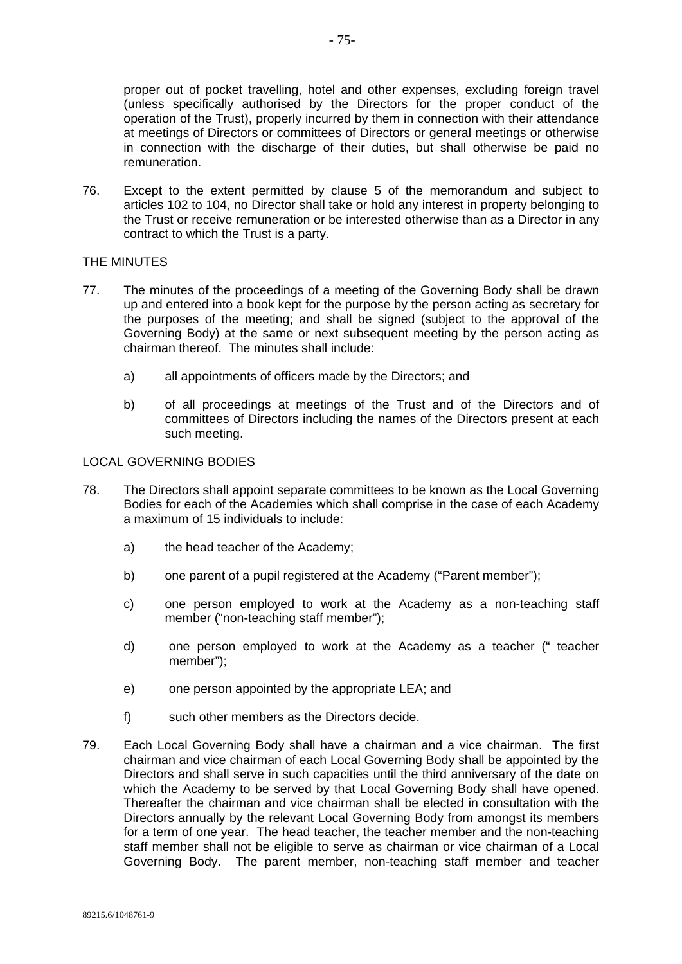proper out of pocket travelling, hotel and other expenses, excluding foreign travel (unless specifically authorised by the Directors for the proper conduct of the operation of the Trust), properly incurred by them in connection with their attendance at meetings of Directors or committees of Directors or general meetings or otherwise in connection with the discharge of their duties, but shall otherwise be paid no remuneration.

76. Except to the extent permitted by clause 5 of the memorandum and subject to articles 102 to 104, no Director shall take or hold any interest in property belonging to the Trust or receive remuneration or be interested otherwise than as a Director in any contract to which the Trust is a party.

## THE MINUTES

- 77. The minutes of the proceedings of a meeting of the Governing Body shall be drawn up and entered into a book kept for the purpose by the person acting as secretary for the purposes of the meeting; and shall be signed (subject to the approval of the Governing Body) at the same or next subsequent meeting by the person acting as chairman thereof. The minutes shall include:
	- a) all appointments of officers made by the Directors; and
	- b) of all proceedings at meetings of the Trust and of the Directors and of committees of Directors including the names of the Directors present at each such meeting.

## LOCAL GOVERNING BODIES

- 78. The Directors shall appoint separate committees to be known as the Local Governing Bodies for each of the Academies which shall comprise in the case of each Academy a maximum of 15 individuals to include:
	- a) the head teacher of the Academy;
	- b) one parent of a pupil registered at the Academy ("Parent member"):
	- c) one person employed to work at the Academy as a non-teaching staff member ("non-teaching staff member");
	- d) one person employed to work at the Academy as a teacher (" teacher member");
	- e) one person appointed by the appropriate LEA; and
	- f) such other members as the Directors decide.
- 79. Each Local Governing Body shall have a chairman and a vice chairman. The first chairman and vice chairman of each Local Governing Body shall be appointed by the Directors and shall serve in such capacities until the third anniversary of the date on which the Academy to be served by that Local Governing Body shall have opened. Thereafter the chairman and vice chairman shall be elected in consultation with the Directors annually by the relevant Local Governing Body from amongst its members for a term of one year. The head teacher, the teacher member and the non-teaching staff member shall not be eligible to serve as chairman or vice chairman of a Local Governing Body. The parent member, non-teaching staff member and teacher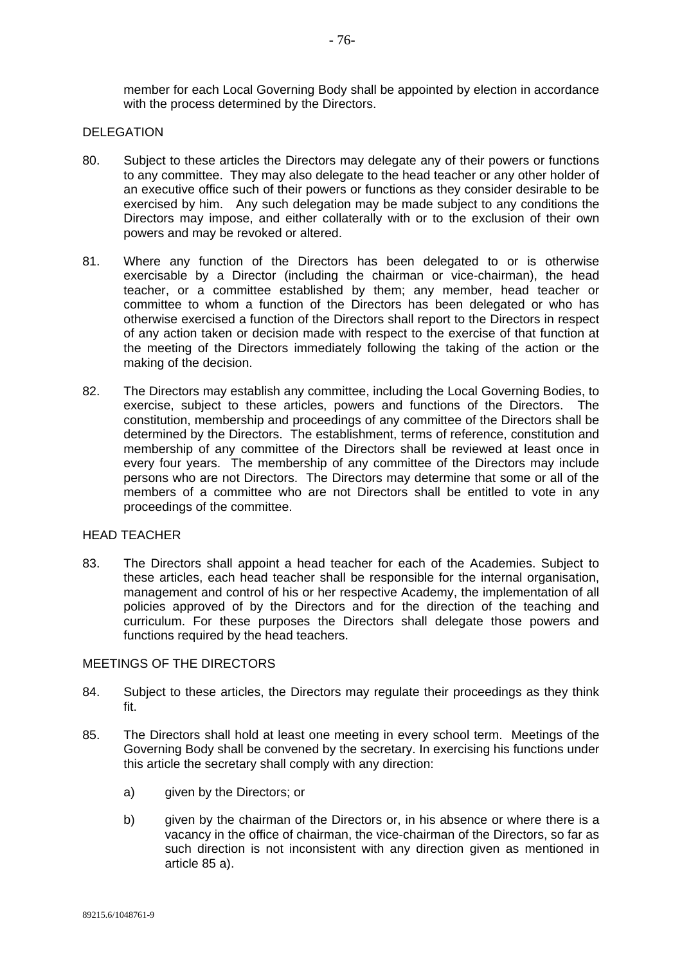member for each Local Governing Body shall be appointed by election in accordance with the process determined by the Directors.

#### DELEGATION

- 80. Subject to these articles the Directors may delegate any of their powers or functions to any committee. They may also delegate to the head teacher or any other holder of an executive office such of their powers or functions as they consider desirable to be exercised by him. Any such delegation may be made subject to any conditions the Directors may impose, and either collaterally with or to the exclusion of their own powers and may be revoked or altered.
- 81. Where any function of the Directors has been delegated to or is otherwise exercisable by a Director (including the chairman or vice-chairman), the head teacher, or a committee established by them; any member, head teacher or committee to whom a function of the Directors has been delegated or who has otherwise exercised a function of the Directors shall report to the Directors in respect of any action taken or decision made with respect to the exercise of that function at the meeting of the Directors immediately following the taking of the action or the making of the decision.
- 82. The Directors may establish any committee, including the Local Governing Bodies, to exercise, subject to these articles, powers and functions of the Directors. The constitution, membership and proceedings of any committee of the Directors shall be determined by the Directors. The establishment, terms of reference, constitution and membership of any committee of the Directors shall be reviewed at least once in every four years. The membership of any committee of the Directors may include persons who are not Directors. The Directors may determine that some or all of the members of a committee who are not Directors shall be entitled to vote in any proceedings of the committee.

#### HEAD TEACHER

83. The Directors shall appoint a head teacher for each of the Academies. Subject to these articles, each head teacher shall be responsible for the internal organisation, management and control of his or her respective Academy, the implementation of all policies approved of by the Directors and for the direction of the teaching and curriculum. For these purposes the Directors shall delegate those powers and functions required by the head teachers.

#### MEETINGS OF THE DIRECTORS

- 84. Subject to these articles, the Directors may regulate their proceedings as they think fit.
- 85. The Directors shall hold at least one meeting in every school term. Meetings of the Governing Body shall be convened by the secretary. In exercising his functions under this article the secretary shall comply with any direction:
	- a) given by the Directors; or
	- b) given by the chairman of the Directors or, in his absence or where there is a vacancy in the office of chairman, the vice-chairman of the Directors, so far as such direction is not inconsistent with any direction given as mentioned in article 85 a).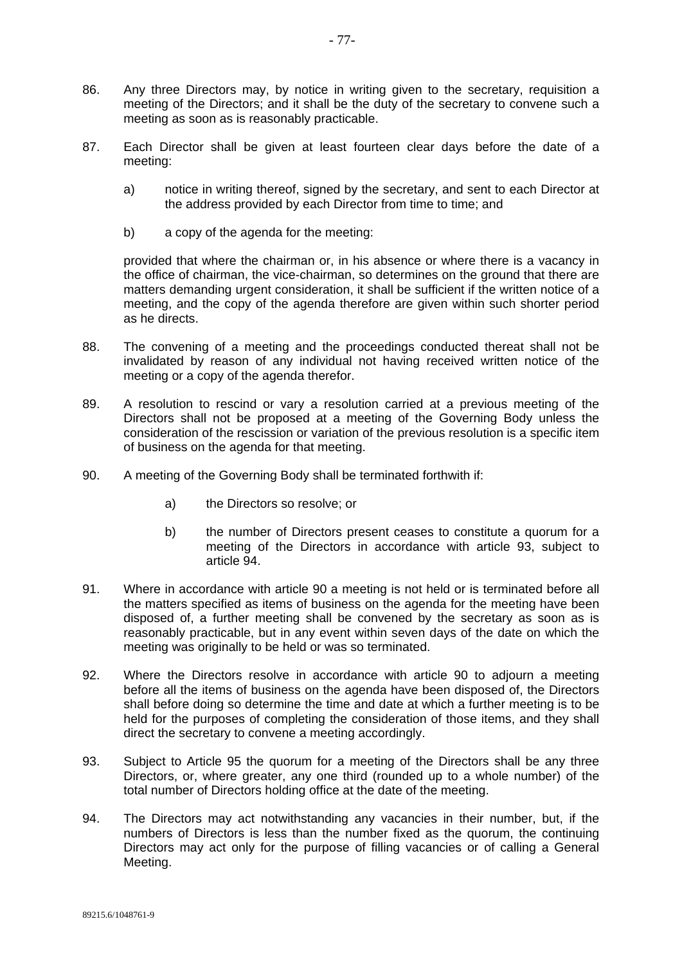- 86. Any three Directors may, by notice in writing given to the secretary, requisition a meeting of the Directors; and it shall be the duty of the secretary to convene such a meeting as soon as is reasonably practicable.
- 87. Each Director shall be given at least fourteen clear days before the date of a meeting:
	- a) notice in writing thereof, signed by the secretary, and sent to each Director at the address provided by each Director from time to time; and
	- b) a copy of the agenda for the meeting:

provided that where the chairman or, in his absence or where there is a vacancy in the office of chairman, the vice-chairman, so determines on the ground that there are matters demanding urgent consideration, it shall be sufficient if the written notice of a meeting, and the copy of the agenda therefore are given within such shorter period as he directs.

- 88. The convening of a meeting and the proceedings conducted thereat shall not be invalidated by reason of any individual not having received written notice of the meeting or a copy of the agenda therefor.
- 89. A resolution to rescind or vary a resolution carried at a previous meeting of the Directors shall not be proposed at a meeting of the Governing Body unless the consideration of the rescission or variation of the previous resolution is a specific item of business on the agenda for that meeting.
- 90. A meeting of the Governing Body shall be terminated forthwith if:
	- a) the Directors so resolve; or
	- b) the number of Directors present ceases to constitute a quorum for a meeting of the Directors in accordance with article 93, subject to article 94.
- 91. Where in accordance with article 90 a meeting is not held or is terminated before all the matters specified as items of business on the agenda for the meeting have been disposed of, a further meeting shall be convened by the secretary as soon as is reasonably practicable, but in any event within seven days of the date on which the meeting was originally to be held or was so terminated.
- 92. Where the Directors resolve in accordance with article 90 to adjourn a meeting before all the items of business on the agenda have been disposed of, the Directors shall before doing so determine the time and date at which a further meeting is to be held for the purposes of completing the consideration of those items, and they shall direct the secretary to convene a meeting accordingly.
- 93. Subject to Article 95 the quorum for a meeting of the Directors shall be any three Directors, or, where greater, any one third (rounded up to a whole number) of the total number of Directors holding office at the date of the meeting.
- 94. The Directors may act notwithstanding any vacancies in their number, but, if the numbers of Directors is less than the number fixed as the quorum, the continuing Directors may act only for the purpose of filling vacancies or of calling a General Meeting.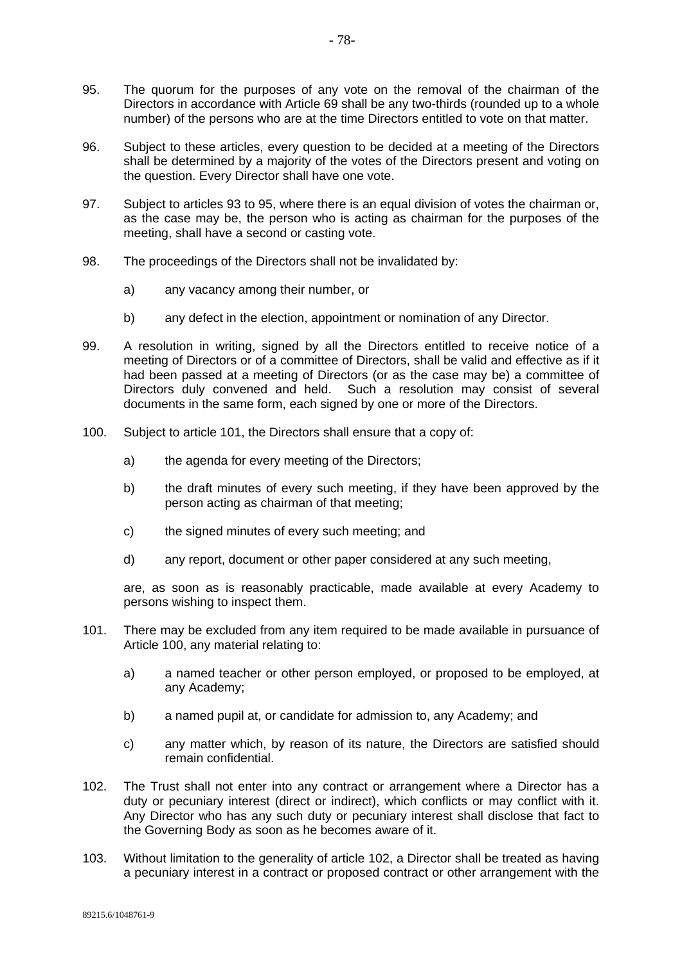- 95. The quorum for the purposes of any vote on the removal of the chairman of the Directors in accordance with Article 69 shall be any two-thirds (rounded up to a whole number) of the persons who are at the time Directors entitled to vote on that matter.
- 96. Subject to these articles, every question to be decided at a meeting of the Directors shall be determined by a majority of the votes of the Directors present and voting on the question. Every Director shall have one vote.
- 97. Subject to articles 93 to 95, where there is an equal division of votes the chairman or, as the case may be, the person who is acting as chairman for the purposes of the meeting, shall have a second or casting vote.
- 98. The proceedings of the Directors shall not be invalidated by:
	- a) any vacancy among their number, or
	- b) any defect in the election, appointment or nomination of any Director.
- 99. A resolution in writing, signed by all the Directors entitled to receive notice of a meeting of Directors or of a committee of Directors, shall be valid and effective as if it had been passed at a meeting of Directors (or as the case may be) a committee of Directors duly convened and held. Such a resolution may consist of several documents in the same form, each signed by one or more of the Directors.
- 100. Subject to article 101, the Directors shall ensure that a copy of:
	- a) the agenda for every meeting of the Directors;
	- b) the draft minutes of every such meeting, if they have been approved by the person acting as chairman of that meeting;
	- c) the signed minutes of every such meeting; and
	- d) any report, document or other paper considered at any such meeting,

are, as soon as is reasonably practicable, made available at every Academy to persons wishing to inspect them.

- 101. There may be excluded from any item required to be made available in pursuance of Article 100, any material relating to:
	- a) a named teacher or other person employed, or proposed to be employed, at any Academy;
	- b) a named pupil at, or candidate for admission to, any Academy; and
	- c) any matter which, by reason of its nature, the Directors are satisfied should remain confidential.
- 102. The Trust shall not enter into any contract or arrangement where a Director has a duty or pecuniary interest (direct or indirect), which conflicts or may conflict with it. Any Director who has any such duty or pecuniary interest shall disclose that fact to the Governing Body as soon as he becomes aware of it.
- 103. Without limitation to the generality of article 102, a Director shall be treated as having a pecuniary interest in a contract or proposed contract or other arrangement with the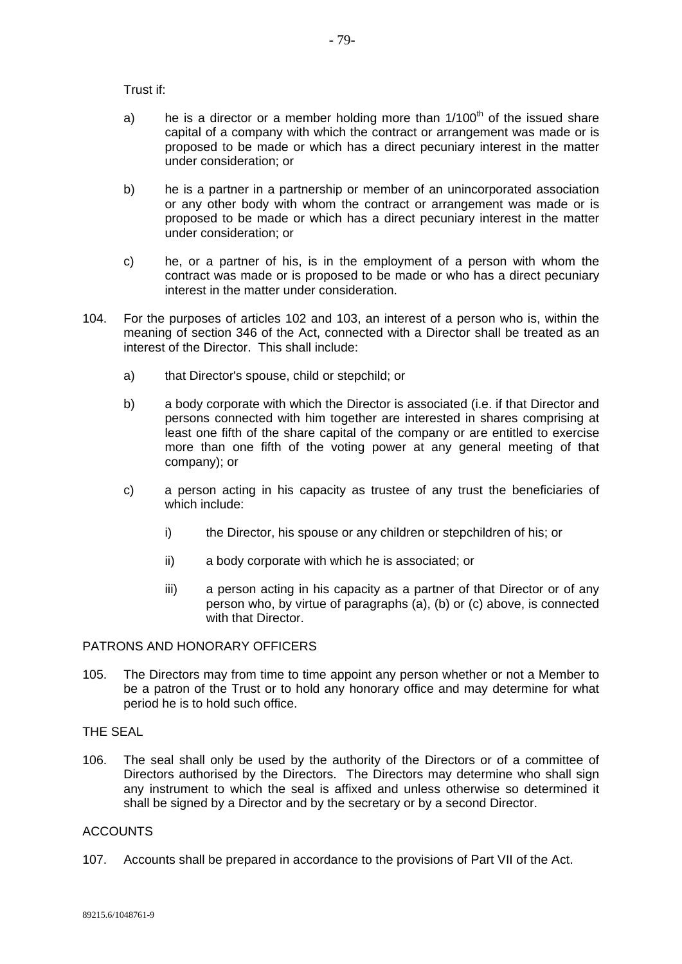Trust if:

- a) he is a director or a member holding more than  $1/100<sup>th</sup>$  of the issued share capital of a company with which the contract or arrangement was made or is proposed to be made or which has a direct pecuniary interest in the matter under consideration; or
- b) he is a partner in a partnership or member of an unincorporated association or any other body with whom the contract or arrangement was made or is proposed to be made or which has a direct pecuniary interest in the matter under consideration; or
- c) he, or a partner of his, is in the employment of a person with whom the contract was made or is proposed to be made or who has a direct pecuniary interest in the matter under consideration.
- 104. For the purposes of articles 102 and 103, an interest of a person who is, within the meaning of section 346 of the Act, connected with a Director shall be treated as an interest of the Director. This shall include:
	- a) that Director's spouse, child or stepchild; or
	- b) a body corporate with which the Director is associated (i.e. if that Director and persons connected with him together are interested in shares comprising at least one fifth of the share capital of the company or are entitled to exercise more than one fifth of the voting power at any general meeting of that company); or
	- c) a person acting in his capacity as trustee of any trust the beneficiaries of which include:
		- i) the Director, his spouse or any children or stepchildren of his; or
		- ii) a body corporate with which he is associated; or
		- iii) a person acting in his capacity as a partner of that Director or of any person who, by virtue of paragraphs (a), (b) or (c) above, is connected with that Director.

## PATRONS AND HONORARY OFFICERS

105. The Directors may from time to time appoint any person whether or not a Member to be a patron of the Trust or to hold any honorary office and may determine for what period he is to hold such office.

## THE SEAL

106. The seal shall only be used by the authority of the Directors or of a committee of Directors authorised by the Directors. The Directors may determine who shall sign any instrument to which the seal is affixed and unless otherwise so determined it shall be signed by a Director and by the secretary or by a second Director.

#### **ACCOUNTS**

107. Accounts shall be prepared in accordance to the provisions of Part VII of the Act.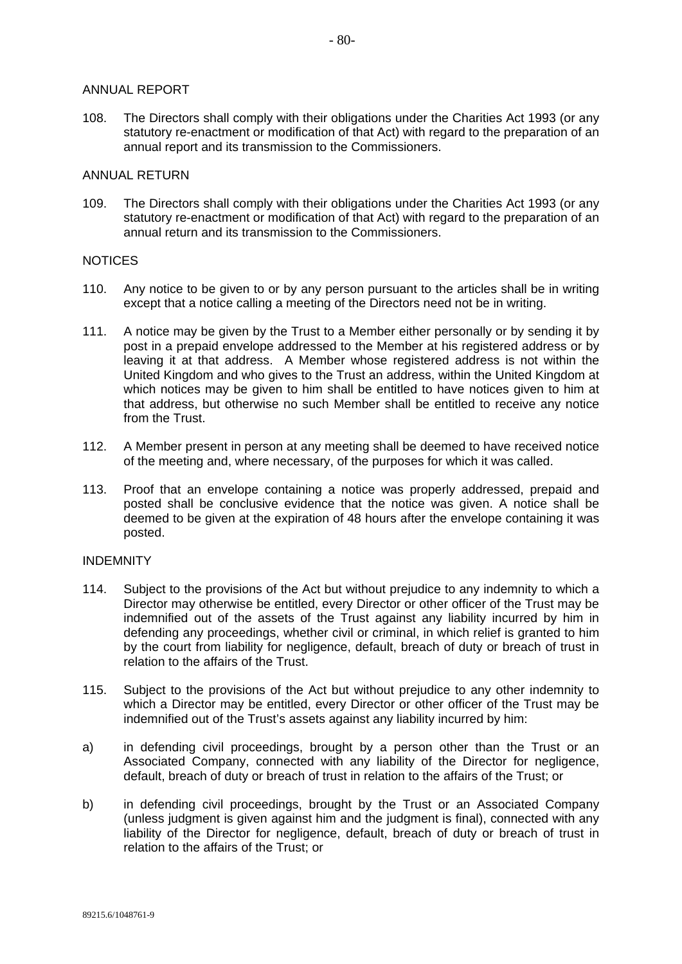#### ANNUAL REPORT

108. The Directors shall comply with their obligations under the Charities Act 1993 (or any statutory re-enactment or modification of that Act) with regard to the preparation of an annual report and its transmission to the Commissioners.

#### ANNUAL RETURN

109. The Directors shall comply with their obligations under the Charities Act 1993 (or any statutory re-enactment or modification of that Act) with regard to the preparation of an annual return and its transmission to the Commissioners.

#### NOTICES

- 110. Any notice to be given to or by any person pursuant to the articles shall be in writing except that a notice calling a meeting of the Directors need not be in writing.
- 111. A notice may be given by the Trust to a Member either personally or by sending it by post in a prepaid envelope addressed to the Member at his registered address or by leaving it at that address. A Member whose registered address is not within the United Kingdom and who gives to the Trust an address, within the United Kingdom at which notices may be given to him shall be entitled to have notices given to him at that address, but otherwise no such Member shall be entitled to receive any notice from the Trust.
- 112. A Member present in person at any meeting shall be deemed to have received notice of the meeting and, where necessary, of the purposes for which it was called.
- 113. Proof that an envelope containing a notice was properly addressed, prepaid and posted shall be conclusive evidence that the notice was given. A notice shall be deemed to be given at the expiration of 48 hours after the envelope containing it was posted.

## INDEMNITY

- 114. Subject to the provisions of the Act but without prejudice to any indemnity to which a Director may otherwise be entitled, every Director or other officer of the Trust may be indemnified out of the assets of the Trust against any liability incurred by him in defending any proceedings, whether civil or criminal, in which relief is granted to him by the court from liability for negligence, default, breach of duty or breach of trust in relation to the affairs of the Trust.
- 115. Subject to the provisions of the Act but without prejudice to any other indemnity to which a Director may be entitled, every Director or other officer of the Trust may be indemnified out of the Trust's assets against any liability incurred by him:
- a) in defending civil proceedings, brought by a person other than the Trust or an Associated Company, connected with any liability of the Director for negligence, default, breach of duty or breach of trust in relation to the affairs of the Trust; or
- b) in defending civil proceedings, brought by the Trust or an Associated Company (unless judgment is given against him and the judgment is final), connected with any liability of the Director for negligence, default, breach of duty or breach of trust in relation to the affairs of the Trust; or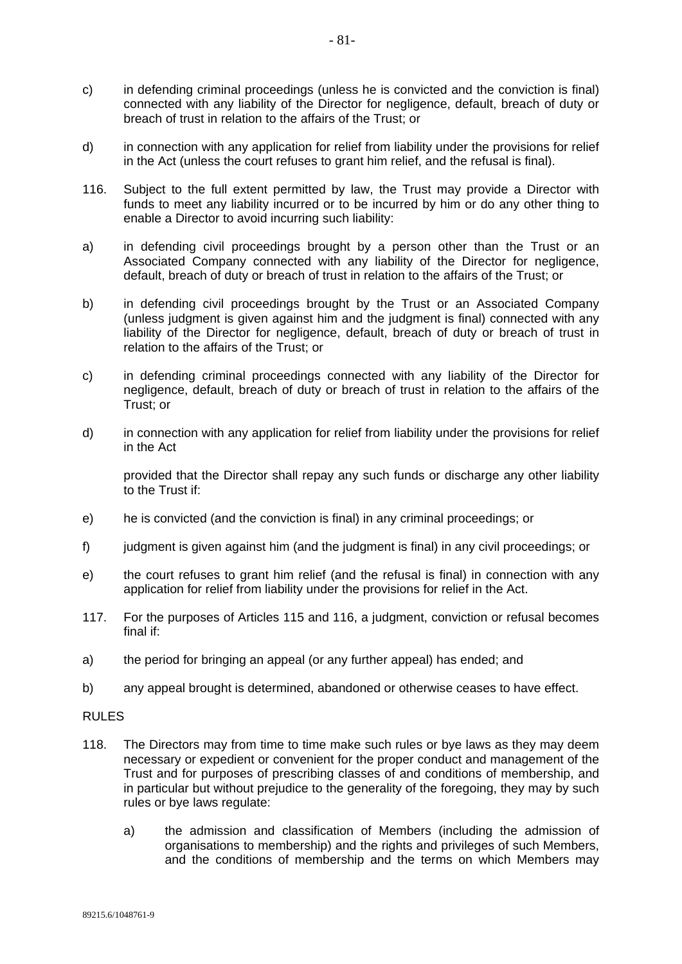- c) in defending criminal proceedings (unless he is convicted and the conviction is final) connected with any liability of the Director for negligence, default, breach of duty or breach of trust in relation to the affairs of the Trust; or
- d) in connection with any application for relief from liability under the provisions for relief in the Act (unless the court refuses to grant him relief, and the refusal is final).
- 116. Subject to the full extent permitted by law, the Trust may provide a Director with funds to meet any liability incurred or to be incurred by him or do any other thing to enable a Director to avoid incurring such liability:
- a) in defending civil proceedings brought by a person other than the Trust or an Associated Company connected with any liability of the Director for negligence, default, breach of duty or breach of trust in relation to the affairs of the Trust; or
- b) in defending civil proceedings brought by the Trust or an Associated Company (unless judgment is given against him and the judgment is final) connected with any liability of the Director for negligence, default, breach of duty or breach of trust in relation to the affairs of the Trust; or
- c) in defending criminal proceedings connected with any liability of the Director for negligence, default, breach of duty or breach of trust in relation to the affairs of the Trust; or
- d) in connection with any application for relief from liability under the provisions for relief in the Act

provided that the Director shall repay any such funds or discharge any other liability to the Trust if:

- e) he is convicted (and the conviction is final) in any criminal proceedings; or
- f) judgment is given against him (and the judgment is final) in any civil proceedings; or
- e) the court refuses to grant him relief (and the refusal is final) in connection with any application for relief from liability under the provisions for relief in the Act.
- 117. For the purposes of Articles 115 and 116, a judgment, conviction or refusal becomes final if:
- a) the period for bringing an appeal (or any further appeal) has ended; and
- b) any appeal brought is determined, abandoned or otherwise ceases to have effect.

#### RULES

- 118. The Directors may from time to time make such rules or bye laws as they may deem necessary or expedient or convenient for the proper conduct and management of the Trust and for purposes of prescribing classes of and conditions of membership, and in particular but without prejudice to the generality of the foregoing, they may by such rules or bye laws regulate:
	- a) the admission and classification of Members (including the admission of organisations to membership) and the rights and privileges of such Members, and the conditions of membership and the terms on which Members may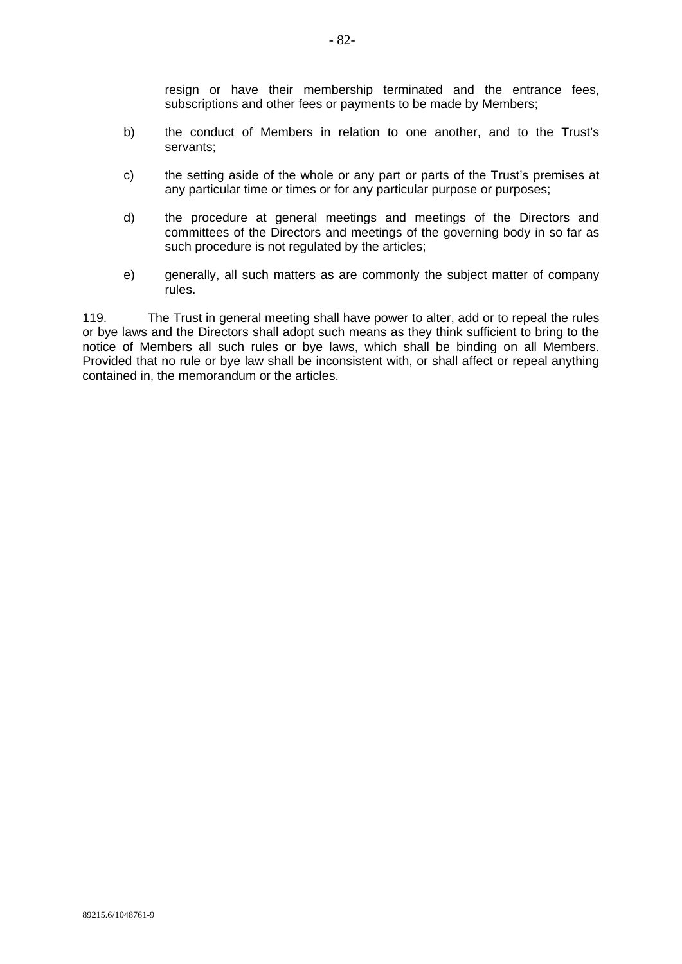resign or have their membership terminated and the entrance fees, subscriptions and other fees or payments to be made by Members;

- b) the conduct of Members in relation to one another, and to the Trust's servants;
- c) the setting aside of the whole or any part or parts of the Trust's premises at any particular time or times or for any particular purpose or purposes;
- d) the procedure at general meetings and meetings of the Directors and committees of the Directors and meetings of the governing body in so far as such procedure is not regulated by the articles;
- e) generally, all such matters as are commonly the subject matter of company rules.

119. The Trust in general meeting shall have power to alter, add or to repeal the rules or bye laws and the Directors shall adopt such means as they think sufficient to bring to the notice of Members all such rules or bye laws, which shall be binding on all Members. Provided that no rule or bye law shall be inconsistent with, or shall affect or repeal anything contained in, the memorandum or the articles.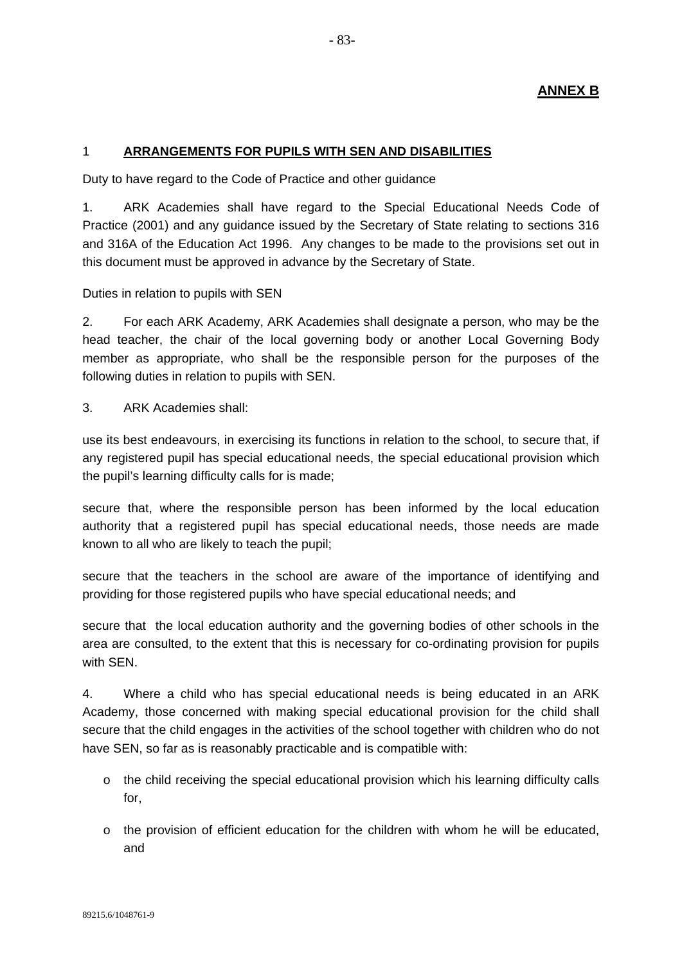## **ANNEX B**

## 1 **ARRANGEMENTS FOR PUPILS WITH SEN AND DISABILITIES**

Duty to have regard to the Code of Practice and other guidance

1. ARK Academies shall have regard to the Special Educational Needs Code of Practice (2001) and any guidance issued by the Secretary of State relating to sections 316 and 316A of the Education Act 1996. Any changes to be made to the provisions set out in this document must be approved in advance by the Secretary of State.

Duties in relation to pupils with SEN

2. For each ARK Academy, ARK Academies shall designate a person, who may be the head teacher, the chair of the local governing body or another Local Governing Body member as appropriate, who shall be the responsible person for the purposes of the following duties in relation to pupils with SEN.

3. ARK Academies shall:

use its best endeavours, in exercising its functions in relation to the school, to secure that, if any registered pupil has special educational needs, the special educational provision which the pupil's learning difficulty calls for is made;

secure that, where the responsible person has been informed by the local education authority that a registered pupil has special educational needs, those needs are made known to all who are likely to teach the pupil;

secure that the teachers in the school are aware of the importance of identifying and providing for those registered pupils who have special educational needs; and

secure that the local education authority and the governing bodies of other schools in the area are consulted, to the extent that this is necessary for co-ordinating provision for pupils with SEN.

4. Where a child who has special educational needs is being educated in an ARK Academy, those concerned with making special educational provision for the child shall secure that the child engages in the activities of the school together with children who do not have SEN, so far as is reasonably practicable and is compatible with:

- o the child receiving the special educational provision which his learning difficulty calls for,
- $\circ$  the provision of efficient education for the children with whom he will be educated, and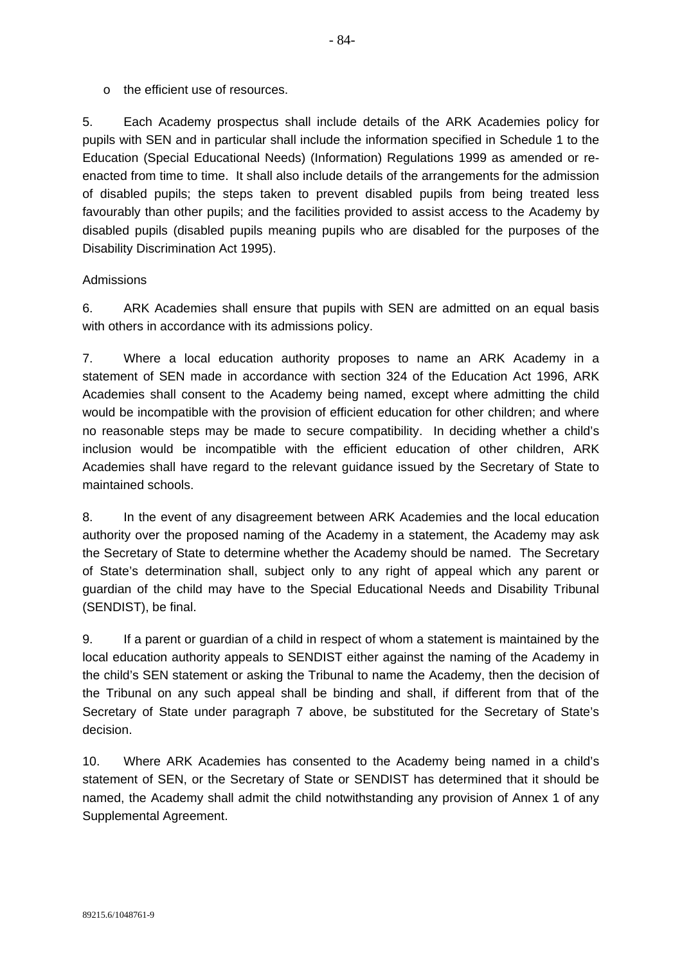o the efficient use of resources.

5. Each Academy prospectus shall include details of the ARK Academies policy for pupils with SEN and in particular shall include the information specified in Schedule 1 to the Education (Special Educational Needs) (Information) Regulations 1999 as amended or reenacted from time to time. It shall also include details of the arrangements for the admission of disabled pupils; the steps taken to prevent disabled pupils from being treated less favourably than other pupils; and the facilities provided to assist access to the Academy by disabled pupils (disabled pupils meaning pupils who are disabled for the purposes of the Disability Discrimination Act 1995).

## Admissions

6. ARK Academies shall ensure that pupils with SEN are admitted on an equal basis with others in accordance with its admissions policy.

7. Where a local education authority proposes to name an ARK Academy in a statement of SEN made in accordance with section 324 of the Education Act 1996, ARK Academies shall consent to the Academy being named, except where admitting the child would be incompatible with the provision of efficient education for other children; and where no reasonable steps may be made to secure compatibility. In deciding whether a child's inclusion would be incompatible with the efficient education of other children, ARK Academies shall have regard to the relevant guidance issued by the Secretary of State to maintained schools.

8. In the event of any disagreement between ARK Academies and the local education authority over the proposed naming of the Academy in a statement, the Academy may ask the Secretary of State to determine whether the Academy should be named. The Secretary of State's determination shall, subject only to any right of appeal which any parent or guardian of the child may have to the Special Educational Needs and Disability Tribunal (SENDIST), be final.

9. If a parent or guardian of a child in respect of whom a statement is maintained by the local education authority appeals to SENDIST either against the naming of the Academy in the child's SEN statement or asking the Tribunal to name the Academy, then the decision of the Tribunal on any such appeal shall be binding and shall, if different from that of the Secretary of State under paragraph 7 above, be substituted for the Secretary of State's decision.

10. Where ARK Academies has consented to the Academy being named in a child's statement of SEN, or the Secretary of State or SENDIST has determined that it should be named, the Academy shall admit the child notwithstanding any provision of Annex 1 of any Supplemental Agreement.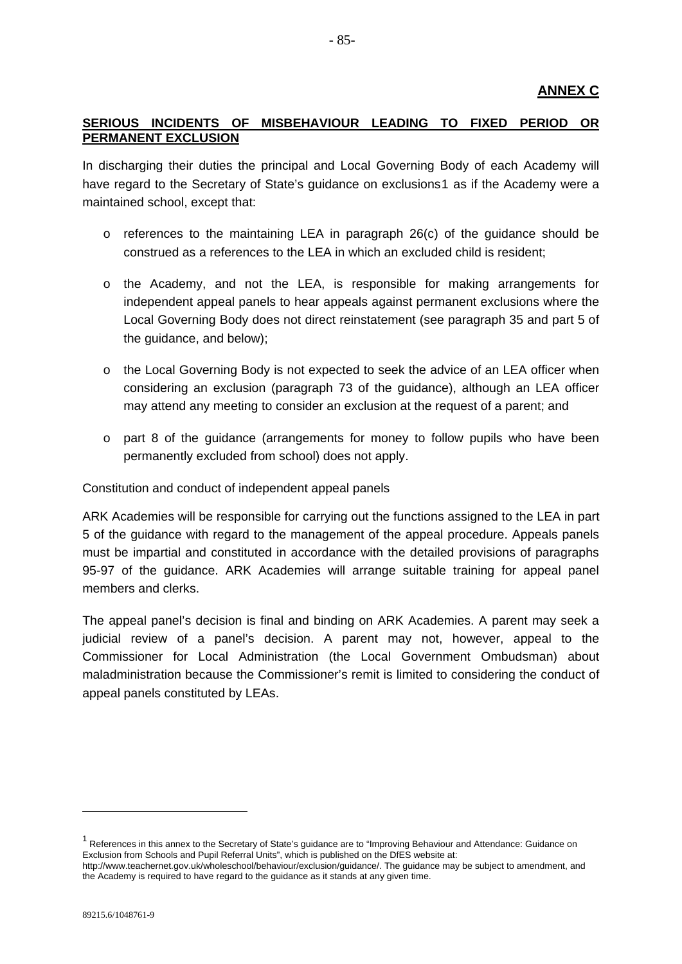## **ANNEX C**

## **SERIOUS INCIDENTS OF MISBEHAVIOUR LEADING TO FIXED PERIOD OR PERMANENT EXCLUSION**

In discharging their duties the principal and Local Governing Body of each Academy will have regard to the Secretary of State's guidance on exclusions[1](#page-85-0) as if the Academy were a maintained school, except that:

- $\circ$  references to the maintaining LEA in paragraph 26(c) of the guidance should be construed as a references to the LEA in which an excluded child is resident;
- o the Academy, and not the LEA, is responsible for making arrangements for independent appeal panels to hear appeals against permanent exclusions where the Local Governing Body does not direct reinstatement (see paragraph 35 and part 5 of the guidance, and below);
- o the Local Governing Body is not expected to seek the advice of an LEA officer when considering an exclusion (paragraph 73 of the guidance), although an LEA officer may attend any meeting to consider an exclusion at the request of a parent; and
- o part 8 of the guidance (arrangements for money to follow pupils who have been permanently excluded from school) does not apply.

Constitution and conduct of independent appeal panels

ARK Academies will be responsible for carrying out the functions assigned to the LEA in part 5 of the guidance with regard to the management of the appeal procedure. Appeals panels must be impartial and constituted in accordance with the detailed provisions of paragraphs 95-97 of the guidance. ARK Academies will arrange suitable training for appeal panel members and clerks.

The appeal panel's decision is final and binding on ARK Academies. A parent may seek a judicial review of a panel's decision. A parent may not, however, appeal to the Commissioner for Local Administration (the Local Government Ombudsman) about maladministration because the Commissioner's remit is limited to considering the conduct of appeal panels constituted by LEAs.

<u>.</u>

<span id="page-85-0"></span><sup>&</sup>lt;sup>1</sup> References in this annex to the Secretary of State's guidance are to "Improving Behaviour and Attendance: Guidance on Exclusion from Schools and Pupil Referral Units", which is published on the DfES website at:

http://www.teachernet.gov.uk/wholeschool/behaviour/exclusion/guidance/. The guidance may be subject to amendment, and the Academy is required to have regard to the guidance as it stands at any given time.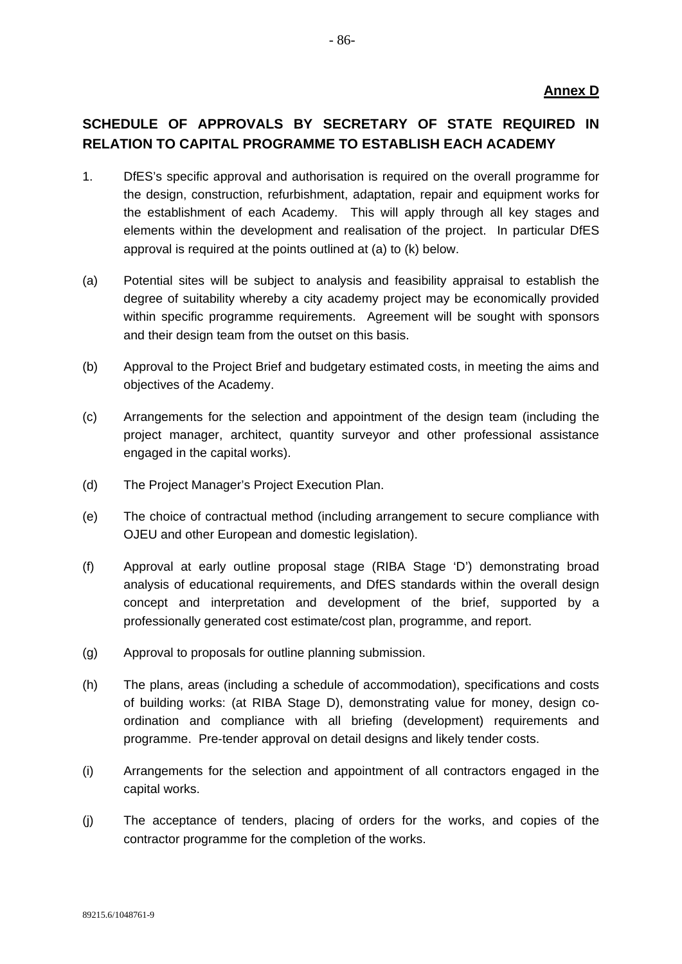## **Annex D**

# **SCHEDULE OF APPROVALS BY SECRETARY OF STATE REQUIRED IN RELATION TO CAPITAL PROGRAMME TO ESTABLISH EACH ACADEMY**

- 1. DfES's specific approval and authorisation is required on the overall programme for the design, construction, refurbishment, adaptation, repair and equipment works for the establishment of each Academy. This will apply through all key stages and elements within the development and realisation of the project. In particular DfES approval is required at the points outlined at (a) to (k) below.
- (a) Potential sites will be subject to analysis and feasibility appraisal to establish the degree of suitability whereby a city academy project may be economically provided within specific programme requirements. Agreement will be sought with sponsors and their design team from the outset on this basis.
- (b) Approval to the Project Brief and budgetary estimated costs, in meeting the aims and objectives of the Academy.
- (c) Arrangements for the selection and appointment of the design team (including the project manager, architect, quantity surveyor and other professional assistance engaged in the capital works).
- (d) The Project Manager's Project Execution Plan.
- (e) The choice of contractual method (including arrangement to secure compliance with OJEU and other European and domestic legislation).
- (f) Approval at early outline proposal stage (RIBA Stage 'D') demonstrating broad analysis of educational requirements, and DfES standards within the overall design concept and interpretation and development of the brief, supported by a professionally generated cost estimate/cost plan, programme, and report.
- (g) Approval to proposals for outline planning submission.
- (h) The plans, areas (including a schedule of accommodation), specifications and costs of building works: (at RIBA Stage D), demonstrating value for money, design coordination and compliance with all briefing (development) requirements and programme. Pre-tender approval on detail designs and likely tender costs.
- (i) Arrangements for the selection and appointment of all contractors engaged in the capital works.
- (j) The acceptance of tenders, placing of orders for the works, and copies of the contractor programme for the completion of the works.